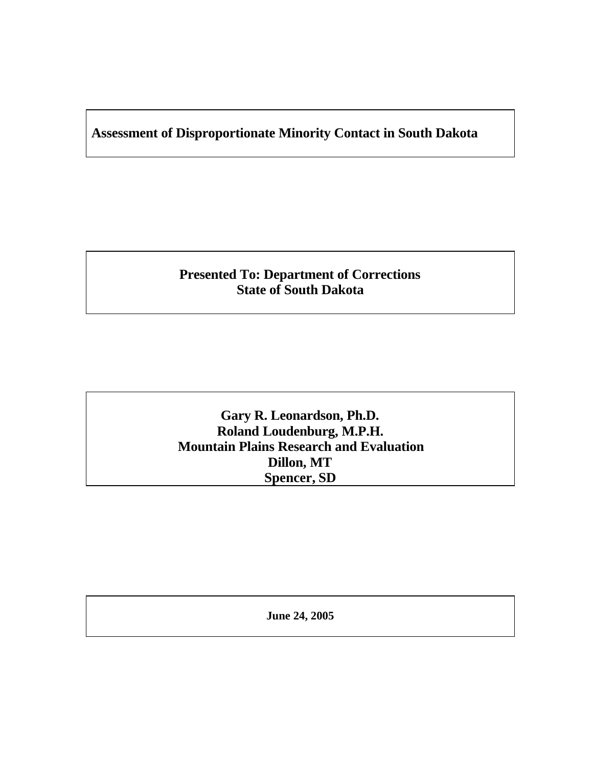# **Assessment of Disproportionate Minority Contact in South Dakota**

# **Presented To: Department of Corrections State of South Dakota**

**Gary R. Leonardson, Ph.D. Roland Loudenburg, M.P.H. Mountain Plains Research and Evaluation Dillon, MT Spencer, SD**

**June 24, 2005**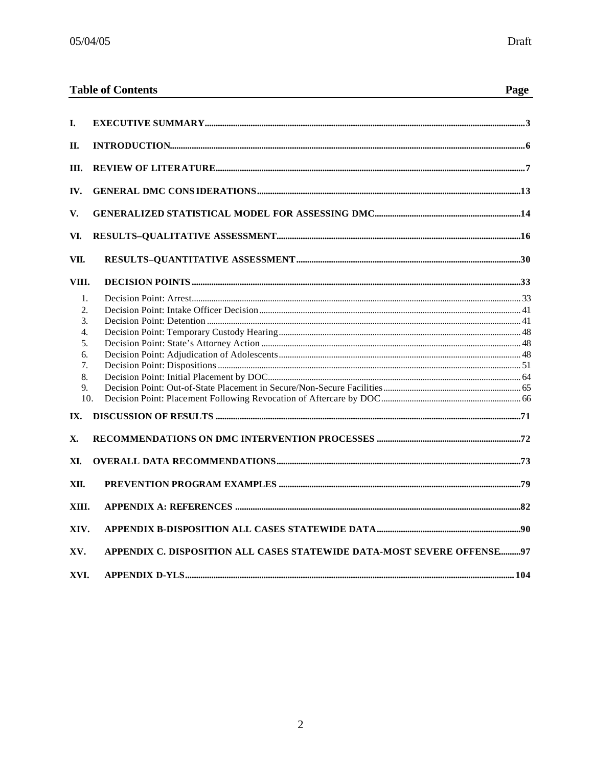|          | <b>Table of Contents</b>                                               | Page |
|----------|------------------------------------------------------------------------|------|
| L.       |                                                                        |      |
|          |                                                                        |      |
| П.       |                                                                        |      |
| III.     |                                                                        |      |
| IV.      |                                                                        |      |
| V.       |                                                                        |      |
| VI.      |                                                                        |      |
| VII.     |                                                                        |      |
| VIII.    |                                                                        |      |
| 1.       |                                                                        |      |
| 2.       |                                                                        |      |
| 3.       |                                                                        |      |
| 4.       |                                                                        |      |
| 5.       |                                                                        |      |
| 6.<br>7. |                                                                        |      |
| 8.       |                                                                        |      |
| 9.       |                                                                        |      |
|          | 10.                                                                    |      |
| IX.      |                                                                        |      |
| X.       |                                                                        |      |
| XI.      |                                                                        |      |
| XII.     |                                                                        |      |
|          |                                                                        |      |
| XIII.    |                                                                        |      |
| XIV.     |                                                                        |      |
| XV.      | APPENDIX C. DISPOSITION ALL CASES STATEWIDE DATA-MOST SEVERE OFFENSE97 |      |
| XVI.     |                                                                        |      |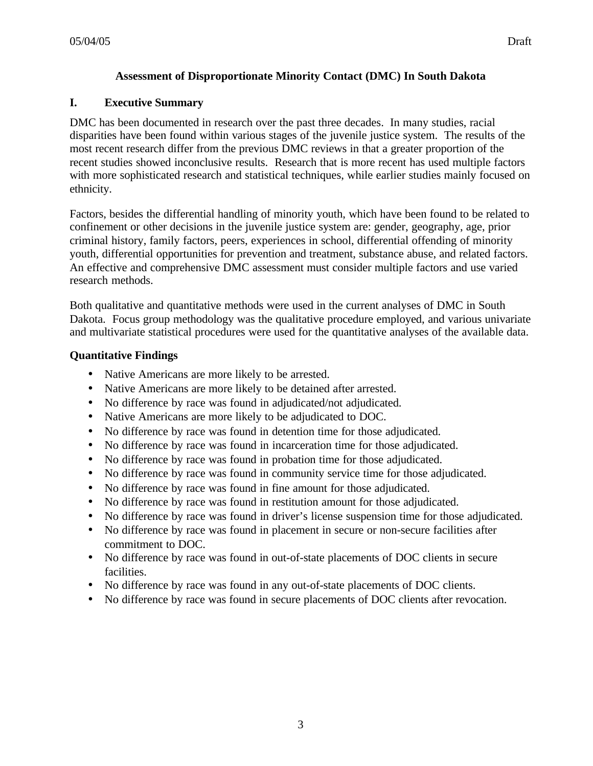# **I. Executive Summary**

DMC has been documented in research over the past three decades. In many studies, racial disparities have been found within various stages of the juvenile justice system. The results of the most recent research differ from the previous DMC reviews in that a greater proportion of the recent studies showed inconclusive results. Research that is more recent has used multiple factors with more sophisticated research and statistical techniques, while earlier studies mainly focused on ethnicity.

Factors, besides the differential handling of minority youth, which have been found to be related to confinement or other decisions in the juvenile justice system are: gender, geography, age, prior criminal history, family factors, peers, experiences in school, differential offending of minority youth, differential opportunities for prevention and treatment, substance abuse, and related factors. An effective and comprehensive DMC assessment must consider multiple factors and use varied research methods.

Both qualitative and quantitative methods were used in the current analyses of DMC in South Dakota. Focus group methodology was the qualitative procedure employed, and various univariate and multivariate statistical procedures were used for the quantitative analyses of the available data.

# **Quantitative Findings**

- Native Americans are more likely to be arrested.
- Native Americans are more likely to be detained after arrested.
- No difference by race was found in adjudicated/not adjudicated.
- Native Americans are more likely to be adjudicated to DOC.
- No difference by race was found in detention time for those adjudicated.
- No difference by race was found in incarceration time for those adjudicated.
- No difference by race was found in probation time for those adjudicated.
- No difference by race was found in community service time for those adjudicated.
- No difference by race was found in fine amount for those adjudicated.
- No difference by race was found in restitution amount for those adjudicated.
- No difference by race was found in driver's license suspension time for those adjudicated.
- No difference by race was found in placement in secure or non-secure facilities after commitment to DOC.
- No difference by race was found in out-of-state placements of DOC clients in secure facilities.
- No difference by race was found in any out-of-state placements of DOC clients.
- No difference by race was found in secure placements of DOC clients after revocation.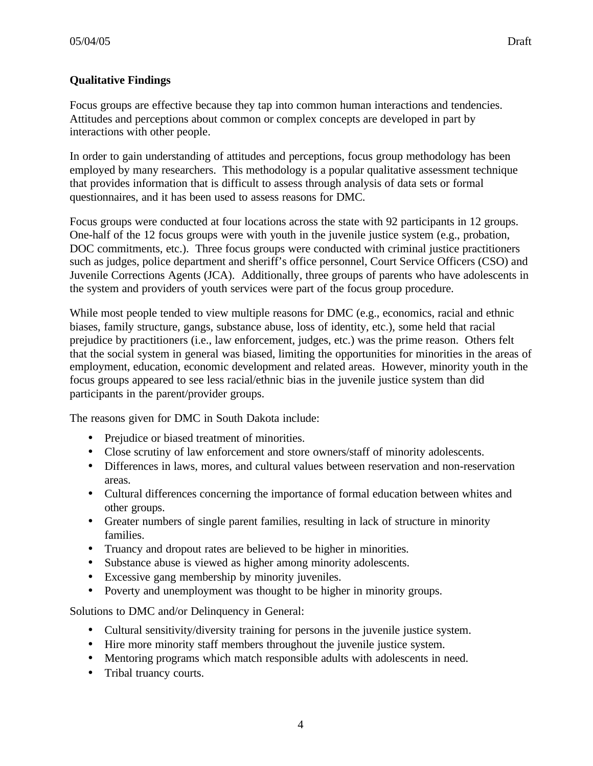# **Qualitative Findings**

Focus groups are effective because they tap into common human interactions and tendencies. Attitudes and perceptions about common or complex concepts are developed in part by interactions with other people.

In order to gain understanding of attitudes and perceptions, focus group methodology has been employed by many researchers. This methodology is a popular qualitative assessment technique that provides information that is difficult to assess through analysis of data sets or formal questionnaires, and it has been used to assess reasons for DMC.

Focus groups were conducted at four locations across the state with 92 participants in 12 groups. One-half of the 12 focus groups were with youth in the juvenile justice system (e.g., probation, DOC commitments, etc.). Three focus groups were conducted with criminal justice practitioners such as judges, police department and sheriff's office personnel, Court Service Officers (CSO) and Juvenile Corrections Agents (JCA). Additionally, three groups of parents who have adolescents in the system and providers of youth services were part of the focus group procedure.

While most people tended to view multiple reasons for DMC (e.g., economics, racial and ethnic biases, family structure, gangs, substance abuse, loss of identity, etc.), some held that racial prejudice by practitioners (i.e., law enforcement, judges, etc.) was the prime reason. Others felt that the social system in general was biased, limiting the opportunities for minorities in the areas of employment, education, economic development and related areas. However, minority youth in the focus groups appeared to see less racial/ethnic bias in the juvenile justice system than did participants in the parent/provider groups.

The reasons given for DMC in South Dakota include:

- Prejudice or biased treatment of minorities.
- Close scrutiny of law enforcement and store owners/staff of minority adolescents.
- Differences in laws, mores, and cultural values between reservation and non-reservation areas.
- Cultural differences concerning the importance of formal education between whites and other groups.
- Greater numbers of single parent families, resulting in lack of structure in minority families.
- Truancy and dropout rates are believed to be higher in minorities.
- Substance abuse is viewed as higher among minority adolescents.
- Excessive gang membership by minority juveniles.
- Poverty and unemployment was thought to be higher in minority groups.

Solutions to DMC and/or Delinquency in General:

- Cultural sensitivity/diversity training for persons in the juvenile justice system.
- Hire more minority staff members throughout the juvenile justice system.
- Mentoring programs which match responsible adults with adolescents in need.
- Tribal truancy courts.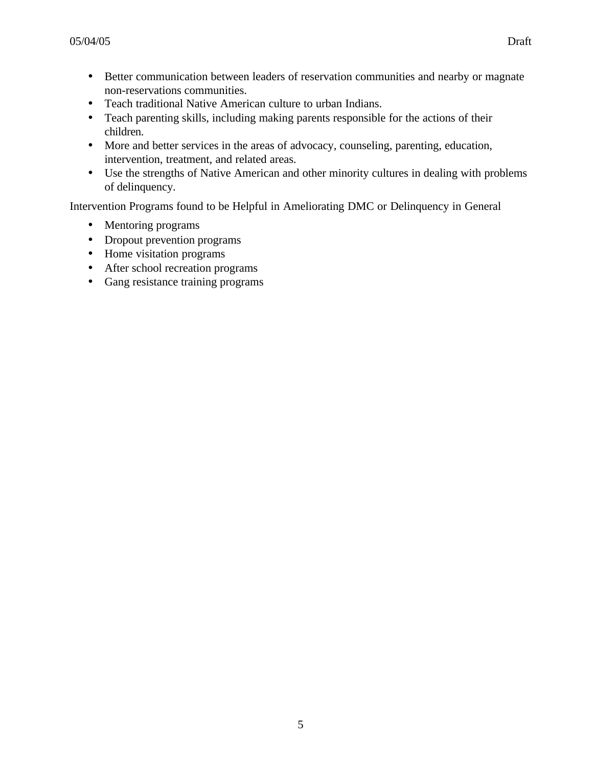- Better communication between leaders of reservation communities and nearby or magnate non-reservations communities.
- Teach traditional Native American culture to urban Indians.
- Teach parenting skills, including making parents responsible for the actions of their children.
- More and better services in the areas of advocacy, counseling, parenting, education, intervention, treatment, and related areas.
- Use the strengths of Native American and other minority cultures in dealing with problems of delinquency.

Intervention Programs found to be Helpful in Ameliorating DMC or Delinquency in General

- Mentoring programs
- Dropout prevention programs
- Home visitation programs
- After school recreation programs
- Gang resistance training programs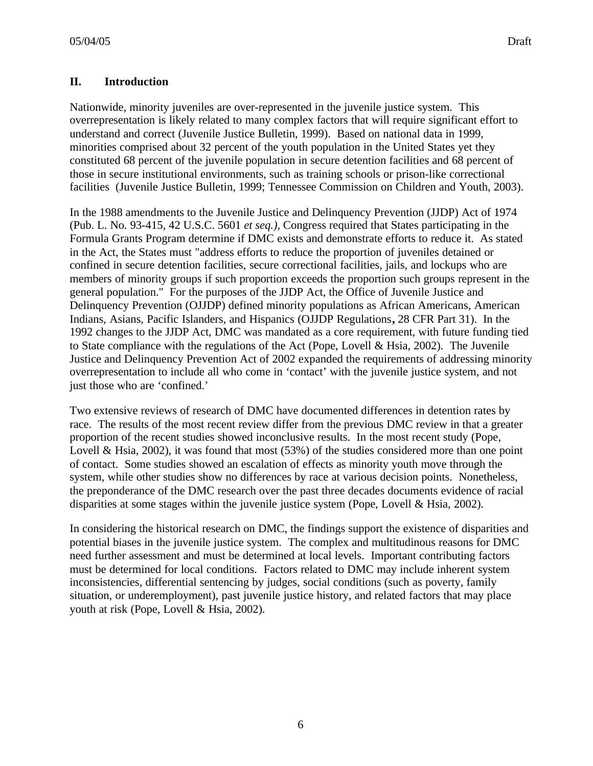# **II. Introduction**

Nationwide, minority juveniles are over-represented in the juvenile justice system. This overrepresentation is likely related to many complex factors that will require significant effort to understand and correct (Juvenile Justice Bulletin, 1999). Based on national data in 1999, minorities comprised about 32 percent of the youth population in the United States yet they constituted 68 percent of the juvenile population in secure detention facilities and 68 percent of those in secure institutional environments, such as training schools or prison-like correctional facilities (Juvenile Justice Bulletin, 1999; Tennessee Commission on Children and Youth, 2003).

In the 1988 amendments to the Juvenile Justice and Delinquency Prevention (JJDP) Act of 1974 (Pub. L. No. 93-415, 42 U.S.C. 5601 *et seq.),* Congress required that States participating in the Formula Grants Program determine if DMC exists and demonstrate efforts to reduce it. As stated in the Act, the States must "address efforts to reduce the proportion of juveniles detained or confined in secure detention facilities, secure correctional facilities, jails, and lockups who are members of minority groups if such proportion exceeds the proportion such groups represent in the general population." For the purposes of the JJDP Act, the Office of Juvenile Justice and Delinquency Prevention (OJJDP) defined minority populations as African Americans, American Indians, Asians, Pacific Islanders, and Hispanics (OJJDP Regulations**,** 28 CFR Part 31). In the 1992 changes to the JJDP Act, DMC was mandated as a core requirement, with future funding tied to State compliance with the regulations of the Act (Pope, Lovell & Hsia, 2002). The Juvenile Justice and Delinquency Prevention Act of 2002 expanded the requirements of addressing minority overrepresentation to include all who come in 'contact' with the juvenile justice system, and not just those who are 'confined.'

Two extensive reviews of research of DMC have documented differences in detention rates by race. The results of the most recent review differ from the previous DMC review in that a greater proportion of the recent studies showed inconclusive results. In the most recent study (Pope, Lovell & Hsia, 2002), it was found that most (53%) of the studies considered more than one point of contact. Some studies showed an escalation of effects as minority youth move through the system, while other studies show no differences by race at various decision points. Nonetheless, the preponderance of the DMC research over the past three decades documents evidence of racial disparities at some stages within the juvenile justice system (Pope, Lovell & Hsia, 2002).

In considering the historical research on DMC, the findings support the existence of disparities and potential biases in the juvenile justice system. The complex and multitudinous reasons for DMC need further assessment and must be determined at local levels. Important contributing factors must be determined for local conditions. Factors related to DMC may include inherent system inconsistencies, differential sentencing by judges, social conditions (such as poverty, family situation, or underemployment), past juvenile justice history, and related factors that may place youth at risk (Pope, Lovell & Hsia, 2002).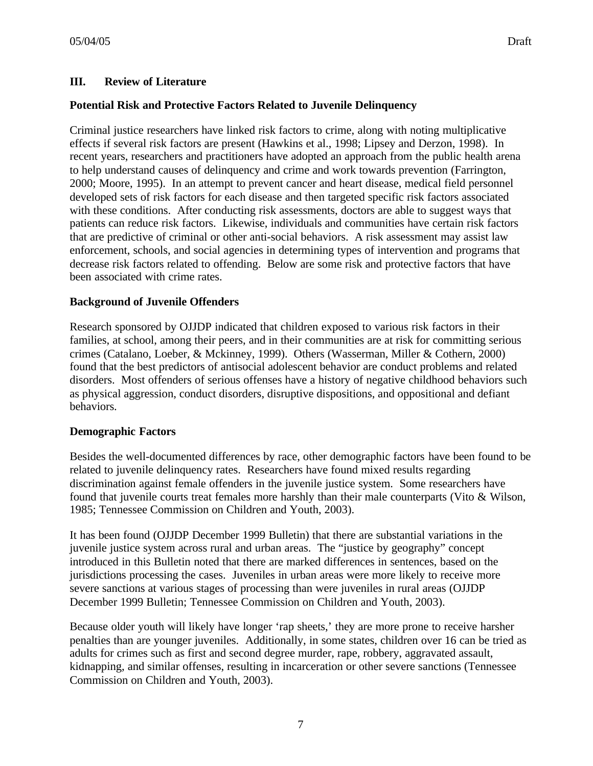# **III. Review of Literature**

#### **Potential Risk and Protective Factors Related to Juvenile Delinquency**

Criminal justice researchers have linked risk factors to crime, along with noting multiplicative effects if several risk factors are present (Hawkins et al., 1998; Lipsey and Derzon, 1998). In recent years, researchers and practitioners have adopted an approach from the public health arena to help understand causes of delinquency and crime and work towards prevention (Farrington, 2000; Moore, 1995). In an attempt to prevent cancer and heart disease, medical field personnel developed sets of risk factors for each disease and then targeted specific risk factors associated with these conditions. After conducting risk assessments, doctors are able to suggest ways that patients can reduce risk factors. Likewise, individuals and communities have certain risk factors that are predictive of criminal or other anti-social behaviors. A risk assessment may assist law enforcement, schools, and social agencies in determining types of intervention and programs that decrease risk factors related to offending. Below are some risk and protective factors that have been associated with crime rates.

#### **Background of Juvenile Offenders**

Research sponsored by OJJDP indicated that children exposed to various risk factors in their families, at school, among their peers, and in their communities are at risk for committing serious crimes (Catalano, Loeber, & Mckinney, 1999). Others (Wasserman, Miller & Cothern, 2000) found that the best predictors of antisocial adolescent behavior are conduct problems and related disorders. Most offenders of serious offenses have a history of negative childhood behaviors such as physical aggression, conduct disorders, disruptive dispositions, and oppositional and defiant behaviors.

### **Demographic Factors**

Besides the well-documented differences by race, other demographic factors have been found to be related to juvenile delinquency rates. Researchers have found mixed results regarding discrimination against female offenders in the juvenile justice system. Some researchers have found that juvenile courts treat females more harshly than their male counterparts (Vito & Wilson, 1985; Tennessee Commission on Children and Youth, 2003).

It has been found (OJJDP December 1999 Bulletin) that there are substantial variations in the juvenile justice system across rural and urban areas. The "justice by geography" concept introduced in this Bulletin noted that there are marked differences in sentences, based on the jurisdictions processing the cases. Juveniles in urban areas were more likely to receive more severe sanctions at various stages of processing than were juveniles in rural areas (OJJDP December 1999 Bulletin; Tennessee Commission on Children and Youth, 2003).

Because older youth will likely have longer 'rap sheets,' they are more prone to receive harsher penalties than are younger juveniles. Additionally, in some states, children over 16 can be tried as adults for crimes such as first and second degree murder, rape, robbery, aggravated assault, kidnapping, and similar offenses, resulting in incarceration or other severe sanctions (Tennessee Commission on Children and Youth, 2003).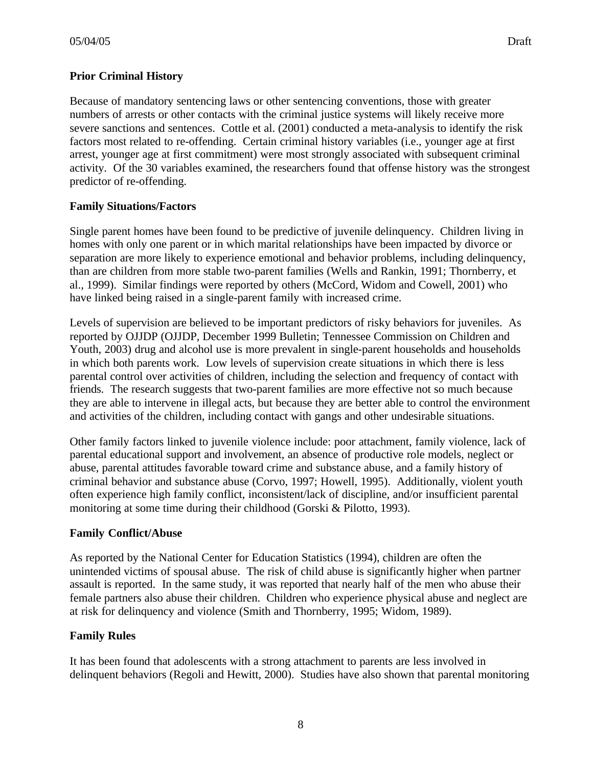# **Prior Criminal History**

Because of mandatory sentencing laws or other sentencing conventions, those with greater numbers of arrests or other contacts with the criminal justice systems will likely receive more severe sanctions and sentences. Cottle et al. (2001) conducted a meta-analysis to identify the risk factors most related to re-offending. Certain criminal history variables (i.e., younger age at first arrest, younger age at first commitment) were most strongly associated with subsequent criminal activity. Of the 30 variables examined, the researchers found that offense history was the strongest predictor of re-offending.

### **Family Situations/Factors**

Single parent homes have been found to be predictive of juvenile delinquency. Children living in homes with only one parent or in which marital relationships have been impacted by divorce or separation are more likely to experience emotional and behavior problems, including delinquency, than are children from more stable two-parent families (Wells and Rankin, 1991; Thornberry, et al., 1999). Similar findings were reported by others (McCord, Widom and Cowell, 2001) who have linked being raised in a single-parent family with increased crime.

Levels of supervision are believed to be important predictors of risky behaviors for juveniles. As reported by OJJDP (OJJDP, December 1999 Bulletin; Tennessee Commission on Children and Youth, 2003) drug and alcohol use is more prevalent in single-parent households and households in which both parents work. Low levels of supervision create situations in which there is less parental control over activities of children, including the selection and frequency of contact with friends. The research suggests that two-parent families are more effective not so much because they are able to intervene in illegal acts, but because they are better able to control the environment and activities of the children, including contact with gangs and other undesirable situations.

Other family factors linked to juvenile violence include: poor attachment, family violence, lack of parental educational support and involvement, an absence of productive role models, neglect or abuse, parental attitudes favorable toward crime and substance abuse, and a family history of criminal behavior and substance abuse (Corvo, 1997; Howell, 1995). Additionally, violent youth often experience high family conflict, inconsistent/lack of discipline, and/or insufficient parental monitoring at some time during their childhood (Gorski & Pilotto, 1993).

### **Family Conflict/Abuse**

As reported by the National Center for Education Statistics (1994), children are often the unintended victims of spousal abuse. The risk of child abuse is significantly higher when partner assault is reported. In the same study, it was reported that nearly half of the men who abuse their female partners also abuse their children. Children who experience physical abuse and neglect are at risk for delinquency and violence (Smith and Thornberry, 1995; Widom, 1989).

### **Family Rules**

It has been found that adolescents with a strong attachment to parents are less involved in delinquent behaviors (Regoli and Hewitt, 2000). Studies have also shown that parental monitoring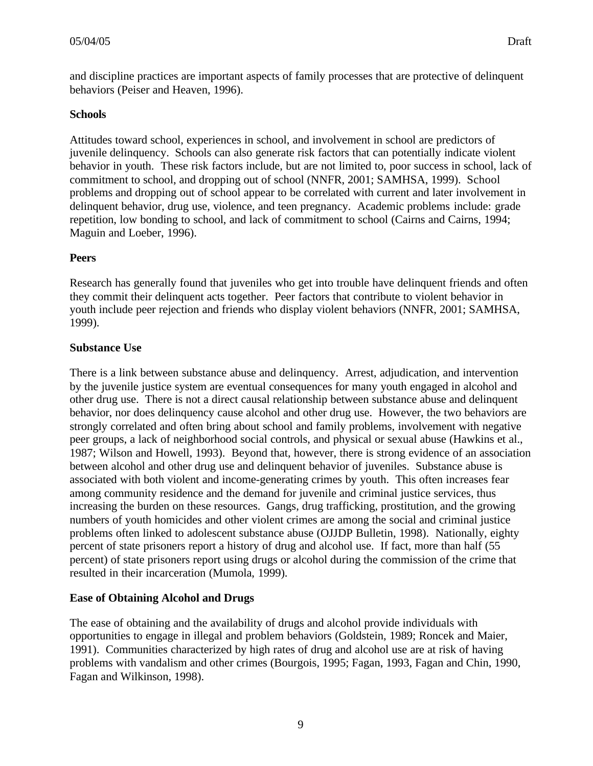and discipline practices are important aspects of family processes that are protective of delinquent behaviors (Peiser and Heaven, 1996).

### **Schools**

Attitudes toward school, experiences in school, and involvement in school are predictors of juvenile delinquency. Schools can also generate risk factors that can potentially indicate violent behavior in youth. These risk factors include, but are not limited to, poor success in school, lack of commitment to school, and dropping out of school (NNFR, 2001; SAMHSA, 1999). School problems and dropping out of school appear to be correlated with current and later involvement in delinquent behavior, drug use, violence, and teen pregnancy. Academic problems include: grade repetition, low bonding to school, and lack of commitment to school (Cairns and Cairns, 1994; Maguin and Loeber, 1996).

# **Peers**

Research has generally found that juveniles who get into trouble have delinquent friends and often they commit their delinquent acts together. Peer factors that contribute to violent behavior in youth include peer rejection and friends who display violent behaviors (NNFR, 2001; SAMHSA, 1999).

# **Substance Use**

There is a link between substance abuse and delinquency. Arrest, adjudication, and intervention by the juvenile justice system are eventual consequences for many youth engaged in alcohol and other drug use. There is not a direct causal relationship between substance abuse and delinquent behavior, nor does delinquency cause alcohol and other drug use. However, the two behaviors are strongly correlated and often bring about school and family problems, involvement with negative peer groups, a lack of neighborhood social controls, and physical or sexual abuse (Hawkins et al., 1987; Wilson and Howell, 1993). Beyond that, however, there is strong evidence of an association between alcohol and other drug use and delinquent behavior of juveniles. Substance abuse is associated with both violent and income-generating crimes by youth. This often increases fear among community residence and the demand for juvenile and criminal justice services, thus increasing the burden on these resources. Gangs, drug trafficking, prostitution, and the growing numbers of youth homicides and other violent crimes are among the social and criminal justice problems often linked to adolescent substance abuse (OJJDP Bulletin, 1998). Nationally, eighty percent of state prisoners report a history of drug and alcohol use. If fact, more than half (55 percent) of state prisoners report using drugs or alcohol during the commission of the crime that resulted in their incarceration (Mumola, 1999).

### **Ease of Obtaining Alcohol and Drugs**

The ease of obtaining and the availability of drugs and alcohol provide individuals with opportunities to engage in illegal and problem behaviors (Goldstein, 1989; Roncek and Maier, 1991). Communities characterized by high rates of drug and alcohol use are at risk of having problems with vandalism and other crimes (Bourgois, 1995; Fagan, 1993, Fagan and Chin, 1990, Fagan and Wilkinson, 1998).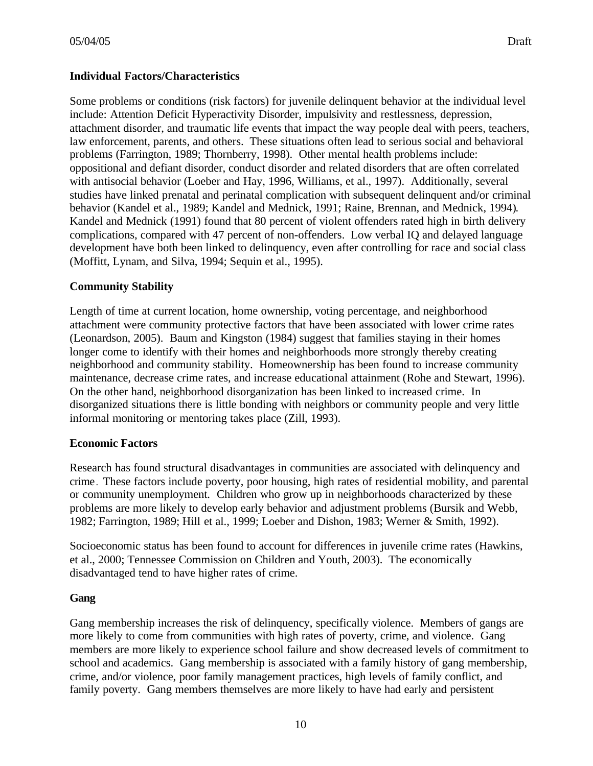# **Individual Factors/Characteristics**

Some problems or conditions (risk factors) for juvenile delinquent behavior at the individual level include: Attention Deficit Hyperactivity Disorder, impulsivity and restlessness, depression, attachment disorder, and traumatic life events that impact the way people deal with peers, teachers, law enforcement, parents, and others. These situations often lead to serious social and behavioral problems (Farrington, 1989; Thornberry, 1998). Other mental health problems include: oppositional and defiant disorder, conduct disorder and related disorders that are often correlated with antisocial behavior (Loeber and Hay, 1996, Williams, et al., 1997). Additionally, several studies have linked prenatal and perinatal complication with subsequent delinquent and/or criminal behavior (Kandel et al., 1989; Kandel and Mednick, 1991; Raine, Brennan, and Mednick, 1994). Kandel and Mednick (1991) found that 80 percent of violent offenders rated high in birth delivery complications, compared with 47 percent of non-offenders. Low verbal IQ and delayed language development have both been linked to delinquency, even after controlling for race and social class (Moffitt, Lynam, and Silva, 1994; Sequin et al., 1995).

### **Community Stability**

Length of time at current location, home ownership, voting percentage, and neighborhood attachment were community protective factors that have been associated with lower crime rates (Leonardson, 2005). Baum and Kingston (1984) suggest that families staying in their homes longer come to identify with their homes and neighborhoods more strongly thereby creating neighborhood and community stability. Homeownership has been found to increase community maintenance, decrease crime rates, and increase educational attainment (Rohe and Stewart, 1996). On the other hand, neighborhood disorganization has been linked to increased crime. In disorganized situations there is little bonding with neighbors or community people and very little informal monitoring or mentoring takes place (Zill, 1993).

### **Economic Factors**

Research has found structural disadvantages in communities are associated with delinquency and crime. These factors include poverty, poor housing, high rates of residential mobility, and parental or community unemployment. Children who grow up in neighborhoods characterized by these problems are more likely to develop early behavior and adjustment problems (Bursik and Webb, 1982; Farrington, 1989; Hill et al., 1999; Loeber and Dishon, 1983; Werner & Smith, 1992).

Socioeconomic status has been found to account for differences in juvenile crime rates (Hawkins, et al., 2000; Tennessee Commission on Children and Youth, 2003). The economically disadvantaged tend to have higher rates of crime.

### **Gang**

Gang membership increases the risk of delinquency, specifically violence. Members of gangs are more likely to come from communities with high rates of poverty, crime, and violence. Gang members are more likely to experience school failure and show decreased levels of commitment to school and academics. Gang membership is associated with a family history of gang membership, crime, and/or violence, poor family management practices, high levels of family conflict, and family poverty. Gang members themselves are more likely to have had early and persistent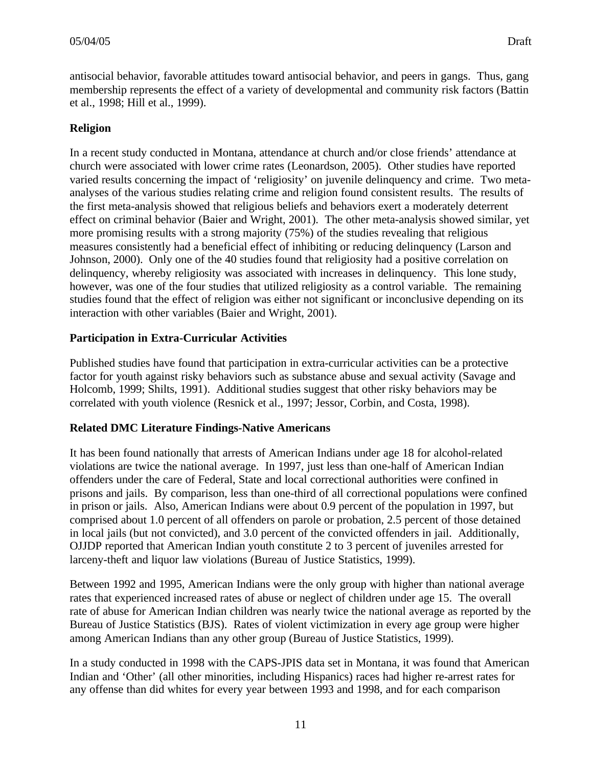antisocial behavior, favorable attitudes toward antisocial behavior, and peers in gangs. Thus, gang membership represents the effect of a variety of developmental and community risk factors (Battin et al., 1998; Hill et al., 1999).

# **Religion**

In a recent study conducted in Montana, attendance at church and/or close friends' attendance at church were associated with lower crime rates (Leonardson, 2005). Other studies have reported varied results concerning the impact of 'religiosity' on juvenile delinquency and crime. Two metaanalyses of the various studies relating crime and religion found consistent results. The results of the first meta-analysis showed that religious beliefs and behaviors exert a moderately deterrent effect on criminal behavior (Baier and Wright, 2001). The other meta-analysis showed similar, yet more promising results with a strong majority (75%) of the studies revealing that religious measures consistently had a beneficial effect of inhibiting or reducing delinquency (Larson and Johnson, 2000). Only one of the 40 studies found that religiosity had a positive correlation on delinquency, whereby religiosity was associated with increases in delinquency. This lone study, however, was one of the four studies that utilized religiosity as a control variable. The remaining studies found that the effect of religion was either not significant or inconclusive depending on its interaction with other variables (Baier and Wright, 2001).

# **Participation in Extra-Curricular Activities**

Published studies have found that participation in extra-curricular activities can be a protective factor for youth against risky behaviors such as substance abuse and sexual activity (Savage and Holcomb, 1999; Shilts, 1991). Additional studies suggest that other risky behaviors may be correlated with youth violence (Resnick et al., 1997; Jessor, Corbin, and Costa, 1998).

# **Related DMC Literature Findings-Native Americans**

It has been found nationally that arrests of American Indians under age 18 for alcohol-related violations are twice the national average. In 1997, just less than one-half of American Indian offenders under the care of Federal, State and local correctional authorities were confined in prisons and jails. By comparison, less than one-third of all correctional populations were confined in prison or jails. Also, American Indians were about 0.9 percent of the population in 1997, but comprised about 1.0 percent of all offenders on parole or probation, 2.5 percent of those detained in local jails (but not convicted), and 3.0 percent of the convicted offenders in jail. Additionally, OJJDP reported that American Indian youth constitute 2 to 3 percent of juveniles arrested for larceny-theft and liquor law violations (Bureau of Justice Statistics, 1999).

Between 1992 and 1995, American Indians were the only group with higher than national average rates that experienced increased rates of abuse or neglect of children under age 15. The overall rate of abuse for American Indian children was nearly twice the national average as reported by the Bureau of Justice Statistics (BJS). Rates of violent victimization in every age group were higher among American Indians than any other group (Bureau of Justice Statistics, 1999).

In a study conducted in 1998 with the CAPS-JPIS data set in Montana, it was found that American Indian and 'Other' (all other minorities, including Hispanics) races had higher re-arrest rates for any offense than did whites for every year between 1993 and 1998, and for each comparison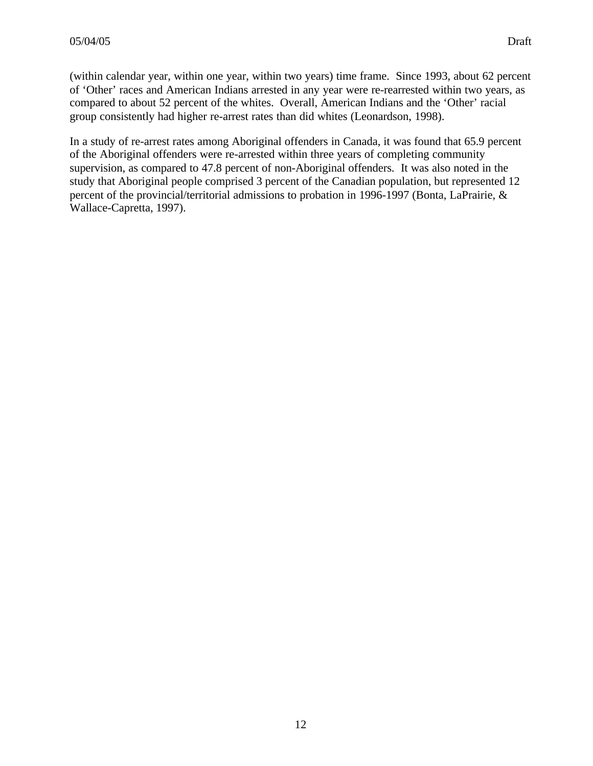(within calendar year, within one year, within two years) time frame. Since 1993, about 62 percent of 'Other' races and American Indians arrested in any year were re-rearrested within two years, as compared to about 52 percent of the whites. Overall, American Indians and the 'Other' racial group consistently had higher re-arrest rates than did whites (Leonardson, 1998).

In a study of re-arrest rates among Aboriginal offenders in Canada, it was found that 65.9 percent of the Aboriginal offenders were re-arrested within three years of completing community supervision, as compared to 47.8 percent of non-Aboriginal offenders. It was also noted in the study that Aboriginal people comprised 3 percent of the Canadian population, but represented 12 percent of the provincial/territorial admissions to probation in 1996-1997 (Bonta, LaPrairie, & Wallace-Capretta, 1997).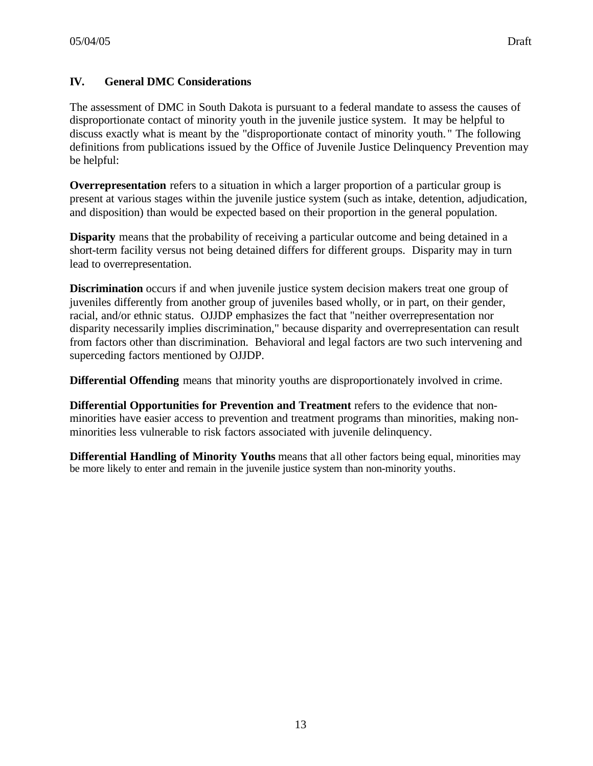# **IV. General DMC Considerations**

The assessment of DMC in South Dakota is pursuant to a federal mandate to assess the causes of disproportionate contact of minority youth in the juvenile justice system. It may be helpful to discuss exactly what is meant by the "disproportionate contact of minority youth. " The following definitions from publications issued by the Office of Juvenile Justice Delinquency Prevention may be helpful:

**Overrepresentation** refers to a situation in which a larger proportion of a particular group is present at various stages within the juvenile justice system (such as intake, detention, adjudication, and disposition) than would be expected based on their proportion in the general population.

**Disparity** means that the probability of receiving a particular outcome and being detained in a short-term facility versus not being detained differs for different groups. Disparity may in turn lead to overrepresentation.

**Discrimination** occurs if and when juvenile justice system decision makers treat one group of juveniles differently from another group of juveniles based wholly, or in part, on their gender, racial, and/or ethnic status. OJJDP emphasizes the fact that "neither overrepresentation nor disparity necessarily implies discrimination," because disparity and overrepresentation can result from factors other than discrimination. Behavioral and legal factors are two such intervening and superceding factors mentioned by OJJDP.

**Differential Offending** means that minority youths are disproportionately involved in crime.

**Differential Opportunities for Prevention and Treatment** refers to the evidence that nonminorities have easier access to prevention and treatment programs than minorities, making nonminorities less vulnerable to risk factors associated with juvenile delinquency.

**Differential Handling of Minority Youths** means that all other factors being equal, minorities may be more likely to enter and remain in the juvenile justice system than non-minority youths.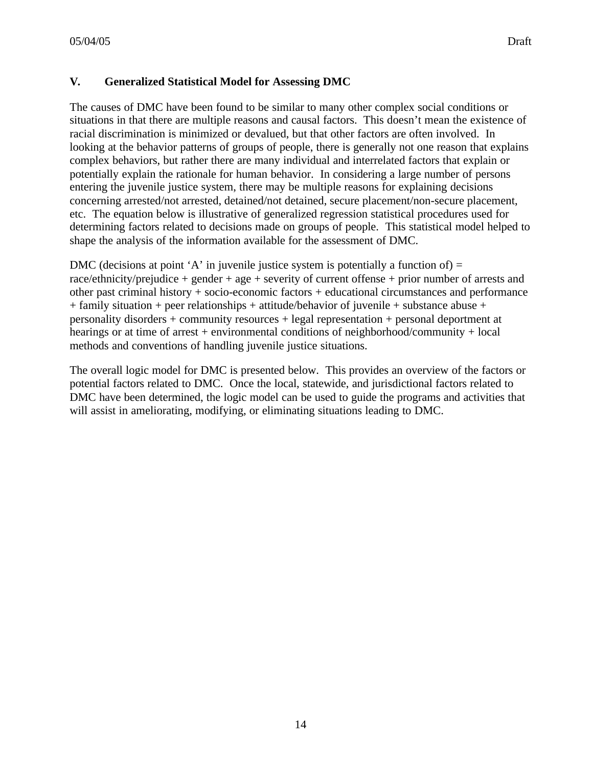# **V. Generalized Statistical Model for Assessing DMC**

The causes of DMC have been found to be similar to many other complex social conditions or situations in that there are multiple reasons and causal factors. This doesn't mean the existence of racial discrimination is minimized or devalued, but that other factors are often involved. In looking at the behavior patterns of groups of people, there is generally not one reason that explains complex behaviors, but rather there are many individual and interrelated factors that explain or potentially explain the rationale for human behavior. In considering a large number of persons entering the juvenile justice system, there may be multiple reasons for explaining decisions concerning arrested/not arrested, detained/not detained, secure placement/non-secure placement, etc. The equation below is illustrative of generalized regression statistical procedures used for determining factors related to decisions made on groups of people. This statistical model helped to shape the analysis of the information available for the assessment of DMC.

DMC (decisions at point 'A' in juvenile justice system is potentially a function of)  $=$ race/ethnicity/prejudice + gender + age + severity of current offense + prior number of arrests and other past criminal history + socio-economic factors + educational circumstances and performance + family situation + peer relationships + attitude/behavior of juvenile + substance abuse + personality disorders + community resources + legal representation + personal deportment at hearings or at time of arrest + environmental conditions of neighborhood/community + local methods and conventions of handling juvenile justice situations.

The overall logic model for DMC is presented below. This provides an overview of the factors or potential factors related to DMC. Once the local, statewide, and jurisdictional factors related to DMC have been determined, the logic model can be used to guide the programs and activities that will assist in ameliorating, modifying, or eliminating situations leading to DMC.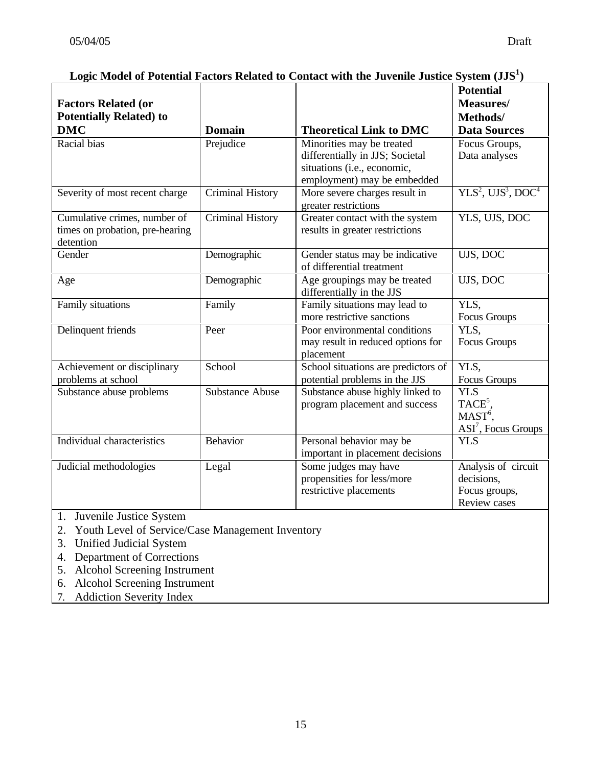| <b>Factors Related (or</b>                                                   |                         |                                                                                                                            | <b>Potential</b><br>Measures/                                           |
|------------------------------------------------------------------------------|-------------------------|----------------------------------------------------------------------------------------------------------------------------|-------------------------------------------------------------------------|
| <b>Potentially Related) to</b>                                               |                         |                                                                                                                            | Methods/                                                                |
| <b>DMC</b>                                                                   | <b>Domain</b>           | <b>Theoretical Link to DMC</b>                                                                                             | <b>Data Sources</b>                                                     |
| Racial bias                                                                  | Prejudice               | Minorities may be treated<br>differentially in JJS; Societal<br>situations (i.e., economic,<br>employment) may be embedded | Focus Groups,<br>Data analyses                                          |
| Severity of most recent charge                                               | <b>Criminal History</b> | More severe charges result in<br>greater restrictions                                                                      | $YLS2$ , $UJS3$ , DOC <sup>4</sup>                                      |
| Cumulative crimes, number of<br>times on probation, pre-hearing<br>detention | <b>Criminal History</b> | Greater contact with the system<br>results in greater restrictions                                                         | YLS, UJS, DOC                                                           |
| Gender                                                                       | Demographic             | Gender status may be indicative<br>of differential treatment                                                               | UJS, DOC                                                                |
| Age                                                                          | Demographic             | Age groupings may be treated<br>differentially in the JJS                                                                  | UJS, DOC                                                                |
| Family situations                                                            | Family                  | Family situations may lead to<br>more restrictive sanctions                                                                | YLS,<br>Focus Groups                                                    |
| Delinquent friends                                                           | Peer                    | Poor environmental conditions<br>may result in reduced options for<br>placement                                            | YLS,<br>Focus Groups                                                    |
| Achievement or disciplinary<br>problems at school                            | School                  | School situations are predictors of<br>potential problems in the JJS                                                       | YLS,<br>Focus Groups                                                    |
| Substance abuse problems                                                     | <b>Substance Abuse</b>  | Substance abuse highly linked to<br>program placement and success                                                          | <b>YLS</b><br>TACE <sup>5</sup> ,<br>$MAST6$ ,<br>$ASI7$ , Focus Groups |
| Individual characteristics                                                   | <b>Behavior</b>         | Personal behavior may be<br>important in placement decisions                                                               | <b>YLS</b>                                                              |
| Judicial methodologies                                                       | Legal                   | Some judges may have<br>propensities for less/more<br>restrictive placements                                               | Analysis of circuit<br>decisions,<br>Focus groups,<br>Review cases      |

# **Logic Model of Potential Factors Related to Contact with the Juvenile Justice System (JJS<sup>1</sup> )**

- 1. Juvenile Justice System
- 2. Youth Level of Service/Case Management Inventory
- 3. Unified Judicial System
- 4. Department of Corrections
- 5. Alcohol Screening Instrument
- 6. Alcohol Screening Instrument
- 7. Addiction Severity Index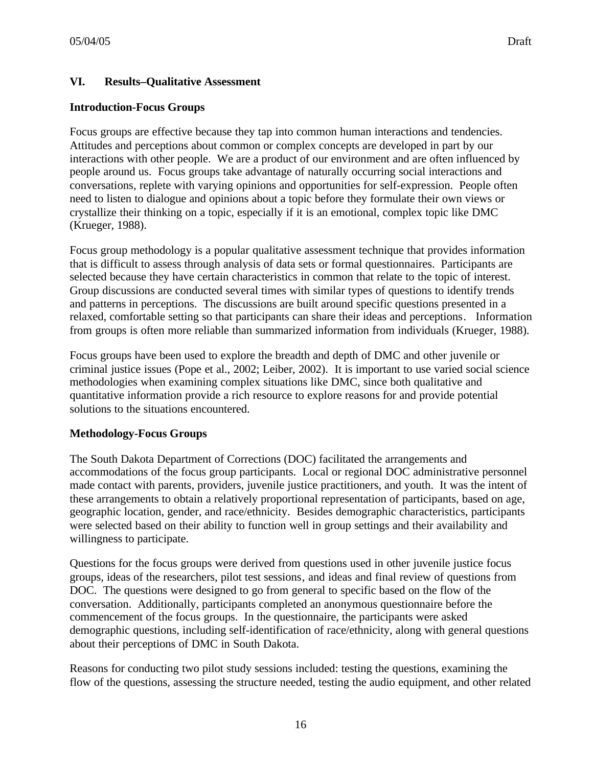# **VI. Results–Qualitative Assessment**

#### **Introduction-Focus Groups**

Focus groups are effective because they tap into common human interactions and tendencies. Attitudes and perceptions about common or complex concepts are developed in part by our interactions with other people. We are a product of our environment and are often influenced by people around us. Focus groups take advantage of naturally occurring social interactions and conversations, replete with varying opinions and opportunities for self-expression. People often need to listen to dialogue and opinions about a topic before they formulate their own views or crystallize their thinking on a topic, especially if it is an emotional, complex topic like DMC (Krueger, 1988).

Focus group methodology is a popular qualitative assessment technique that provides information that is difficult to assess through analysis of data sets or formal questionnaires. Participants are selected because they have certain characteristics in common that relate to the topic of interest. Group discussions are conducted several times with similar types of questions to identify trends and patterns in perceptions. The discussions are built around specific questions presented in a relaxed, comfortable setting so that participants can share their ideas and perceptions. Information from groups is often more reliable than summarized information from individuals (Krueger, 1988).

Focus groups have been used to explore the breadth and depth of DMC and other juvenile or criminal justice issues (Pope et al., 2002; Leiber, 2002). It is important to use varied social science methodologies when examining complex situations like DMC, since both qualitative and quantitative information provide a rich resource to explore reasons for and provide potential solutions to the situations encountered.

### **Methodology-Focus Groups**

The South Dakota Department of Corrections (DOC) facilitated the arrangements and accommodations of the focus group participants. Local or regional DOC administrative personnel made contact with parents, providers, juvenile justice practitioners, and youth. It was the intent of these arrangements to obtain a relatively proportional representation of participants, based on age, geographic location, gender, and race/ethnicity. Besides demographic characteristics, participants were selected based on their ability to function well in group settings and their availability and willingness to participate.

Questions for the focus groups were derived from questions used in other juvenile justice focus groups, ideas of the researchers, pilot test sessions, and ideas and final review of questions from DOC. The questions were designed to go from general to specific based on the flow of the conversation. Additionally, participants completed an anonymous questionnaire before the commencement of the focus groups. In the questionnaire, the participants were asked demographic questions, including self-identification of race/ethnicity, along with general questions about their perceptions of DMC in South Dakota.

Reasons for conducting two pilot study sessions included: testing the questions, examining the flow of the questions, assessing the structure needed, testing the audio equipment, and other related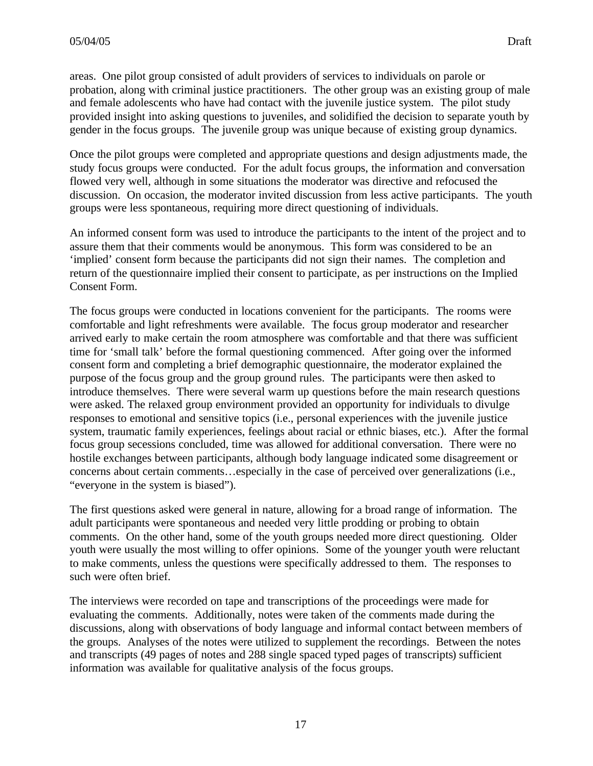areas. One pilot group consisted of adult providers of services to individuals on parole or probation, along with criminal justice practitioners. The other group was an existing group of male and female adolescents who have had contact with the juvenile justice system. The pilot study provided insight into asking questions to juveniles, and solidified the decision to separate youth by gender in the focus groups. The juvenile group was unique because of existing group dynamics.

Once the pilot groups were completed and appropriate questions and design adjustments made, the study focus groups were conducted. For the adult focus groups, the information and conversation flowed very well, although in some situations the moderator was directive and refocused the discussion. On occasion, the moderator invited discussion from less active participants. The youth groups were less spontaneous, requiring more direct questioning of individuals.

An informed consent form was used to introduce the participants to the intent of the project and to assure them that their comments would be anonymous. This form was considered to be an 'implied' consent form because the participants did not sign their names. The completion and return of the questionnaire implied their consent to participate, as per instructions on the Implied Consent Form.

The focus groups were conducted in locations convenient for the participants. The rooms were comfortable and light refreshments were available. The focus group moderator and researcher arrived early to make certain the room atmosphere was comfortable and that there was sufficient time for 'small talk' before the formal questioning commenced. After going over the informed consent form and completing a brief demographic questionnaire, the moderator explained the purpose of the focus group and the group ground rules. The participants were then asked to introduce themselves. There were several warm up questions before the main research questions were asked. The relaxed group environment provided an opportunity for individuals to divulge responses to emotional and sensitive topics (i.e., personal experiences with the juvenile justice system, traumatic family experiences, feelings about racial or ethnic biases, etc.). After the formal focus group secessions concluded, time was allowed for additional conversation. There were no hostile exchanges between participants, although body language indicated some disagreement or concerns about certain comments…especially in the case of perceived over generalizations (i.e., "everyone in the system is biased").

The first questions asked were general in nature, allowing for a broad range of information. The adult participants were spontaneous and needed very little prodding or probing to obtain comments. On the other hand, some of the youth groups needed more direct questioning. Older youth were usually the most willing to offer opinions. Some of the younger youth were reluctant to make comments, unless the questions were specifically addressed to them. The responses to such were often brief.

The interviews were recorded on tape and transcriptions of the proceedings were made for evaluating the comments. Additionally, notes were taken of the comments made during the discussions, along with observations of body language and informal contact between members of the groups. Analyses of the notes were utilized to supplement the recordings. Between the notes and transcripts (49 pages of notes and 288 single spaced typed pages of transcripts) sufficient information was available for qualitative analysis of the focus groups.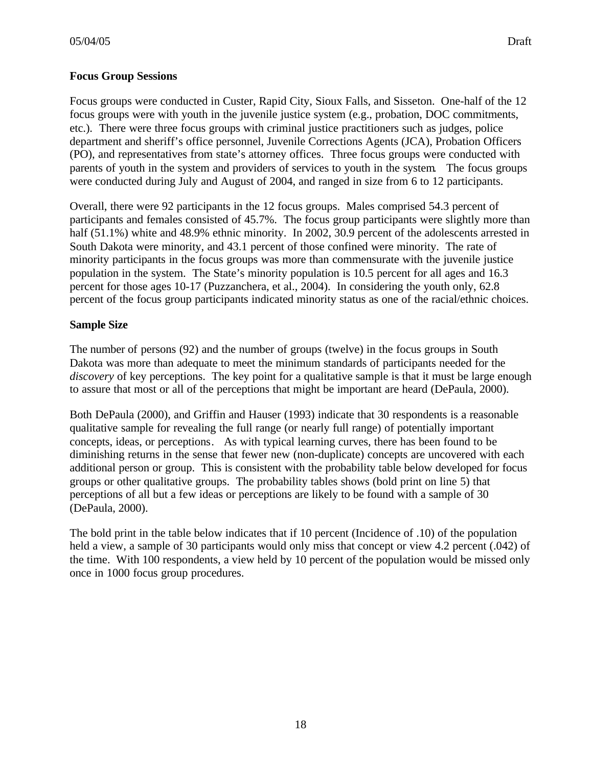Focus groups were conducted in Custer, Rapid City, Sioux Falls, and Sisseton. One-half of the 12 focus groups were with youth in the juvenile justice system (e.g., probation, DOC commitments, etc.). There were three focus groups with criminal justice practitioners such as judges, police department and sheriff's office personnel, Juvenile Corrections Agents (JCA), Probation Officers (PO), and representatives from state's attorney offices. Three focus groups were conducted with parents of youth in the system and providers of services to youth in the system. The focus groups were conducted during July and August of 2004, and ranged in size from 6 to 12 participants.

Overall, there were 92 participants in the 12 focus groups. Males comprised 54.3 percent of participants and females consisted of 45.7%. The focus group participants were slightly more than half (51.1%) white and 48.9% ethnic minority. In 2002, 30.9 percent of the adolescents arrested in South Dakota were minority, and 43.1 percent of those confined were minority. The rate of minority participants in the focus groups was more than commensurate with the juvenile justice population in the system. The State's minority population is 10.5 percent for all ages and 16.3 percent for those ages 10-17 (Puzzanchera, et al., 2004). In considering the youth only, 62.8 percent of the focus group participants indicated minority status as one of the racial/ethnic choices.

# **Sample Size**

The number of persons (92) and the number of groups (twelve) in the focus groups in South Dakota was more than adequate to meet the minimum standards of participants needed for the *discovery* of key perceptions. The key point for a qualitative sample is that it must be large enough to assure that most or all of the perceptions that might be important are heard (DePaula, 2000).

Both DePaula (2000), and Griffin and Hauser (1993) indicate that 30 respondents is a reasonable qualitative sample for revealing the full range (or nearly full range) of potentially important concepts, ideas, or perceptions. As with typical learning curves, there has been found to be diminishing returns in the sense that fewer new (non-duplicate) concepts are uncovered with each additional person or group. This is consistent with the probability table below developed for focus groups or other qualitative groups. The probability tables shows (bold print on line 5) that perceptions of all but a few ideas or perceptions are likely to be found with a sample of 30 (DePaula, 2000).

The bold print in the table below indicates that if 10 percent (Incidence of .10) of the population held a view, a sample of 30 participants would only miss that concept or view 4.2 percent (.042) of the time. With 100 respondents, a view held by 10 percent of the population would be missed only once in 1000 focus group procedures.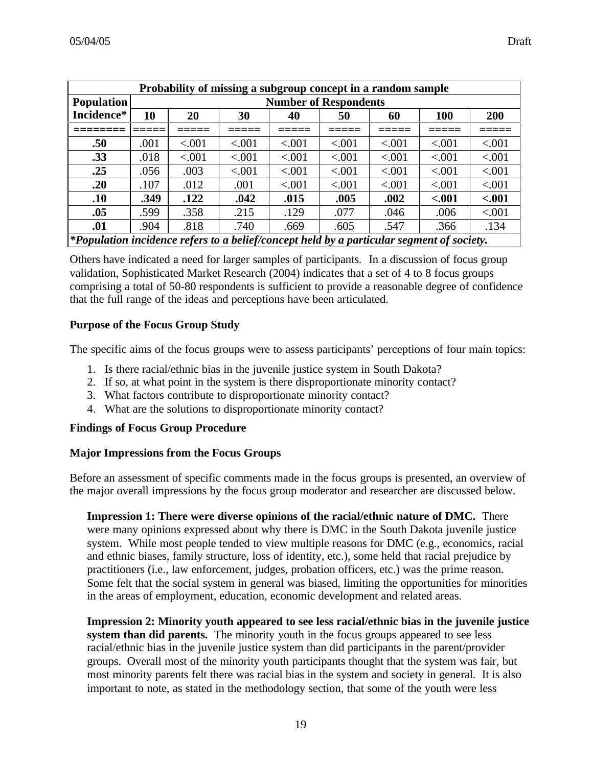| Probability of missing a subgroup concept in a random sample                                   |      |         |        |        |        |        |            |         |
|------------------------------------------------------------------------------------------------|------|---------|--------|--------|--------|--------|------------|---------|
| <b>Population</b><br><b>Number of Respondents</b>                                              |      |         |        |        |        |        |            |         |
| Incidence*                                                                                     | 10   | 20      | 30     | 40     | 50     | 60     | <b>100</b> | 200     |
|                                                                                                |      |         |        |        |        |        |            |         |
| .50                                                                                            | .001 | < 0.001 | < .001 | < .001 | < .001 | < .001 | < .001     | < .001  |
| .33                                                                                            | .018 | < .001  | < .001 | < .001 | < .001 | < .001 | < .001     | < .001  |
| .25                                                                                            | .056 | .003    | < .001 | < .001 | < .001 | < .001 | < .001     | < .001  |
| .20                                                                                            | .107 | .012    | .001   | < .001 | < .001 | < .001 | < .001     | < .001  |
| .10                                                                                            | .349 | .122    | .042   | .015   | .005   | .002   | $-.001$    | $-.001$ |
| .05                                                                                            | .599 | .358    | .215   | .129   | .077   | .046   | .006       | < .001  |
| .01                                                                                            | .904 | .818    | .740   | .669   | .605   | .547   | .366       | .134    |
| $\ast$ Population incidence refers to a heliefleoneent held by a narticular sequent of society |      |         |        |        |        |        |            |         |

*\*Population incidence refers to a belief/concept held by a particular segment of society.*

Others have indicated a need for larger samples of participants. In a discussion of focus group validation, Sophisticated Market Research (2004) indicates that a set of 4 to 8 focus groups comprising a total of 50-80 respondents is sufficient to provide a reasonable degree of confidence that the full range of the ideas and perceptions have been articulated.

#### **Purpose of the Focus Group Study**

The specific aims of the focus groups were to assess participants' perceptions of four main topics:

- 1. Is there racial/ethnic bias in the juvenile justice system in South Dakota?
- 2. If so, at what point in the system is there disproportionate minority contact?
- 3. What factors contribute to disproportionate minority contact?
- 4. What are the solutions to disproportionate minority contact?

#### **Findings of Focus Group Procedure**

#### **Major Impressions from the Focus Groups**

Before an assessment of specific comments made in the focus groups is presented, an overview of the major overall impressions by the focus group moderator and researcher are discussed below.

**Impression 1: There were diverse opinions of the racial/ethnic nature of DMC.** There were many opinions expressed about why there is DMC in the South Dakota juvenile justice system. While most people tended to view multiple reasons for DMC (e.g., economics, racial and ethnic biases, family structure, loss of identity, etc.), some held that racial prejudice by practitioners (i.e., law enforcement, judges, probation officers, etc.) was the prime reason. Some felt that the social system in general was biased, limiting the opportunities for minorities in the areas of employment, education, economic development and related areas.

**Impression 2: Minority youth appeared to see less racial/ethnic bias in the juvenile justice system than did parents.** The minority youth in the focus groups appeared to see less racial/ethnic bias in the juvenile justice system than did participants in the parent/provider groups. Overall most of the minority youth participants thought that the system was fair, but most minority parents felt there was racial bias in the system and society in general. It is also important to note, as stated in the methodology section, that some of the youth were less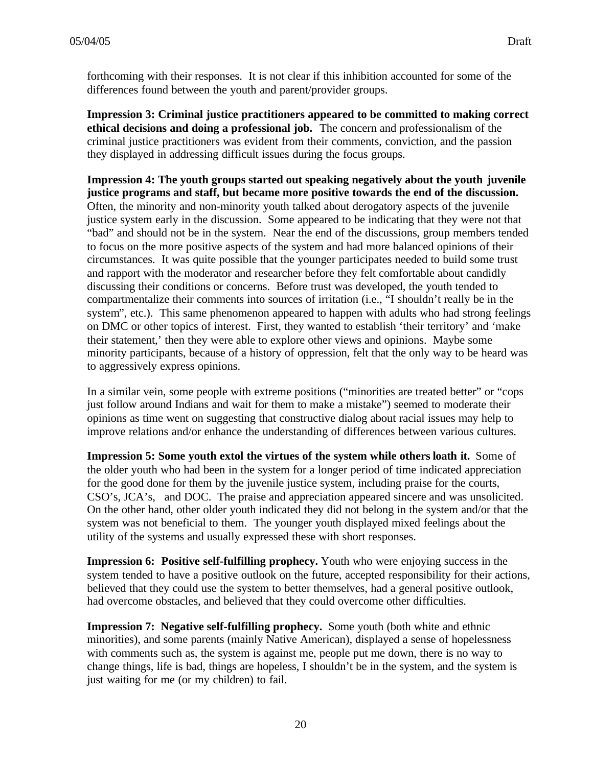forthcoming with their responses. It is not clear if this inhibition accounted for some of the differences found between the youth and parent/provider groups.

**Impression 3: Criminal justice practitioners appeared to be committed to making correct ethical decisions and doing a professional job.** The concern and professionalism of the criminal justice practitioners was evident from their comments, conviction, and the passion they displayed in addressing difficult issues during the focus groups.

**Impression 4: The youth groups started out speaking negatively about the youth juvenile justice programs and staff, but became more positive towards the end of the discussion.** Often, the minority and non-minority youth talked about derogatory aspects of the juvenile justice system early in the discussion. Some appeared to be indicating that they were not that "bad" and should not be in the system. Near the end of the discussions, group members tended to focus on the more positive aspects of the system and had more balanced opinions of their circumstances. It was quite possible that the younger participates needed to build some trust and rapport with the moderator and researcher before they felt comfortable about candidly discussing their conditions or concerns. Before trust was developed, the youth tended to compartmentalize their comments into sources of irritation (i.e., "I shouldn't really be in the system", etc.). This same phenomenon appeared to happen with adults who had strong feelings on DMC or other topics of interest. First, they wanted to establish 'their territory' and 'make their statement,' then they were able to explore other views and opinions. Maybe some minority participants, because of a history of oppression, felt that the only way to be heard was to aggressively express opinions.

In a similar vein, some people with extreme positions ("minorities are treated better" or "cops just follow around Indians and wait for them to make a mistake") seemed to moderate their opinions as time went on suggesting that constructive dialog about racial issues may help to improve relations and/or enhance the understanding of differences between various cultures.

**Impression 5: Some youth extol the virtues of the system while others loath it.** Some of the older youth who had been in the system for a longer period of time indicated appreciation for the good done for them by the juvenile justice system, including praise for the courts, CSO's, JCA's, and DOC. The praise and appreciation appeared sincere and was unsolicited. On the other hand, other older youth indicated they did not belong in the system and/or that the system was not beneficial to them. The younger youth displayed mixed feelings about the utility of the systems and usually expressed these with short responses.

**Impression 6: Positive self-fulfilling prophecy.** Youth who were enjoying success in the system tended to have a positive outlook on the future, accepted responsibility for their actions, believed that they could use the system to better themselves, had a general positive outlook, had overcome obstacles, and believed that they could overcome other difficulties.

**Impression 7: Negative self-fulfilling prophecy.** Some youth (both white and ethnic minorities), and some parents (mainly Native American), displayed a sense of hopelessness with comments such as, the system is against me, people put me down, there is no way to change things, life is bad, things are hopeless, I shouldn't be in the system, and the system is just waiting for me (or my children) to fail.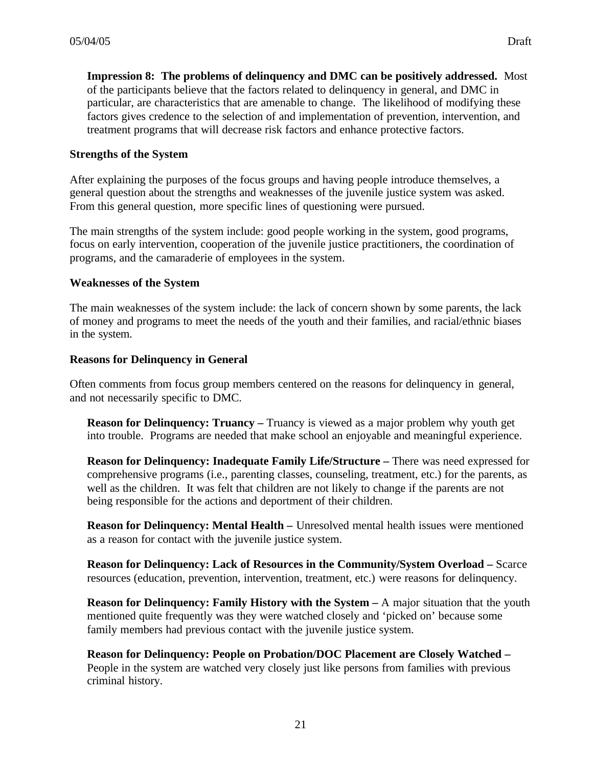**Impression 8: The problems of delinquency and DMC can be positively addressed.** Most of the participants believe that the factors related to delinquency in general, and DMC in particular, are characteristics that are amenable to change. The likelihood of modifying these factors gives credence to the selection of and implementation of prevention, intervention, and treatment programs that will decrease risk factors and enhance protective factors.

#### **Strengths of the System**

After explaining the purposes of the focus groups and having people introduce themselves, a general question about the strengths and weaknesses of the juvenile justice system was asked. From this general question, more specific lines of questioning were pursued.

The main strengths of the system include: good people working in the system, good programs, focus on early intervention, cooperation of the juvenile justice practitioners, the coordination of programs, and the camaraderie of employees in the system.

#### **Weaknesses of the System**

The main weaknesses of the system include: the lack of concern shown by some parents, the lack of money and programs to meet the needs of the youth and their families, and racial/ethnic biases in the system.

#### **Reasons for Delinquency in General**

Often comments from focus group members centered on the reasons for delinquency in general, and not necessarily specific to DMC.

**Reason for Delinquency: Truancy** – Truancy is viewed as a major problem why youth get into trouble. Programs are needed that make school an enjoyable and meaningful experience.

**Reason for Delinquency: Inadequate Family Life/Structure – There was need expressed for** comprehensive programs (i.e., parenting classes, counseling, treatment, etc.) for the parents, as well as the children. It was felt that children are not likely to change if the parents are not being responsible for the actions and deportment of their children.

**Reason for Delinquency: Mental Health –** Unresolved mental health issues were mentioned as a reason for contact with the juvenile justice system.

**Reason for Delinquency: Lack of Resources in the Community/System Overload –** Scarce resources (education, prevention, intervention, treatment, etc.) were reasons for delinquency.

**Reason for Delinquency: Family History with the System – A major situation that the youth** mentioned quite frequently was they were watched closely and 'picked on' because some family members had previous contact with the juvenile justice system.

**Reason for Delinquency: People on Probation/DOC Placement are Closely Watched –** People in the system are watched very closely just like persons from families with previous criminal history.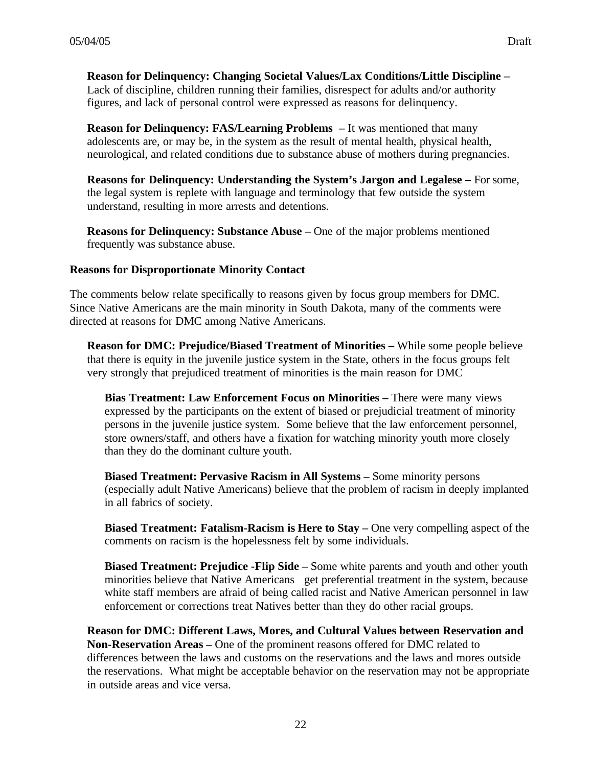**Reason for Delinquency: Changing Societal Values/Lax Conditions/Little Discipline –** Lack of discipline, children running their families, disrespect for adults and/or authority figures, and lack of personal control were expressed as reasons for delinquency.

**Reason for Delinquency: FAS/Learning Problems** – It was mentioned that many adolescents are, or may be, in the system as the result of mental health, physical health, neurological, and related conditions due to substance abuse of mothers during pregnancies.

**Reasons for Delinquency: Understanding the System's Jargon and Legalese –** For some, the legal system is replete with language and terminology that few outside the system understand, resulting in more arrests and detentions.

**Reasons for Delinquency: Substance Abuse –** One of the major problems mentioned frequently was substance abuse.

#### **Reasons for Disproportionate Minority Contact**

The comments below relate specifically to reasons given by focus group members for DMC. Since Native Americans are the main minority in South Dakota, many of the comments were directed at reasons for DMC among Native Americans.

**Reason for DMC: Prejudice/Biased Treatment of Minorities –** While some people believe that there is equity in the juvenile justice system in the State, others in the focus groups felt very strongly that prejudiced treatment of minorities is the main reason for DMC

**Bias Treatment: Law Enforcement Focus on Minorities –** There were many views expressed by the participants on the extent of biased or prejudicial treatment of minority persons in the juvenile justice system. Some believe that the law enforcement personnel, store owners/staff, and others have a fixation for watching minority youth more closely than they do the dominant culture youth.

**Biased Treatment: Pervasive Racism in All Systems –** Some minority persons (especially adult Native Americans) believe that the problem of racism in deeply implanted in all fabrics of society.

**Biased Treatment: Fatalism-Racism is Here to Stay –** One very compelling aspect of the comments on racism is the hopelessness felt by some individuals.

**Biased Treatment: Prejudice -Flip Side –** Some white parents and youth and other youth minorities believe that Native Americans get preferential treatment in the system, because white staff members are afraid of being called racist and Native American personnel in law enforcement or corrections treat Natives better than they do other racial groups.

**Reason for DMC: Different Laws, Mores, and Cultural Values between Reservation and Non-Reservation Areas –** One of the prominent reasons offered for DMC related to differences between the laws and customs on the reservations and the laws and mores outside the reservations. What might be acceptable behavior on the reservation may not be appropriate in outside areas and vice versa.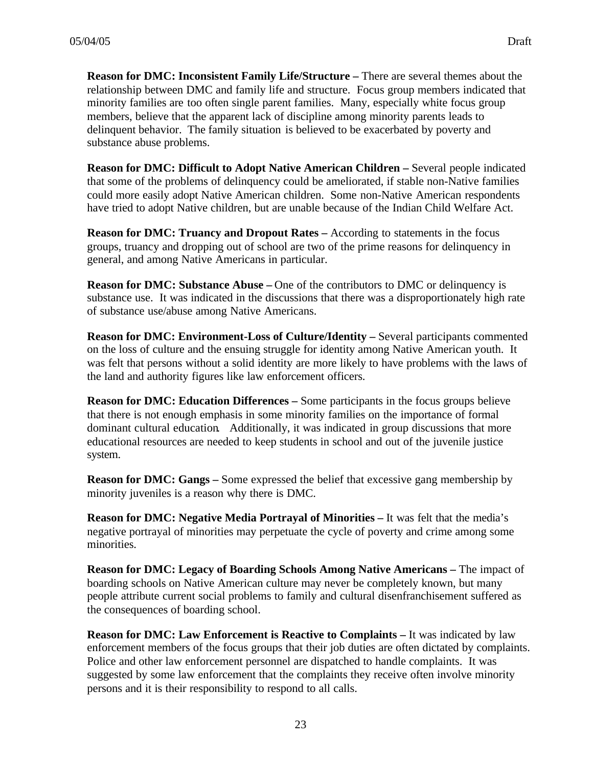**Reason for DMC: Inconsistent Family Life/Structure – There are several themes about the** relationship between DMC and family life and structure. Focus group members indicated that minority families are too often single parent families. Many, especially white focus group members, believe that the apparent lack of discipline among minority parents leads to delinquent behavior. The family situation is believed to be exacerbated by poverty and substance abuse problems.

**Reason for DMC: Difficult to Adopt Native American Children –** Several people indicated that some of the problems of delinquency could be ameliorated, if stable non-Native families could more easily adopt Native American children. Some non-Native American respondents have tried to adopt Native children, but are unable because of the Indian Child Welfare Act.

**Reason for DMC: Truancy and Dropout Rates –** According to statements in the focus groups, truancy and dropping out of school are two of the prime reasons for delinquency in general, and among Native Americans in particular.

**Reason for DMC: Substance Abuse** – One of the contributors to DMC or delinguency is substance use. It was indicated in the discussions that there was a disproportionately high rate of substance use/abuse among Native Americans.

**Reason for DMC: Environment-Loss of Culture/Identity – Several participants commented** on the loss of culture and the ensuing struggle for identity among Native American youth. It was felt that persons without a solid identity are more likely to have problems with the laws of the land and authority figures like law enforcement officers.

**Reason for DMC: Education Differences –** Some participants in the focus groups believe that there is not enough emphasis in some minority families on the importance of formal dominant cultural education. Additionally, it was indicated in group discussions that more educational resources are needed to keep students in school and out of the juvenile justice system.

**Reason for DMC: Gangs –** Some expressed the belief that excessive gang membership by minority juveniles is a reason why there is DMC.

**Reason for DMC: Negative Media Portrayal of Minorities –** It was felt that the media's negative portrayal of minorities may perpetuate the cycle of poverty and crime among some minorities.

**Reason for DMC: Legacy of Boarding Schools Among Native Americans – The impact of** boarding schools on Native American culture may never be completely known, but many people attribute current social problems to family and cultural disenfranchisement suffered as the consequences of boarding school.

**Reason for DMC: Law Enforcement is Reactive to Complaints – It was indicated by law** enforcement members of the focus groups that their job duties are often dictated by complaints. Police and other law enforcement personnel are dispatched to handle complaints. It was suggested by some law enforcement that the complaints they receive often involve minority persons and it is their responsibility to respond to all calls.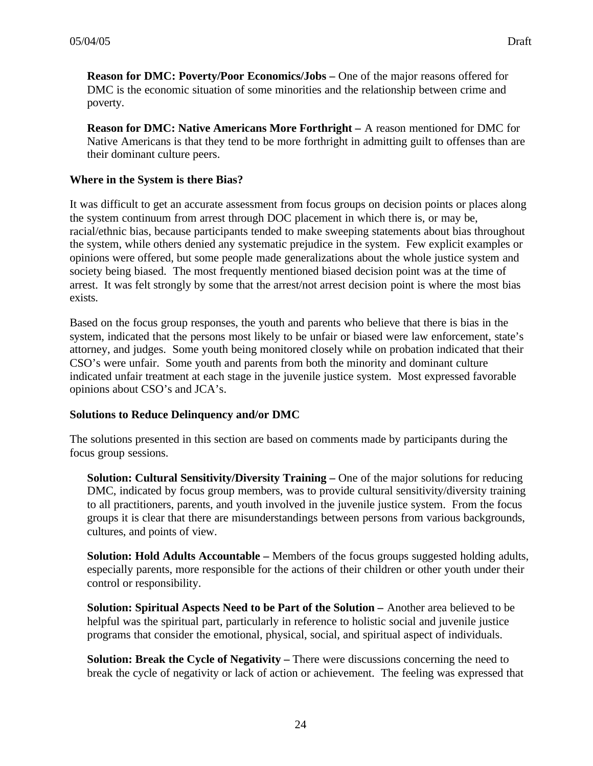**Reason for DMC: Poverty/Poor Economics/Jobs – One of the major reasons offered for** DMC is the economic situation of some minorities and the relationship between crime and poverty.

**Reason for DMC: Native Americans More Forthright –** A reason mentioned for DMC for Native Americans is that they tend to be more forthright in admitting guilt to offenses than are their dominant culture peers.

# **Where in the System is there Bias?**

It was difficult to get an accurate assessment from focus groups on decision points or places along the system continuum from arrest through DOC placement in which there is, or may be, racial/ethnic bias, because participants tended to make sweeping statements about bias throughout the system, while others denied any systematic prejudice in the system. Few explicit examples or opinions were offered, but some people made generalizations about the whole justice system and society being biased. The most frequently mentioned biased decision point was at the time of arrest. It was felt strongly by some that the arrest/not arrest decision point is where the most bias exists.

Based on the focus group responses, the youth and parents who believe that there is bias in the system, indicated that the persons most likely to be unfair or biased were law enforcement, state's attorney, and judges. Some youth being monitored closely while on probation indicated that their CSO's were unfair. Some youth and parents from both the minority and dominant culture indicated unfair treatment at each stage in the juvenile justice system. Most expressed favorable opinions about CSO's and JCA's.

### **Solutions to Reduce Delinquency and/or DMC**

The solutions presented in this section are based on comments made by participants during the focus group sessions.

**Solution: Cultural Sensitivity/Diversity Training – One of the major solutions for reducing** DMC, indicated by focus group members, was to provide cultural sensitivity/diversity training to all practitioners, parents, and youth involved in the juvenile justice system. From the focus groups it is clear that there are misunderstandings between persons from various backgrounds, cultures, and points of view.

**Solution: Hold Adults Accountable –** Members of the focus groups suggested holding adults, especially parents, more responsible for the actions of their children or other youth under their control or responsibility.

**Solution: Spiritual Aspects Need to be Part of the Solution –** Another area believed to be helpful was the spiritual part, particularly in reference to holistic social and juvenile justice programs that consider the emotional, physical, social, and spiritual aspect of individuals.

**Solution: Break the Cycle of Negativity – There were discussions concerning the need to** break the cycle of negativity or lack of action or achievement. The feeling was expressed that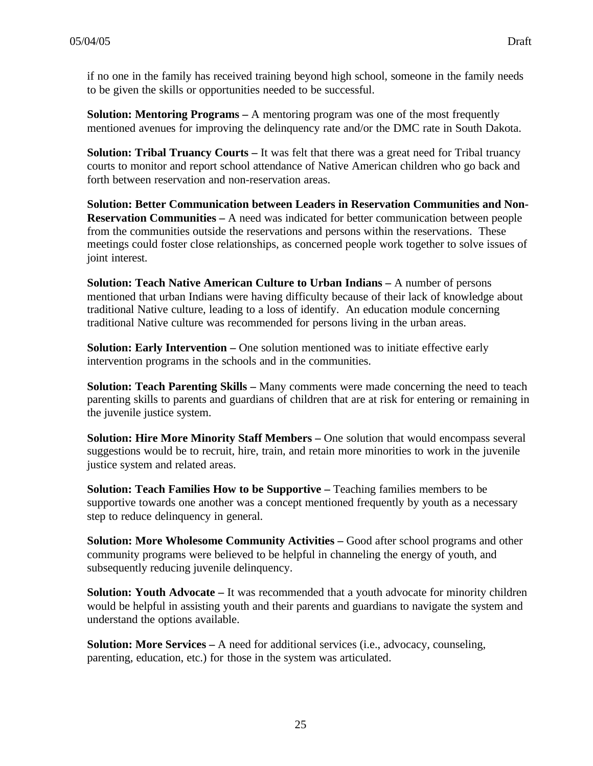if no one in the family has received training beyond high school, someone in the family needs to be given the skills or opportunities needed to be successful.

**Solution: Mentoring Programs** – A mentoring program was one of the most frequently mentioned avenues for improving the delinquency rate and/or the DMC rate in South Dakota.

**Solution: Tribal Truancy Courts – It was felt that there was a great need for Tribal truancy** courts to monitor and report school attendance of Native American children who go back and forth between reservation and non-reservation areas.

**Solution: Better Communication between Leaders in Reservation Communities and Non-Reservation Communities –** A need was indicated for better communication between people from the communities outside the reservations and persons within the reservations. These meetings could foster close relationships, as concerned people work together to solve issues of joint interest.

**Solution: Teach Native American Culture to Urban Indians –** A number of persons mentioned that urban Indians were having difficulty because of their lack of knowledge about traditional Native culture, leading to a loss of identify. An education module concerning traditional Native culture was recommended for persons living in the urban areas.

**Solution: Early Intervention – One solution mentioned was to initiate effective early** intervention programs in the schools and in the communities.

**Solution: Teach Parenting Skills – Many comments were made concerning the need to teach** parenting skills to parents and guardians of children that are at risk for entering or remaining in the juvenile justice system.

**Solution: Hire More Minority Staff Members – One solution that would encompass several** suggestions would be to recruit, hire, train, and retain more minorities to work in the juvenile justice system and related areas.

**Solution: Teach Families How to be Supportive – Teaching families members to be** supportive towards one another was a concept mentioned frequently by youth as a necessary step to reduce delinquency in general.

**Solution: More Wholesome Community Activities – Good after school programs and other** community programs were believed to be helpful in channeling the energy of youth, and subsequently reducing juvenile delinquency.

**Solution: Youth Advocate** – It was recommended that a youth advocate for minority children would be helpful in assisting youth and their parents and guardians to navigate the system and understand the options available.

**Solution: More Services –** A need for additional services (i.e., advocacy, counseling, parenting, education, etc.) for those in the system was articulated.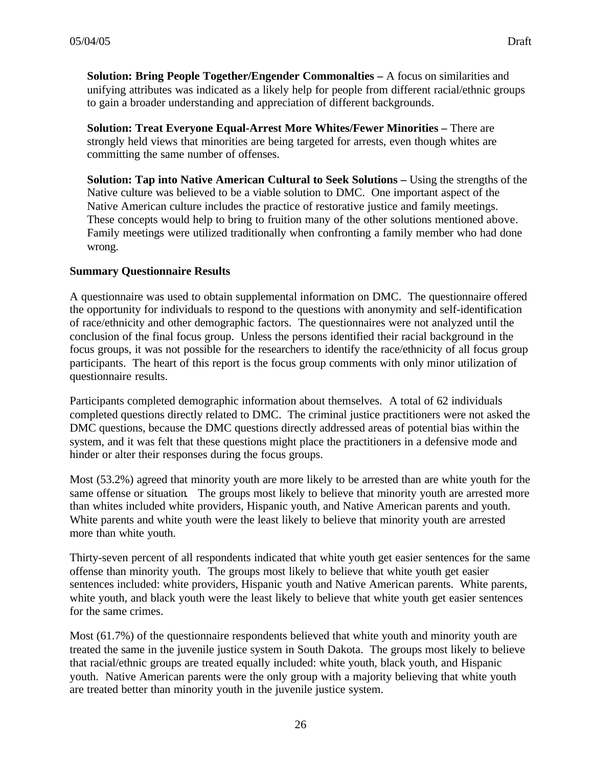**Solution: Bring People Together/Engender Commonalties –** A focus on similarities and unifying attributes was indicated as a likely help for people from different racial/ethnic groups to gain a broader understanding and appreciation of different backgrounds.

**Solution: Treat Everyone Equal-Arrest More Whites/Fewer Minorities –** There are strongly held views that minorities are being targeted for arrests, even though whites are committing the same number of offenses.

**Solution: Tap into Native American Cultural to Seek Solutions – Using the strengths of the** Native culture was believed to be a viable solution to DMC. One important aspect of the Native American culture includes the practice of restorative justice and family meetings. These concepts would help to bring to fruition many of the other solutions mentioned above. Family meetings were utilized traditionally when confronting a family member who had done wrong.

### **Summary Questionnaire Results**

A questionnaire was used to obtain supplemental information on DMC. The questionnaire offered the opportunity for individuals to respond to the questions with anonymity and self-identification of race/ethnicity and other demographic factors. The questionnaires were not analyzed until the conclusion of the final focus group. Unless the persons identified their racial background in the focus groups, it was not possible for the researchers to identify the race/ethnicity of all focus group participants. The heart of this report is the focus group comments with only minor utilization of questionnaire results.

Participants completed demographic information about themselves. A total of 62 individuals completed questions directly related to DMC. The criminal justice practitioners were not asked the DMC questions, because the DMC questions directly addressed areas of potential bias within the system, and it was felt that these questions might place the practitioners in a defensive mode and hinder or alter their responses during the focus groups.

Most (53.2%) agreed that minority youth are more likely to be arrested than are white youth for the same offense or situation. The groups most likely to believe that minority youth are arrested more than whites included white providers, Hispanic youth, and Native American parents and youth. White parents and white youth were the least likely to believe that minority youth are arrested more than white youth.

Thirty-seven percent of all respondents indicated that white youth get easier sentences for the same offense than minority youth. The groups most likely to believe that white youth get easier sentences included: white providers, Hispanic youth and Native American parents. White parents, white youth, and black youth were the least likely to believe that white youth get easier sentences for the same crimes.

Most (61.7%) of the questionnaire respondents believed that white youth and minority youth are treated the same in the juvenile justice system in South Dakota. The groups most likely to believe that racial/ethnic groups are treated equally included: white youth, black youth, and Hispanic youth. Native American parents were the only group with a majority believing that white youth are treated better than minority youth in the juvenile justice system.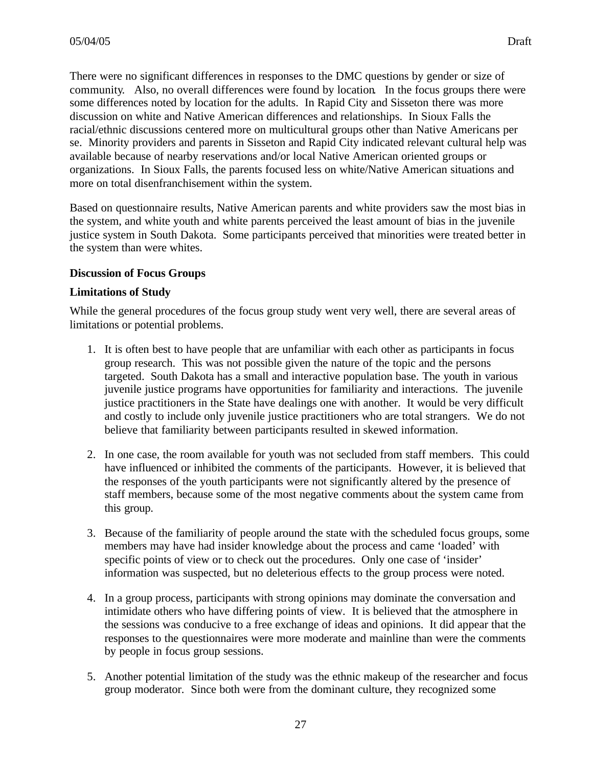There were no significant differences in responses to the DMC questions by gender or size of community. Also, no overall differences were found by location. In the focus groups there were some differences noted by location for the adults. In Rapid City and Sisseton there was more discussion on white and Native American differences and relationships. In Sioux Falls the racial/ethnic discussions centered more on multicultural groups other than Native Americans per se. Minority providers and parents in Sisseton and Rapid City indicated relevant cultural help was available because of nearby reservations and/or local Native American oriented groups or organizations. In Sioux Falls, the parents focused less on white/Native American situations and more on total disenfranchisement within the system.

Based on questionnaire results, Native American parents and white providers saw the most bias in the system, and white youth and white parents perceived the least amount of bias in the juvenile justice system in South Dakota. Some participants perceived that minorities were treated better in the system than were whites.

### **Discussion of Focus Groups**

#### **Limitations of Study**

While the general procedures of the focus group study went very well, there are several areas of limitations or potential problems.

- 1. It is often best to have people that are unfamiliar with each other as participants in focus group research. This was not possible given the nature of the topic and the persons targeted. South Dakota has a small and interactive population base. The youth in various juvenile justice programs have opportunities for familiarity and interactions. The juvenile justice practitioners in the State have dealings one with another. It would be very difficult and costly to include only juvenile justice practitioners who are total strangers. We do not believe that familiarity between participants resulted in skewed information.
- 2. In one case, the room available for youth was not secluded from staff members. This could have influenced or inhibited the comments of the participants. However, it is believed that the responses of the youth participants were not significantly altered by the presence of staff members, because some of the most negative comments about the system came from this group.
- 3. Because of the familiarity of people around the state with the scheduled focus groups, some members may have had insider knowledge about the process and came 'loaded' with specific points of view or to check out the procedures. Only one case of 'insider' information was suspected, but no deleterious effects to the group process were noted.
- 4. In a group process, participants with strong opinions may dominate the conversation and intimidate others who have differing points of view. It is believed that the atmosphere in the sessions was conducive to a free exchange of ideas and opinions. It did appear that the responses to the questionnaires were more moderate and mainline than were the comments by people in focus group sessions.
- 5. Another potential limitation of the study was the ethnic makeup of the researcher and focus group moderator. Since both were from the dominant culture, they recognized some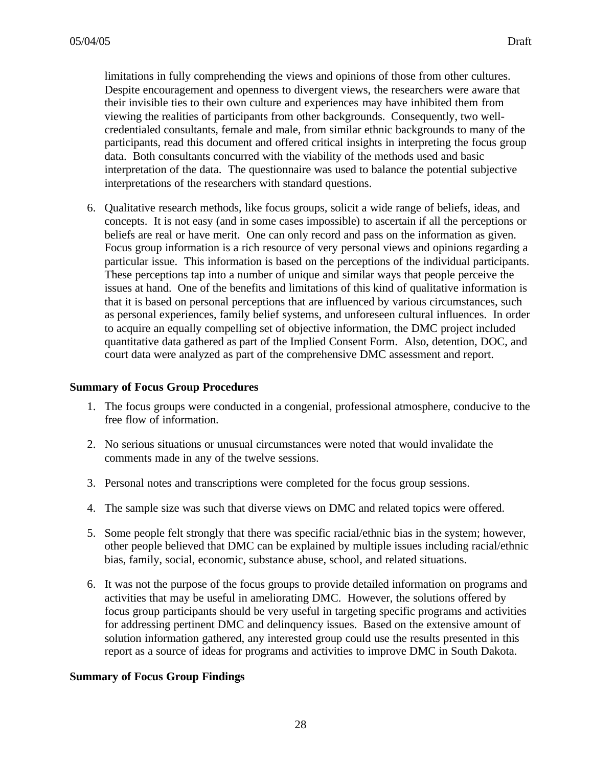limitations in fully comprehending the views and opinions of those from other cultures. Despite encouragement and openness to divergent views, the researchers were aware that their invisible ties to their own culture and experiences may have inhibited them from viewing the realities of participants from other backgrounds. Consequently, two wellcredentialed consultants, female and male, from similar ethnic backgrounds to many of the participants, read this document and offered critical insights in interpreting the focus group data. Both consultants concurred with the viability of the methods used and basic interpretation of the data. The questionnaire was used to balance the potential subjective interpretations of the researchers with standard questions.

6. Qualitative research methods, like focus groups, solicit a wide range of beliefs, ideas, and concepts. It is not easy (and in some cases impossible) to ascertain if all the perceptions or beliefs are real or have merit. One can only record and pass on the information as given. Focus group information is a rich resource of very personal views and opinions regarding a particular issue. This information is based on the perceptions of the individual participants. These perceptions tap into a number of unique and similar ways that people perceive the issues at hand. One of the benefits and limitations of this kind of qualitative information is that it is based on personal perceptions that are influenced by various circumstances, such as personal experiences, family belief systems, and unforeseen cultural influences. In order to acquire an equally compelling set of objective information, the DMC project included quantitative data gathered as part of the Implied Consent Form. Also, detention, DOC, and court data were analyzed as part of the comprehensive DMC assessment and report.

#### **Summary of Focus Group Procedures**

- 1. The focus groups were conducted in a congenial, professional atmosphere, conducive to the free flow of information.
- 2. No serious situations or unusual circumstances were noted that would invalidate the comments made in any of the twelve sessions.
- 3. Personal notes and transcriptions were completed for the focus group sessions.
- 4. The sample size was such that diverse views on DMC and related topics were offered.
- 5. Some people felt strongly that there was specific racial/ethnic bias in the system; however, other people believed that DMC can be explained by multiple issues including racial/ethnic bias, family, social, economic, substance abuse, school, and related situations.
- 6. It was not the purpose of the focus groups to provide detailed information on programs and activities that may be useful in ameliorating DMC. However, the solutions offered by focus group participants should be very useful in targeting specific programs and activities for addressing pertinent DMC and delinquency issues. Based on the extensive amount of solution information gathered, any interested group could use the results presented in this report as a source of ideas for programs and activities to improve DMC in South Dakota.

### **Summary of Focus Group Findings**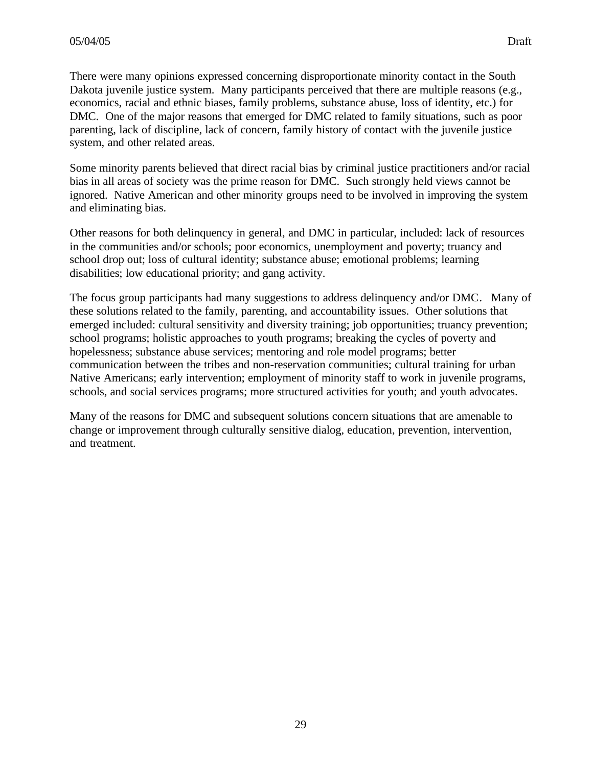There were many opinions expressed concerning disproportionate minority contact in the South Dakota juvenile justice system. Many participants perceived that there are multiple reasons (e.g., economics, racial and ethnic biases, family problems, substance abuse, loss of identity, etc.) for DMC. One of the major reasons that emerged for DMC related to family situations, such as poor parenting, lack of discipline, lack of concern, family history of contact with the juvenile justice system, and other related areas.

Some minority parents believed that direct racial bias by criminal justice practitioners and/or racial bias in all areas of society was the prime reason for DMC. Such strongly held views cannot be ignored. Native American and other minority groups need to be involved in improving the system and eliminating bias.

Other reasons for both delinquency in general, and DMC in particular, included: lack of resources in the communities and/or schools; poor economics, unemployment and poverty; truancy and school drop out; loss of cultural identity; substance abuse; emotional problems; learning disabilities; low educational priority; and gang activity.

The focus group participants had many suggestions to address delinquency and/or DMC. Many of these solutions related to the family, parenting, and accountability issues. Other solutions that emerged included: cultural sensitivity and diversity training; job opportunities; truancy prevention; school programs; holistic approaches to youth programs; breaking the cycles of poverty and hopelessness; substance abuse services; mentoring and role model programs; better communication between the tribes and non-reservation communities; cultural training for urban Native Americans; early intervention; employment of minority staff to work in juvenile programs, schools, and social services programs; more structured activities for youth; and youth advocates.

Many of the reasons for DMC and subsequent solutions concern situations that are amenable to change or improvement through culturally sensitive dialog, education, prevention, intervention, and treatment.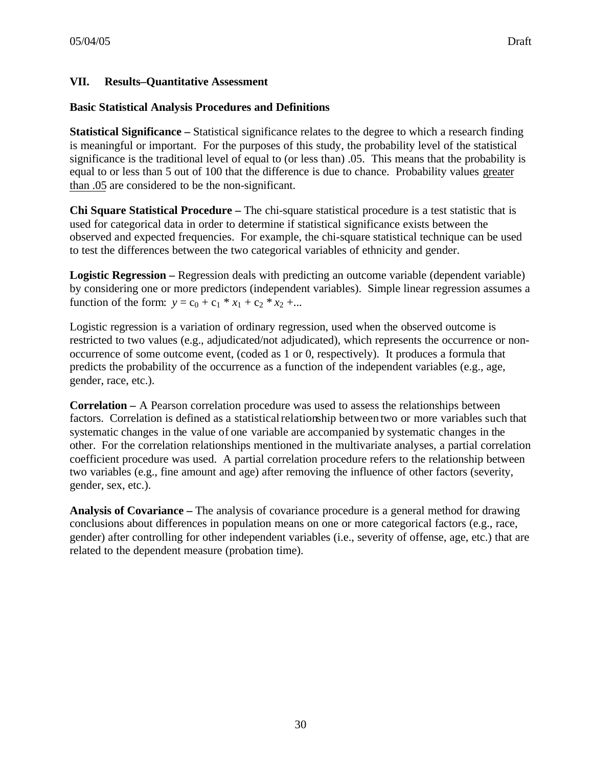# **VII. Results–Quantitative Assessment**

#### **Basic Statistical Analysis Procedures and Definitions**

**Statistical Significance –** Statistical significance relates to the degree to which a research finding is meaningful or important. For the purposes of this study, the probability level of the statistical significance is the traditional level of equal to (or less than) .05. This means that the probability is equal to or less than 5 out of 100 that the difference is due to chance. Probability values greater than .05 are considered to be the non-significant.

**Chi Square Statistical Procedure –** The chi-square statistical procedure is a test statistic that is used for categorical data in order to determine if statistical significance exists between the observed and expected frequencies. For example, the chi-square statistical technique can be used to test the differences between the two categorical variables of ethnicity and gender.

**Logistic Regression –** Regression deals with predicting an outcome variable (dependent variable) by considering one or more predictors (independent variables). Simple linear regression assumes a function of the form:  $y = c_0 + c_1 * x_1 + c_2 * x_2 + ...$ 

Logistic regression is a variation of ordinary regression, used when the observed outcome is restricted to two values (e.g., adjudicated/not adjudicated), which represents the occurrence or nonoccurrence of some outcome event, (coded as 1 or 0, respectively). It produces a formula that predicts the probability of the occurrence as a function of the independent variables (e.g., age, gender, race, etc.).

**Correlation –** A Pearson correlation procedure was used to assess the relationships between factors. Correlation is defined as a statistical relationship between two or more variables such that systematic changes in the value of one variable are accompanied by systematic changes in the other. For the correlation relationships mentioned in the multivariate analyses, a partial correlation coefficient procedure was used. A partial correlation procedure refers to the relationship between two variables (e.g., fine amount and age) after removing the influence of other factors (severity, gender, sex, etc.).

**Analysis of Covariance –** The analysis of covariance procedure is a general method for drawing conclusions about differences in population means on one or more categorical factors (e.g., race, gender) after controlling for other independent variables (i.e., severity of offense, age, etc.) that are related to the dependent measure (probation time).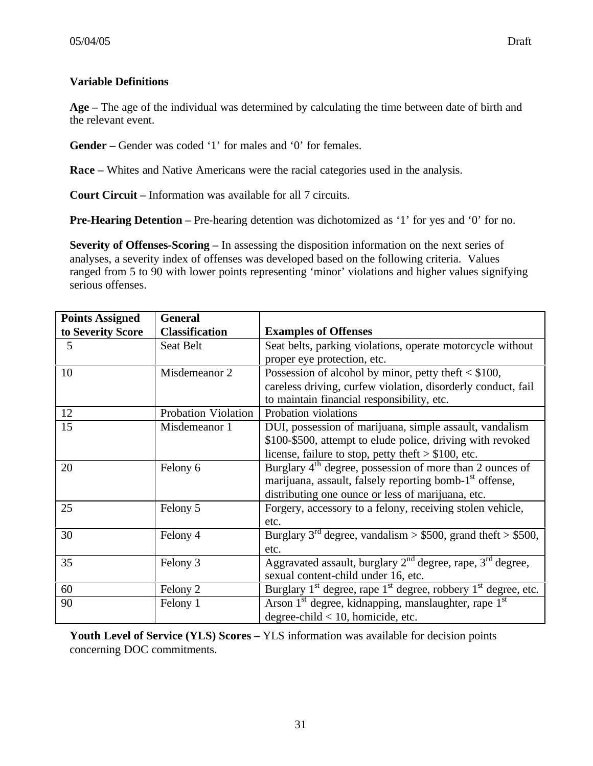# **Variable Definitions**

**Age –** The age of the individual was determined by calculating the time between date of birth and the relevant event.

Gender – Gender was coded '1' for males and '0' for females.

**Race –** Whites and Native Americans were the racial categories used in the analysis.

**Court Circuit –** Information was available for all 7 circuits.

**Pre-Hearing Detention** – Pre-hearing detention was dichotomized as '1' for yes and '0' for no.

**Severity of Offenses-Scoring –** In assessing the disposition information on the next series of analyses, a severity index of offenses was developed based on the following criteria. Values ranged from 5 to 90 with lower points representing 'minor' violations and higher values signifying serious offenses.

| <b>Points Assigned</b> | <b>General</b>        |                                                                            |
|------------------------|-----------------------|----------------------------------------------------------------------------|
| to Severity Score      | <b>Classification</b> | <b>Examples of Offenses</b>                                                |
| 5                      | Seat Belt             | Seat belts, parking violations, operate motorcycle without                 |
|                        |                       | proper eye protection, etc.                                                |
| 10                     | Misdemeanor 2         | Possession of alcohol by minor, petty theft $<$ \$100,                     |
|                        |                       | careless driving, curfew violation, disorderly conduct, fail               |
|                        |                       | to maintain financial responsibility, etc.                                 |
| 12                     | Probation Violation   | Probation violations                                                       |
| 15                     | Misdemeanor 1         | DUI, possession of marijuana, simple assault, vandalism                    |
|                        |                       | \$100-\$500, attempt to elude police, driving with revoked                 |
|                        |                       | license, failure to stop, petty theft $> $100$ , etc.                      |
| 20                     | Felony 6              | Burglary $4th$ degree, possession of more than 2 ounces of                 |
|                        |                       | marijuana, assault, falsely reporting bomb-1 <sup>st</sup> offense,        |
|                        |                       | distributing one ounce or less of marijuana, etc.                          |
| 25                     | Felony 5              | Forgery, accessory to a felony, receiving stolen vehicle,                  |
|                        |                       | etc.                                                                       |
| 30                     | Felony 4              | Burglary 3 <sup>rd</sup> degree, vandalism > $$500$ , grand theft > \$500, |
|                        |                       | etc.                                                                       |
| 35                     | Felony 3              | Aggravated assault, burglary $2nd$ degree, rape, $3rd$ degree,             |
|                        |                       | sexual content-child under 16, etc.                                        |
| 60                     | Felony 2              | Burglary $1st$ degree, rape $1st$ degree, robbery $1st$ degree, etc.       |
| 90                     | Felony 1              | Arson $1st$ degree, kidnapping, manslaughter, rape $1st$                   |
|                        |                       | degree-child $< 10$ , homicide, etc.                                       |

**Youth Level of Service (YLS) Scores –** YLS information was available for decision points concerning DOC commitments.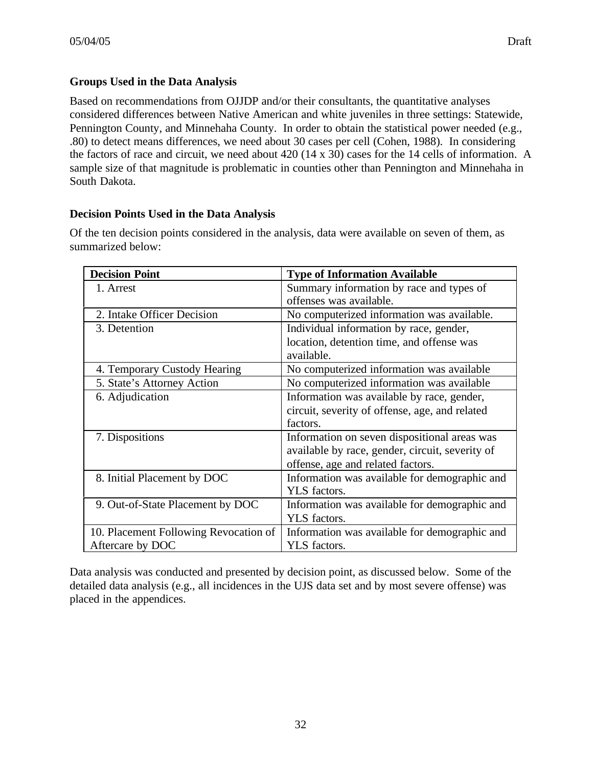# **Groups Used in the Data Analysis**

Based on recommendations from OJJDP and/or their consultants, the quantitative analyses considered differences between Native American and white juveniles in three settings: Statewide, Pennington County, and Minnehaha County. In order to obtain the statistical power needed (e.g., .80) to detect means differences, we need about 30 cases per cell (Cohen, 1988). In considering the factors of race and circuit, we need about 420 (14 x 30) cases for the 14 cells of information. A sample size of that magnitude is problematic in counties other than Pennington and Minnehaha in South Dakota.

### **Decision Points Used in the Data Analysis**

Of the ten decision points considered in the analysis, data were available on seven of them, as summarized below:

| <b>Decision Point</b>                 | <b>Type of Information Available</b>            |
|---------------------------------------|-------------------------------------------------|
| 1. Arrest                             | Summary information by race and types of        |
|                                       | offenses was available.                         |
| 2. Intake Officer Decision            | No computerized information was available.      |
| 3. Detention                          | Individual information by race, gender,         |
|                                       | location, detention time, and offense was       |
|                                       | available.                                      |
| 4. Temporary Custody Hearing          | No computerized information was available       |
| 5. State's Attorney Action            | No computerized information was available       |
| 6. Adjudication                       | Information was available by race, gender,      |
|                                       | circuit, severity of offense, age, and related  |
|                                       | factors.                                        |
| 7. Dispositions                       | Information on seven dispositional areas was    |
|                                       | available by race, gender, circuit, severity of |
|                                       | offense, age and related factors.               |
| 8. Initial Placement by DOC           | Information was available for demographic and   |
|                                       | YLS factors.                                    |
| 9. Out-of-State Placement by DOC      | Information was available for demographic and   |
|                                       | YLS factors.                                    |
| 10. Placement Following Revocation of | Information was available for demographic and   |
| Aftercare by DOC                      | YLS factors.                                    |

Data analysis was conducted and presented by decision point, as discussed below. Some of the detailed data analysis (e.g., all incidences in the UJS data set and by most severe offense) was placed in the appendices.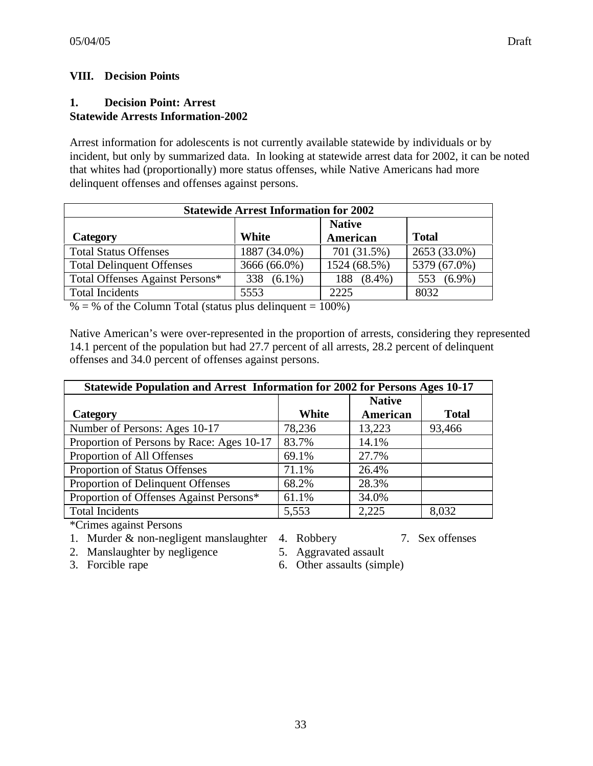# **VIII. Decision Points**

### **1. Decision Point: Arrest Statewide Arrests Information-2002**

Arrest information for adolescents is not currently available statewide by individuals or by incident, but only by summarized data. In looking at statewide arrest data for 2002, it can be noted that whites had (proportionally) more status offenses, while Native Americans had more delinquent offenses and offenses against persons.

| <b>Statewide Arrest Information for 2002</b> |                  |                  |                  |  |  |  |
|----------------------------------------------|------------------|------------------|------------------|--|--|--|
| <b>Native</b>                                |                  |                  |                  |  |  |  |
| Category                                     | White            | American         | <b>Total</b>     |  |  |  |
| <b>Total Status Offenses</b>                 | 1887 (34.0%)     | 701 (31.5%)      | 2653 (33.0%)     |  |  |  |
| <b>Total Delinquent Offenses</b>             | 3666 (66.0%)     | 1524 (68.5%)     | 5379 (67.0%)     |  |  |  |
| Total Offenses Against Persons*              | $(6.1\%)$<br>338 | $(8.4\%)$<br>188 | $(6.9\%)$<br>553 |  |  |  |
| <b>Total Incidents</b>                       | 5553             | 2225             | 8032             |  |  |  |

 $% =$  % of the Column Total (status plus delinquent = 100%)

Native American's were over-represented in the proportion of arrests, considering they represented 14.1 percent of the population but had 27.7 percent of all arrests, 28.2 percent of delinquent offenses and 34.0 percent of offenses against persons.

| Statewide Population and Arrest Information for 2002 for Persons Ages 10-17 |        |               |              |  |  |
|-----------------------------------------------------------------------------|--------|---------------|--------------|--|--|
|                                                                             |        | <b>Native</b> |              |  |  |
| Category                                                                    | White  | American      | <b>Total</b> |  |  |
| Number of Persons: Ages 10-17                                               | 78,236 | 13,223        | 93,466       |  |  |
| Proportion of Persons by Race: Ages 10-17                                   | 83.7%  | 14.1%         |              |  |  |
| Proportion of All Offenses                                                  | 69.1%  | 27.7%         |              |  |  |
| Proportion of Status Offenses                                               | 71.1%  | 26.4%         |              |  |  |
| Proportion of Delinquent Offenses                                           | 68.2%  | 28.3%         |              |  |  |
| Proportion of Offenses Against Persons*                                     | 61.1%  | 34.0%         |              |  |  |
| <b>Total Incidents</b>                                                      | 5,553  | 2,225         | 8,032        |  |  |
| $\mathbb{R}^n$ is the state of $\mathbb{R}^n$                               |        |               |              |  |  |

- 1. Murder & non-negligent manslaughter 4. Robbery 7. Sex offenses
- 2. Manslaughter by negligence 5. Aggravated assault
	-
- 3. Forcible rape 6. Other assaults (simple)
-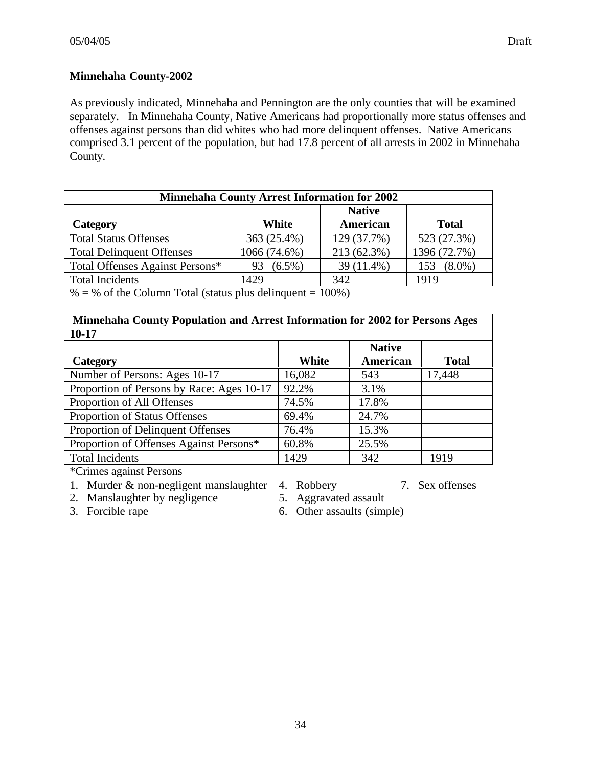# **Minnehaha County-2002**

As previously indicated, Minnehaha and Pennington are the only counties that will be examined separately. In Minnehaha County, Native Americans had proportionally more status offenses and offenses against persons than did whites who had more delinquent offenses. Native Americans comprised 3.1 percent of the population, but had 17.8 percent of all arrests in 2002 in Minnehaha County.

| <b>Native</b>   |                                     |              |  |  |
|-----------------|-------------------------------------|--------------|--|--|
| White           | American                            | <b>Total</b> |  |  |
| 363 (25.4%)     | 129 (37.7%)                         | 523 (27.3%)  |  |  |
| 1066 (74.6%)    | 213 (62.3%)                         | 1396 (72.7%) |  |  |
| $(6.5\%)$<br>93 | 39 (11.4%)                          | $(8.0\%)$    |  |  |
| 1429            | 342                                 | 1919         |  |  |
|                 | the contract of the contract of the | 10001        |  |  |

 $% =$  % of the Column Total (status plus delinquent = 100%)

**Minnehaha County Population and Arrest Information for 2002 for Persons Ages 10-17**

| $10 - 17$                                 |        |                           |              |
|-------------------------------------------|--------|---------------------------|--------------|
| <b>Category</b>                           | White  | <b>Native</b><br>American | <b>Total</b> |
| Number of Persons: Ages 10-17             | 16,082 | 543                       | 17,448       |
| Proportion of Persons by Race: Ages 10-17 | 92.2%  | 3.1%                      |              |
| Proportion of All Offenses                | 74.5%  | 17.8%                     |              |
| Proportion of Status Offenses             | 69.4%  | 24.7%                     |              |
| Proportion of Delinquent Offenses         | 76.4%  | 15.3%                     |              |
| Proportion of Offenses Against Persons*   | 60.8%  | 25.5%                     |              |
| <b>Total Incidents</b>                    | 1429   | 342                       | 1919         |
|                                           |        |                           |              |

- 1. Murder & non-negligent manslaughter 4. Robbery 7. Sex offenses
- 2. Manslaughter by negligence 5. Aggravated assault
- 
- 
- 3. Forcible rape 6. Other assaults (simple)
-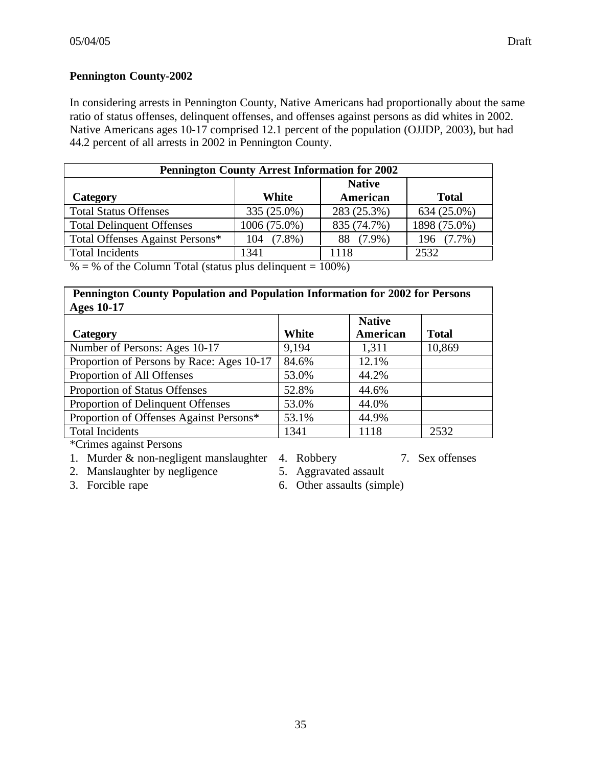### **Pennington County-2002**

In considering arrests in Pennington County, Native Americans had proportionally about the same ratio of status offenses, delinquent offenses, and offenses against persons as did whites in 2002. Native Americans ages 10-17 comprised 12.1 percent of the population (OJJDP, 2003), but had 44.2 percent of all arrests in 2002 in Pennington County.

| <b>Pennington County Arrest Information for 2002</b> |                 |                  |  |  |  |  |
|------------------------------------------------------|-----------------|------------------|--|--|--|--|
| <b>Native</b>                                        |                 |                  |  |  |  |  |
| White                                                | American        | <b>Total</b>     |  |  |  |  |
| 335 (25.0%)                                          | 283 (25.3%)     | 634 (25.0%)      |  |  |  |  |
| 1006 (75.0%)                                         | 835 (74.7%)     | 1898 (75.0%)     |  |  |  |  |
| $(7.8\%)$<br>104                                     | $(7.9\%)$<br>88 | $(7.7\%)$<br>196 |  |  |  |  |
| 1341                                                 | 1118            | 2532             |  |  |  |  |
|                                                      |                 |                  |  |  |  |  |

 $% =$  % of the Column Total (status plus delinquent = 100%)

#### **Pennington County Population and Population Information for 2002 for Persons**  $\Lambda$ ges 10-17

| $A$ gcs $IVI$                             |              |                           |              |  |
|-------------------------------------------|--------------|---------------------------|--------------|--|
| Category                                  | <b>White</b> | <b>Native</b><br>American | <b>Total</b> |  |
| Number of Persons: Ages 10-17             | 9,194        | 1,311                     | 10,869       |  |
| Proportion of Persons by Race: Ages 10-17 | 84.6%        | 12.1%                     |              |  |
| Proportion of All Offenses                | 53.0%        | 44.2%                     |              |  |
| Proportion of Status Offenses             | 52.8%        | 44.6%                     |              |  |
| Proportion of Delinquent Offenses         | 53.0%        | 44.0%                     |              |  |
| Proportion of Offenses Against Persons*   | 53.1%        | 44.9%                     |              |  |
| <b>Total Incidents</b>                    | 1341         | 1118                      | 2532         |  |

- 1. Murder & non-negligent manslaughter 4. Robbery 7. Sex offenses
	-
- 2. Manslaughter by negligence 5. Aggravated assault
- 
- 3. Forcible rape 6. Other assaults (simple)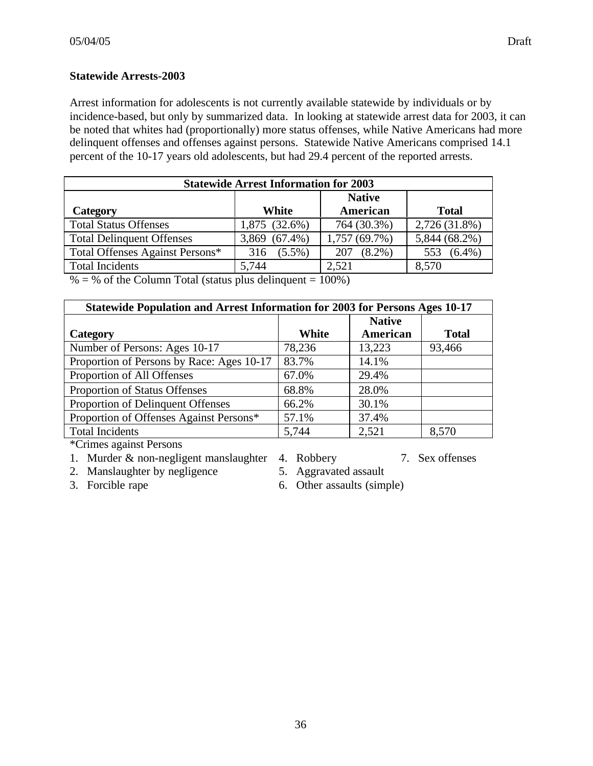### **Statewide Arrests-2003**

Arrest information for adolescents is not currently available statewide by individuals or by incidence-based, but only by summarized data. In looking at statewide arrest data for 2003, it can be noted that whites had (proportionally) more status offenses, while Native Americans had more delinquent offenses and offenses against persons. Statewide Native Americans comprised 14.1 percent of the 10-17 years old adolescents, but had 29.4 percent of the reported arrests.

| <b>Statewide Arrest Information for 2003</b> |               |                  |                  |  |  |
|----------------------------------------------|---------------|------------------|------------------|--|--|
| <b>Native</b>                                |               |                  |                  |  |  |
| Category                                     | White         | American         | <b>Total</b>     |  |  |
| <b>Total Status Offenses</b>                 | 1,875 (32.6%) | 764 (30.3%)      | 2,726 (31.8%)    |  |  |
| <b>Total Delinquent Offenses</b>             | 3,869 (67.4%) | 1,757(69.7%)     | 5,844 (68.2%)    |  |  |
| Total Offenses Against Persons*              | 316 (5.5%)    | $(8.2\%)$<br>207 | $(6.4\%)$<br>553 |  |  |
| <b>Total Incidents</b>                       | 5,744         | 2,521            | 8,570            |  |  |

 $% =$  % of the Column Total (status plus delinquent = 100%)

| Statewide Population and Arrest Information for 2003 for Persons Ages 10-17 |        |               |              |
|-----------------------------------------------------------------------------|--------|---------------|--------------|
|                                                                             |        | <b>Native</b> |              |
| Category                                                                    | White  | American      | <b>Total</b> |
| Number of Persons: Ages 10-17                                               | 78,236 | 13,223        | 93,466       |
| Proportion of Persons by Race: Ages 10-17                                   | 83.7%  | 14.1%         |              |
| Proportion of All Offenses                                                  | 67.0%  | 29.4%         |              |
| Proportion of Status Offenses                                               | 68.8%  | 28.0%         |              |
| Proportion of Delinquent Offenses                                           | 66.2%  | 30.1%         |              |
| Proportion of Offenses Against Persons*                                     | 57.1%  | 37.4%         |              |
| <b>Total Incidents</b>                                                      | 5,744  | 2,521         | 8,570        |

- 1. Murder & non-negligent manslaughter 4. Robbery 7. Sex offenses
	-
- 2. Manslaughter by negligence 5. Aggravated assault
- 
- 3. Forcible rape 6. Other assaults (simple)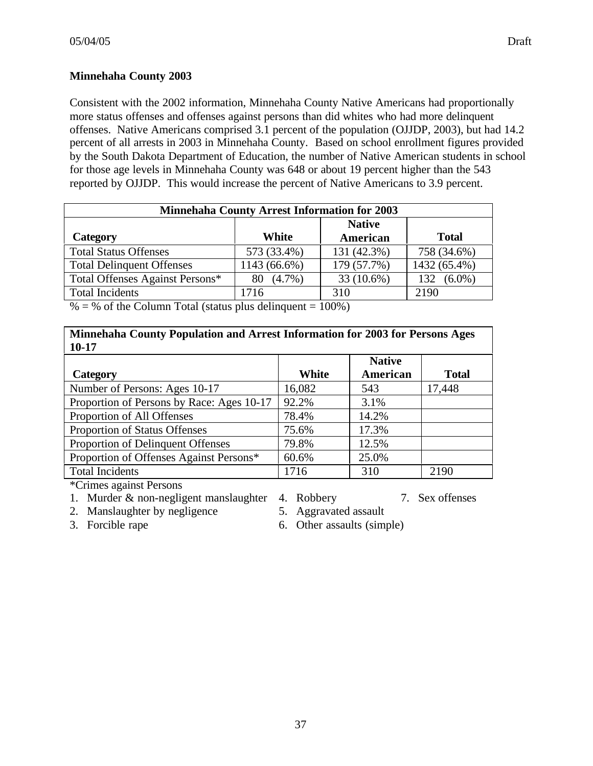# **Minnehaha County 2003**

Consistent with the 2002 information, Minnehaha County Native Americans had proportionally more status offenses and offenses against persons than did whites who had more delinquent offenses. Native Americans comprised 3.1 percent of the population (OJJDP, 2003), but had 14.2 percent of all arrests in 2003 in Minnehaha County. Based on school enrollment figures provided by the South Dakota Department of Education, the number of Native American students in school for those age levels in Minnehaha County was 648 or about 19 percent higher than the 543 reported by OJJDP. This would increase the percent of Native Americans to 3.9 percent.

| <b>Minnehaha County Arrest Information for 2003</b> |                 |             |                  |  |
|-----------------------------------------------------|-----------------|-------------|------------------|--|
| <b>Native</b>                                       |                 |             |                  |  |
| Category                                            | White           | American    | <b>Total</b>     |  |
| <b>Total Status Offenses</b>                        | 573 (33.4%)     | 131 (42.3%) | 758 (34.6%)      |  |
| <b>Total Delinquent Offenses</b>                    | 1143 (66.6%)    | 179 (57.7%) | 1432 (65.4%)     |  |
| Total Offenses Against Persons*                     | $(4.7\%)$<br>80 | 33 (10.6%)  | $(6.0\%)$<br>132 |  |
| <b>Total Incidents</b>                              | 1716            | 310         | 2190             |  |

 $% =$  % of the Column Total (status plus delinquent = 100%)

| Minnehaha County Population and Arrest Information for 2003 for Persons Ages |  |
|------------------------------------------------------------------------------|--|
| 10-17                                                                        |  |

| <b>Category</b>                           | <b>White</b> | <b>Native</b><br>American | <b>Total</b> |
|-------------------------------------------|--------------|---------------------------|--------------|
| Number of Persons: Ages 10-17             | 16,082       | 543                       | 17,448       |
| Proportion of Persons by Race: Ages 10-17 | 92.2%        | 3.1%                      |              |
| Proportion of All Offenses                | 78.4%        | 14.2%                     |              |
| Proportion of Status Offenses             | 75.6%        | 17.3%                     |              |
| Proportion of Delinquent Offenses         | 79.8%        | 12.5%                     |              |
| Proportion of Offenses Against Persons*   | 60.6%        | 25.0%                     |              |
| <b>Total Incidents</b>                    | 1716         | 310                       | 2190         |

\*Crimes against Persons

- 1. Murder & non-negligent manslaughter 4. Robbery 7. Sex offenses
- 2. Manslaughter by negligence 5. Aggravated assault
- 
- 
- 
- 3. Forcible rape 6. Other assaults (simple)
-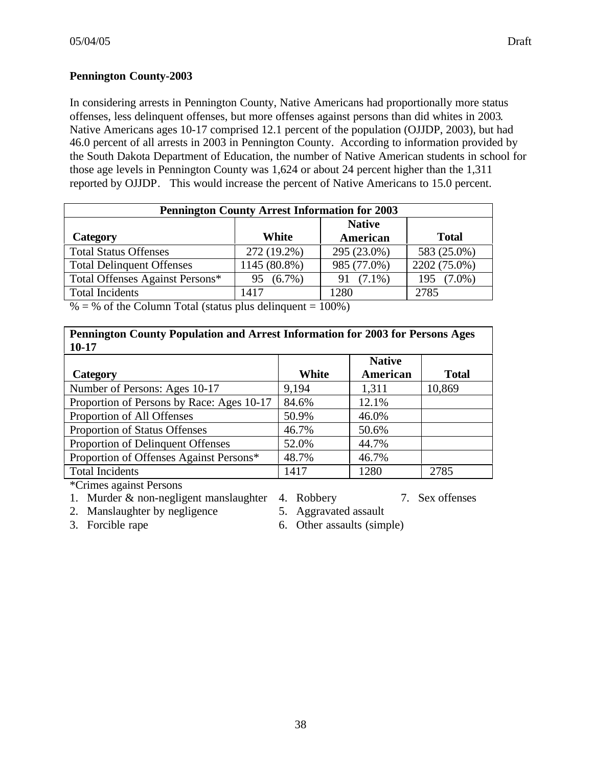## **Pennington County-2003**

In considering arrests in Pennington County, Native Americans had proportionally more status offenses, less delinquent offenses, but more offenses against persons than did whites in 2003. Native Americans ages 10-17 comprised 12.1 percent of the population (OJJDP, 2003), but had 46.0 percent of all arrests in 2003 in Pennington County. According to information provided by the South Dakota Department of Education, the number of Native American students in school for those age levels in Pennington County was 1,624 or about 24 percent higher than the 1,311 reported by OJJDP. This would increase the percent of Native Americans to 15.0 percent.

| <b>Pennington County Arrest Information for 2003</b> |                 |                 |                  |  |
|------------------------------------------------------|-----------------|-----------------|------------------|--|
| <b>Native</b>                                        |                 |                 |                  |  |
| Category                                             | White           | American        | <b>Total</b>     |  |
| <b>Total Status Offenses</b>                         | 272 (19.2%)     | 295 (23.0%)     | 583 (25.0%)      |  |
| <b>Total Delinquent Offenses</b>                     | 1145 (80.8%)    | 985 (77.0%)     | 2202 (75.0%)     |  |
| Total Offenses Against Persons*                      | $(6.7\%)$<br>95 | $(7.1\%)$<br>91 | $(7.0\%)$<br>195 |  |
| <b>Total Incidents</b>                               | 1417            | 1280            | 2785             |  |

 $% =$  % of the Column Total (status plus delinquent = 100%)

# **Pennington County Population and Arrest Information for 2003 for Persons Ages 10-17**

|                                           |       | <b>Native</b> |              |
|-------------------------------------------|-------|---------------|--------------|
| Category                                  | White | American      | <b>Total</b> |
| Number of Persons: Ages 10-17             | 9,194 | 1,311         | 10,869       |
| Proportion of Persons by Race: Ages 10-17 | 84.6% | 12.1%         |              |
| Proportion of All Offenses                | 50.9% | 46.0%         |              |
| Proportion of Status Offenses             | 46.7% | 50.6%         |              |
| Proportion of Delinquent Offenses         | 52.0% | 44.7%         |              |
| Proportion of Offenses Against Persons*   | 48.7% | 46.7%         |              |
| <b>Total Incidents</b>                    | 1417  | 1280          | 2785         |

\*Crimes against Persons

- 1. Murder & non-negligent manslaughter 4. Robbery 7. Sex offenses
- 2. Manslaughter by negligence 5. Aggravated assault
- 
- 
- 
- 
- 3. Forcible rape 6. Other assaults (simple)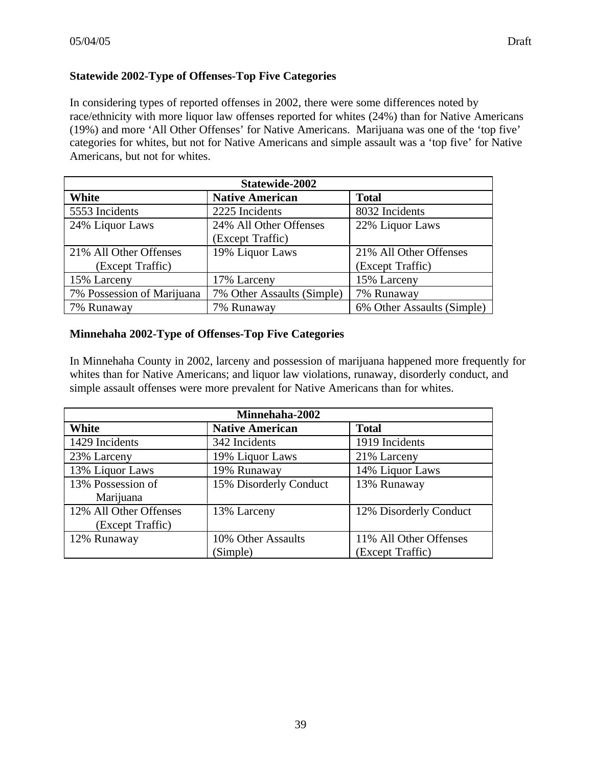# **Statewide 2002-Type of Offenses-Top Five Categories**

In considering types of reported offenses in 2002, there were some differences noted by race/ethnicity with more liquor law offenses reported for whites (24%) than for Native Americans (19%) and more 'All Other Offenses' for Native Americans. Marijuana was one of the 'top five' categories for whites, but not for Native Americans and simple assault was a 'top five' for Native Americans, but not for whites.

| Statewide-2002             |                            |                            |  |
|----------------------------|----------------------------|----------------------------|--|
| White                      | <b>Native American</b>     | <b>Total</b>               |  |
| 5553 Incidents             | 2225 Incidents             | 8032 Incidents             |  |
| 24% Liquor Laws            | 24% All Other Offenses     | 22% Liquor Laws            |  |
|                            | (Except Traffic)           |                            |  |
| 21% All Other Offenses     | 19% Liquor Laws            | 21% All Other Offenses     |  |
| (Except Traffic)           |                            | (Except Traffic)           |  |
| 15% Larceny                | 17% Larceny                | 15% Larceny                |  |
| 7% Possession of Marijuana | 7% Other Assaults (Simple) | 7% Runaway                 |  |
| 7% Runaway                 | 7% Runaway                 | 6% Other Assaults (Simple) |  |

# **Minnehaha 2002-Type of Offenses-Top Five Categories**

In Minnehaha County in 2002, larceny and possession of marijuana happened more frequently for whites than for Native Americans; and liquor law violations, runaway, disorderly conduct, and simple assault offenses were more prevalent for Native Americans than for whites.

| Minnehaha-2002         |                        |                        |  |
|------------------------|------------------------|------------------------|--|
| White                  | <b>Native American</b> | <b>Total</b>           |  |
| 1429 Incidents         | 342 Incidents          | 1919 Incidents         |  |
| 23% Larceny            | 19% Liquor Laws        | 21% Larceny            |  |
| 13% Liquor Laws        | 19% Runaway            | 14% Liquor Laws        |  |
| 13% Possession of      | 15% Disorderly Conduct | 13% Runaway            |  |
| Marijuana              |                        |                        |  |
| 12% All Other Offenses | 13% Larceny            | 12% Disorderly Conduct |  |
| (Except Traffic)       |                        |                        |  |
| 12% Runaway            | 10% Other Assaults     | 11% All Other Offenses |  |
|                        | (Simple)               | (Except Traffic)       |  |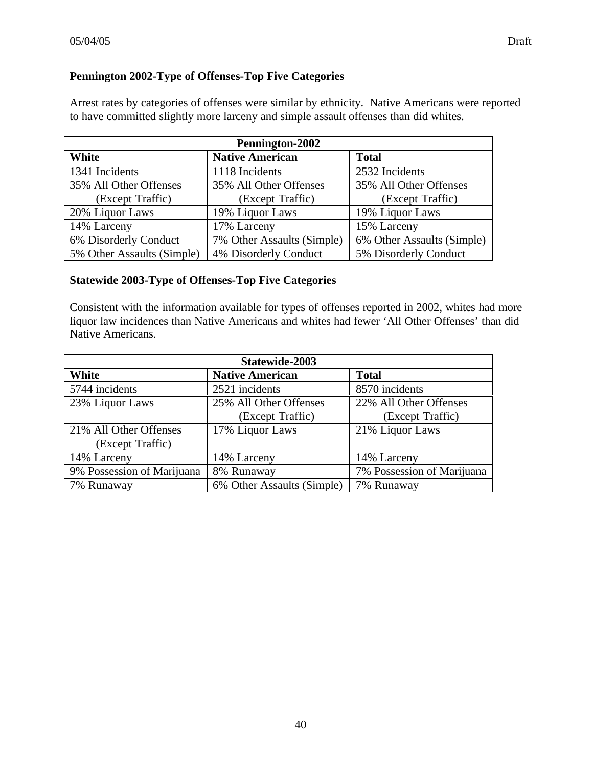# **Pennington 2002-Type of Offenses-Top Five Categories**

Arrest rates by categories of offenses were similar by ethnicity. Native Americans were reported to have committed slightly more larceny and simple assault offenses than did whites.

| Pennington-2002            |                            |                            |  |
|----------------------------|----------------------------|----------------------------|--|
| White                      | <b>Native American</b>     | <b>Total</b>               |  |
| 1341 Incidents             | 1118 Incidents             | 2532 Incidents             |  |
| 35% All Other Offenses     | 35% All Other Offenses     | 35% All Other Offenses     |  |
| (Except Traffic)           | (Except Traffic)           | (Except Traffic)           |  |
| 20% Liquor Laws            | 19% Liquor Laws            | 19% Liquor Laws            |  |
| 14% Larceny                | 17% Larceny                | 15% Larceny                |  |
| 6% Disorderly Conduct      | 7% Other Assaults (Simple) | 6% Other Assaults (Simple) |  |
| 5% Other Assaults (Simple) | 4% Disorderly Conduct      | 5% Disorderly Conduct      |  |

# **Statewide 2003-Type of Offenses-Top Five Categories**

Consistent with the information available for types of offenses reported in 2002, whites had more liquor law incidences than Native Americans and whites had fewer 'All Other Offenses' than did Native Americans.

| Statewide-2003                  |                            |                            |  |
|---------------------------------|----------------------------|----------------------------|--|
| White<br><b>Native American</b> |                            | <b>Total</b>               |  |
| 5744 incidents                  | 2521 incidents             | 8570 incidents             |  |
| 23% Liquor Laws                 | 25% All Other Offenses     | 22% All Other Offenses     |  |
|                                 | (Except Traffic)           | (Except Traffic)           |  |
| 21% All Other Offenses          | 17% Liquor Laws            | 21% Liquor Laws            |  |
| (Except Traffic)                |                            |                            |  |
| 14% Larceny                     | 14% Larceny                | 14% Larceny                |  |
| 9% Possession of Marijuana      | 8% Runaway                 | 7% Possession of Marijuana |  |
| 7% Runaway                      | 6% Other Assaults (Simple) | 7% Runaway                 |  |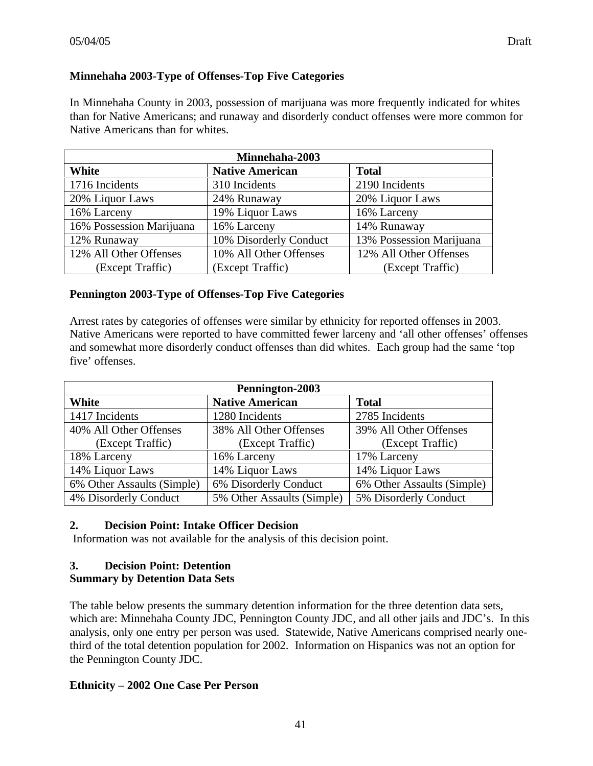## **Minnehaha 2003-Type of Offenses-Top Five Categories**

In Minnehaha County in 2003, possession of marijuana was more frequently indicated for whites than for Native Americans; and runaway and disorderly conduct offenses were more common for Native Americans than for whites.

| Minnehaha-2003           |                        |                          |  |
|--------------------------|------------------------|--------------------------|--|
| White                    | <b>Native American</b> | <b>Total</b>             |  |
| 1716 Incidents           | 310 Incidents          | 2190 Incidents           |  |
| 20% Liquor Laws          | 24% Runaway            | 20% Liquor Laws          |  |
| 16% Larceny              | 19% Liquor Laws        | 16% Larceny              |  |
| 16% Possession Marijuana | 16% Larceny            | 14% Runaway              |  |
| 12% Runaway              | 10% Disorderly Conduct | 13% Possession Marijuana |  |
| 12% All Other Offenses   | 10% All Other Offenses | 12% All Other Offenses   |  |
| (Except Traffic)         | (Except Traffic)       | (Except Traffic)         |  |

#### **Pennington 2003-Type of Offenses-Top Five Categories**

Arrest rates by categories of offenses were similar by ethnicity for reported offenses in 2003. Native Americans were reported to have committed fewer larceny and 'all other offenses' offenses and somewhat more disorderly conduct offenses than did whites. Each group had the same 'top five' offenses.

| Pennington-2003                                 |                            |                            |  |
|-------------------------------------------------|----------------------------|----------------------------|--|
| <b>Native American</b><br><b>Total</b><br>White |                            |                            |  |
| 1417 Incidents                                  | 1280 Incidents             | 2785 Incidents             |  |
| 40% All Other Offenses                          | 38% All Other Offenses     | 39% All Other Offenses     |  |
| (Except Traffic)                                | (Except Traffic)           | (Except Traffic)           |  |
| 18% Larceny                                     | 16% Larceny                | 17% Larceny                |  |
| 14% Liquor Laws                                 | 14% Liquor Laws            | 14% Liquor Laws            |  |
| 6% Other Assaults (Simple)                      | 6% Disorderly Conduct      | 6% Other Assaults (Simple) |  |
| 4% Disorderly Conduct                           | 5% Other Assaults (Simple) | 5% Disorderly Conduct      |  |

# **2. Decision Point: Intake Officer Decision**

Information was not available for the analysis of this decision point.

#### **3. Decision Point: Detention Summary by Detention Data Sets**

The table below presents the summary detention information for the three detention data sets, which are: Minnehaha County JDC, Pennington County JDC, and all other jails and JDC's. In this analysis, only one entry per person was used. Statewide, Native Americans comprised nearly onethird of the total detention population for 2002. Information on Hispanics was not an option for the Pennington County JDC.

#### **Ethnicity – 2002 One Case Per Person**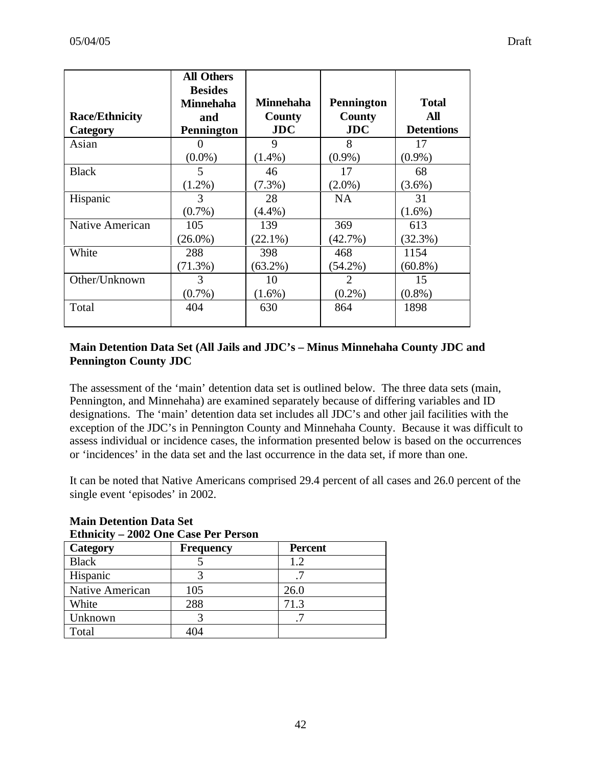| <b>Race/Ethnicity</b> | <b>All Others</b><br><b>Besides</b><br><b>Minnehaha</b><br>and | <b>Minnehaha</b><br>County | <b>Pennington</b><br><b>County</b> | <b>Total</b><br>All |
|-----------------------|----------------------------------------------------------------|----------------------------|------------------------------------|---------------------|
| Category              | <b>Pennington</b>                                              | JDC                        | JDC                                | <b>Detentions</b>   |
| Asian                 |                                                                | 9                          | 8                                  | 17                  |
|                       | $(0.0\%)$                                                      | $(1.4\%)$                  | $(0.9\%)$                          | $(0.9\%)$           |
| <b>Black</b>          | 5                                                              | 46                         | 17                                 | 68                  |
|                       | $(1.2\%)$                                                      | $(7.3\%)$                  | $(2.0\%)$                          | $(3.6\%)$           |
| Hispanic              | 3                                                              | 28                         | <b>NA</b>                          | 31                  |
|                       | $(0.7\%)$                                                      | $(4.4\%)$                  |                                    | $(1.6\%)$           |
| Native American       | 105                                                            | 139                        | 369                                | 613                 |
|                       | $(26.0\%)$                                                     | $(22.1\%)$                 | $(42.7\%)$                         | (32.3%)             |
| White                 | 288                                                            | 398                        | 468                                | 1154                |
|                       | $(71.3\%)$                                                     | $(63.2\%)$                 | $(54.2\%)$                         | $(60.8\%)$          |
| Other/Unknown         | 3                                                              | 10                         | 2                                  | 15                  |
|                       | $(0.7\%)$                                                      | $(1.6\%)$                  | $(0.2\%)$                          | $(0.8\%)$           |
| Total                 | 404                                                            | 630                        | 864                                | 1898                |

# **Main Detention Data Set (All Jails and JDC's – Minus Minnehaha County JDC and Pennington County JDC**

The assessment of the 'main' detention data set is outlined below. The three data sets (main, Pennington, and Minnehaha) are examined separately because of differing variables and ID designations. The 'main' detention data set includes all JDC's and other jail facilities with the exception of the JDC's in Pennington County and Minnehaha County. Because it was difficult to assess individual or incidence cases, the information presented below is based on the occurrences or 'incidences' in the data set and the last occurrence in the data set, if more than one.

It can be noted that Native Americans comprised 29.4 percent of all cases and 26.0 percent of the single event 'episodes' in 2002.

| <b>Ethnicity - 2002 One Case Per Person</b> |                  |                |  |  |
|---------------------------------------------|------------------|----------------|--|--|
| Category                                    | <b>Frequency</b> | <b>Percent</b> |  |  |
| <b>Black</b>                                |                  | 1.2            |  |  |
| Hispanic                                    |                  |                |  |  |
| Native American                             | 105              | 26.0           |  |  |
| White                                       | 288              | 71.3           |  |  |
| Unknown                                     |                  |                |  |  |
| Total                                       |                  |                |  |  |

# **Main Detention Data Set**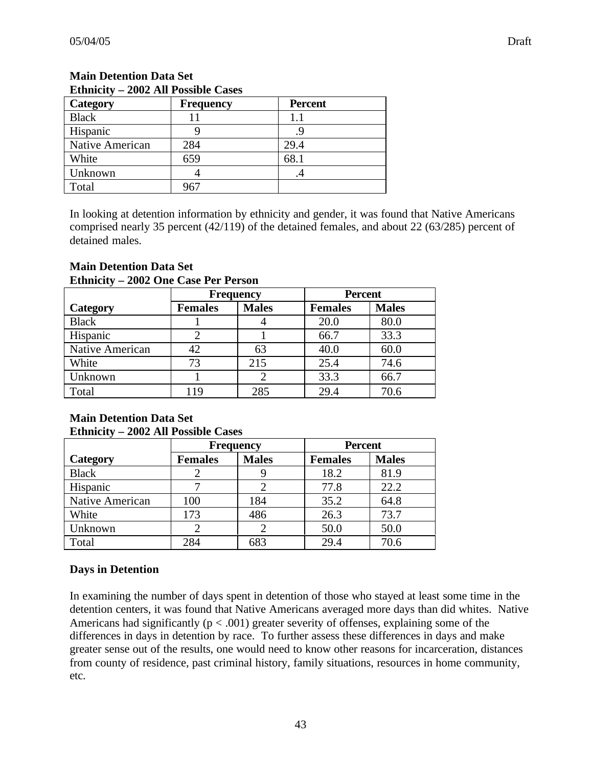| Lama<br><b>2002 THE POSSIBIC CASES</b> |                  |                |  |
|----------------------------------------|------------------|----------------|--|
| Category                               | <b>Frequency</b> | <b>Percent</b> |  |
| <b>Black</b>                           |                  | 1.1            |  |
| Hispanic                               |                  |                |  |
| Native American                        | 284              | 29.4           |  |
| White                                  | 659              | 68.1           |  |
| Unknown                                |                  | .4             |  |
| Total                                  | 967              |                |  |

# **Main Detention Data Set Ethnicity – 2002 All Possible Cases**

In looking at detention information by ethnicity and gender, it was found that Native Americans comprised nearly 35 percent (42/119) of the detained females, and about 22 (63/285) percent of detained males.

#### **Main Detention Data Set Ethnicity – 2002 One Case Per Person**

|                 | <b>Frequency</b> |              | <b>Percent</b> |              |
|-----------------|------------------|--------------|----------------|--------------|
| Category        | <b>Females</b>   | <b>Males</b> | <b>Females</b> | <b>Males</b> |
| <b>Black</b>    |                  |              | 20.0           | 80.0         |
| Hispanic        |                  |              | 66.7           | 33.3         |
| Native American | 42               | 63           | 40.0           | 60.0         |
| White           | 73               | 215          | 25.4           | 74.6         |
| Unknown         |                  |              | 33.3           | 66.7         |
| Total           | 119              | 285          | 29.4           | 70.6         |

#### **Main Detention Data Set Ethnicity – 2002 All Possible Cases**

|                 | <b>Percent</b><br><b>Frequency</b> |              |                |              |
|-----------------|------------------------------------|--------------|----------------|--------------|
|                 |                                    |              |                |              |
| Category        | <b>Females</b>                     | <b>Males</b> | <b>Females</b> | <b>Males</b> |
| <b>Black</b>    |                                    |              | 18.2           | 81.9         |
| Hispanic        |                                    |              | 77.8           | 22.2         |
| Native American | 100                                | 184          | 35.2           | 64.8         |
| White           | 173                                | 486          | 26.3           | 73.7         |
| Unknown         |                                    |              | 50.0           | 50.0         |
| Total           | 284                                | 683          | 29.4           | 70.6         |

# **Days in Detention**

In examining the number of days spent in detention of those who stayed at least some time in the detention centers, it was found that Native Americans averaged more days than did whites. Native Americans had significantly ( $p < .001$ ) greater severity of offenses, explaining some of the differences in days in detention by race. To further assess these differences in days and make greater sense out of the results, one would need to know other reasons for incarceration, distances from county of residence, past criminal history, family situations, resources in home community, etc.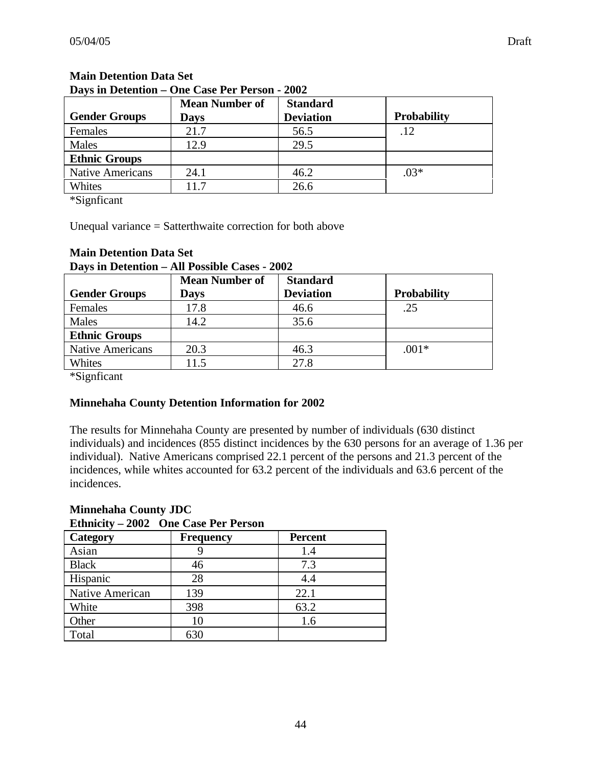| Days in Detention – One Case Per Person - 2002 |                       |                  |                    |  |  |  |
|------------------------------------------------|-----------------------|------------------|--------------------|--|--|--|
|                                                | <b>Mean Number of</b> | <b>Standard</b>  |                    |  |  |  |
| <b>Gender Groups</b>                           | Davs                  | <b>Deviation</b> | <b>Probability</b> |  |  |  |
| Females                                        | 21.7                  | 56.5             |                    |  |  |  |
| Males                                          | 12.9                  | 29.5             |                    |  |  |  |

# **Main Detention Data Set**

Native Americans 24.1 46.2 Whites 11.7 26.6

\*Signficant

**Ethnic Groups**

Unequal variance = Satterthwaite correction for both above

| Days in Detention – All Possible Cases - 2002 |                       |                  |                    |  |
|-----------------------------------------------|-----------------------|------------------|--------------------|--|
|                                               | <b>Mean Number of</b> | <b>Standard</b>  |                    |  |
| <b>Gender Groups</b>                          | <b>Days</b>           | <b>Deviation</b> | <b>Probability</b> |  |
| Females                                       | 17.8                  | 46.6             | .25                |  |
| Males                                         | 14.2                  | 35.6             |                    |  |
| <b>Ethnic Groups</b>                          |                       |                  |                    |  |
| <b>Native Americans</b>                       | 20.3                  | 46.3             | $.001*$            |  |
| Whites                                        | 11.5                  | 27.8             |                    |  |

# **Main Detention Data Set**

\*Signficant

#### **Minnehaha County Detention Information for 2002**

The results for Minnehaha County are presented by number of individuals (630 distinct individuals) and incidences (855 distinct incidences by the 630 persons for an average of 1.36 per individual). Native Americans comprised 22.1 percent of the persons and 21.3 percent of the incidences, while whites accounted for 63.2 percent of the individuals and 63.6 percent of the incidences.

#### **Minnehaha County JDC Ethnicity – 2002 One Case Per Person**

| <i>L</i> umer,<br>one case I et l'elbon |                  |                |  |  |
|-----------------------------------------|------------------|----------------|--|--|
| Category                                | <b>Frequency</b> | <b>Percent</b> |  |  |
| Asian                                   |                  | 1.4            |  |  |
| <b>Black</b>                            | 46               | 7.3            |  |  |
| Hispanic                                | 28               | 4.4            |  |  |
| Native American                         | 139              | 22.1           |  |  |
| White                                   | 398              | 63.2           |  |  |
| Other                                   | 10               | 1.6            |  |  |
| Total                                   | 630              |                |  |  |

.03\*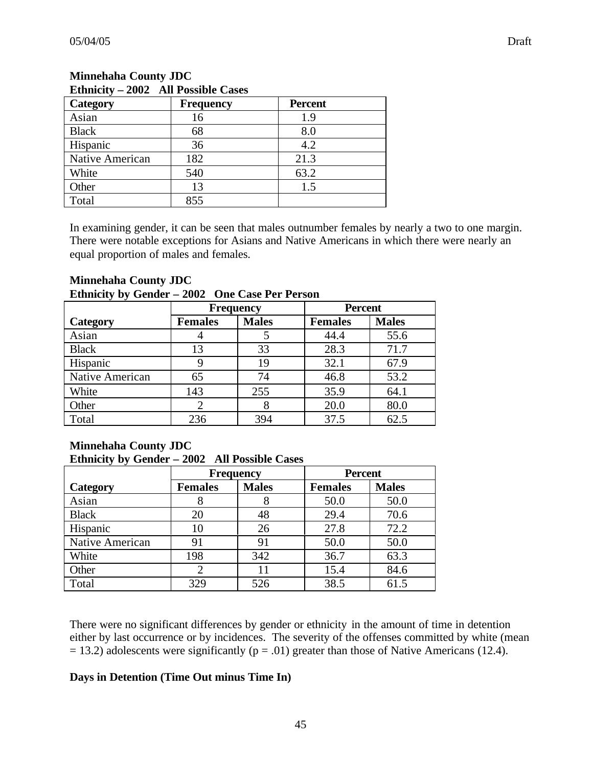| Lamnuty<br>$2002$ The Possible Cases |                  |                |  |  |
|--------------------------------------|------------------|----------------|--|--|
| <b>Category</b>                      | <b>Frequency</b> | <b>Percent</b> |  |  |
| Asian                                | 16               | 1.9            |  |  |
| <b>Black</b>                         | 68               | 8.0            |  |  |
| Hispanic                             | 36               | 4.2            |  |  |
| Native American                      | 182              | 21.3           |  |  |
| White                                | 540              | 63.2           |  |  |
| Other                                | 13               | 1.5            |  |  |
| Total                                | 855              |                |  |  |

## **Minnehaha County JDC Ethnicity – 2002 All Possible Cases**

In examining gender, it can be seen that males outnumber females by nearly a two to one margin. There were notable exceptions for Asians and Native Americans in which there were nearly an equal proportion of males and females.

#### **Minnehaha County JDC Ethnicity by Gender – 2002 One Case Per Person**

|                 | <b>Frequency</b> |              | <b>Percent</b> |              |
|-----------------|------------------|--------------|----------------|--------------|
| Category        | <b>Females</b>   | <b>Males</b> | <b>Females</b> | <b>Males</b> |
| Asian           |                  |              | 44.4           | 55.6         |
| <b>Black</b>    | 13               | 33           | 28.3           | 71.7         |
| Hispanic        |                  | 19           | 32.1           | 67.9         |
| Native American | 65               | 74           | 46.8           | 53.2         |
| White           | 143              | 255          | 35.9           | 64.1         |
| Other           |                  |              | 20.0           | 80.0         |
| Total           | 236              | 394          | 37.5           | 62.5         |

# **Minnehaha County JDC Ethnicity by Gender – 2002 All Possible Cases**

|                 | <b>Frequency</b> |              | <b>Percent</b> |              |
|-----------------|------------------|--------------|----------------|--------------|
| Category        | <b>Females</b>   | <b>Males</b> | <b>Females</b> | <b>Males</b> |
| Asian           |                  | 8            | 50.0           | 50.0         |
| <b>Black</b>    | 20               | 48           | 29.4           | 70.6         |
| Hispanic        | 10               | 26           | 27.8           | 72.2         |
| Native American | 91               | 91           | 50.0           | 50.0         |
| White           | 198              | 342          | 36.7           | 63.3         |
| Other           |                  | 11           | 15.4           | 84.6         |
| Total           | 329              | 526          | 38.5           | 61.5         |

There were no significant differences by gender or ethnicity in the amount of time in detention either by last occurrence or by incidences. The severity of the offenses committed by white (mean  $= 13.2$ ) adolescents were significantly ( $p = .01$ ) greater than those of Native Americans (12.4).

# **Days in Detention (Time Out minus Time In)**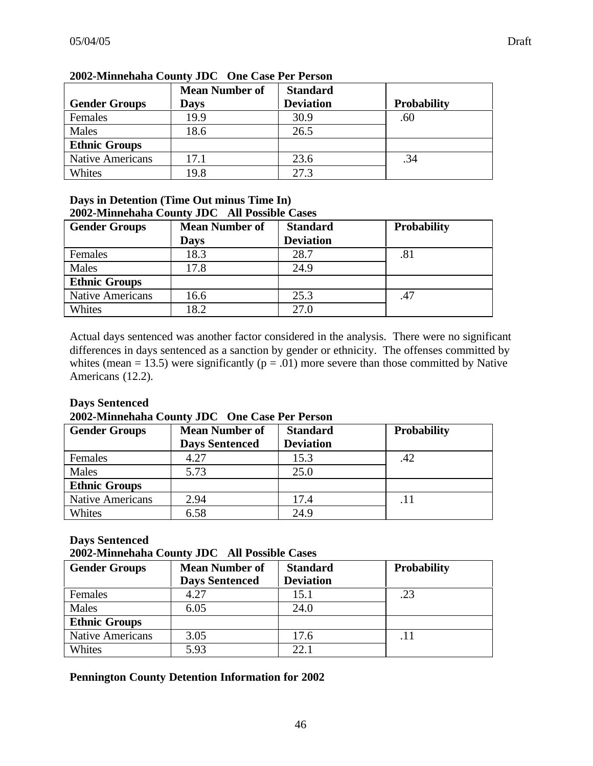|                         | <b>Mean Number of</b> | <b>Standard</b>  |                    |
|-------------------------|-----------------------|------------------|--------------------|
| <b>Gender Groups</b>    | Days                  | <b>Deviation</b> | <b>Probability</b> |
| Females                 | 19.9                  | 30.9             | .60                |
| Males                   | 18.6                  | 26.5             |                    |
| <b>Ethnic Groups</b>    |                       |                  |                    |
| <b>Native Americans</b> | 17.1                  | 23.6             | .34                |
| Whites                  | 19.8                  | 27.3             |                    |

# **2002-Minnehaha County JDC One Case Per Person**

#### **Days in Detention (Time Out minus Time In) 2002-Minnehaha County JDC All Possible Cases**

| <b>Gender Groups</b>    | <b>Mean Number of</b> | <b>Standard</b>  | <b>Probability</b> |
|-------------------------|-----------------------|------------------|--------------------|
|                         | <b>Days</b>           | <b>Deviation</b> |                    |
| Females                 | 18.3                  | 28.7             | .81                |
| Males                   | 17.8                  | 24.9             |                    |
| <b>Ethnic Groups</b>    |                       |                  |                    |
| <b>Native Americans</b> | 16.6                  | 25.3             | .47                |
| Whites                  | 18.2                  | 27.0             |                    |

Actual days sentenced was another factor considered in the analysis. There were no significant differences in days sentenced as a sanction by gender or ethnicity. The offenses committed by whites (mean = 13.5) were significantly ( $p = .01$ ) more severe than those committed by Native Americans (12.2).

#### **Days Sentenced**

**2002-Minnehaha County JDC One Case Per Person**

| <b>Gender Groups</b>    | <b>Mean Number of</b><br><b>Days Sentenced</b> | <b>Standard</b><br><b>Deviation</b> | <b>Probability</b> |
|-------------------------|------------------------------------------------|-------------------------------------|--------------------|
| Females                 | 4.27                                           | 15.3                                | .42                |
| Males                   | 5.73                                           | 25.0                                |                    |
| <b>Ethnic Groups</b>    |                                                |                                     |                    |
| <b>Native Americans</b> | 2.94                                           | 17.4                                | .11                |
| Whites                  | 6.58                                           | 24.9                                |                    |

# **Days Sentenced**

**2002-Minnehaha County JDC All Possible Cases**

| <b>Gender Groups</b>    | <b>Mean Number of</b><br><b>Standard</b><br><b>Deviation</b><br><b>Days Sentenced</b> |      | <b>Probability</b> |
|-------------------------|---------------------------------------------------------------------------------------|------|--------------------|
| Females                 | 4.27                                                                                  | 15.1 | .23                |
| Males                   | 6.05                                                                                  | 24.0 |                    |
| <b>Ethnic Groups</b>    |                                                                                       |      |                    |
| <b>Native Americans</b> | 3.05                                                                                  | 17.6 | .11                |
| Whites                  | 5.93                                                                                  | 22.1 |                    |

# **Pennington County Detention Information for 2002**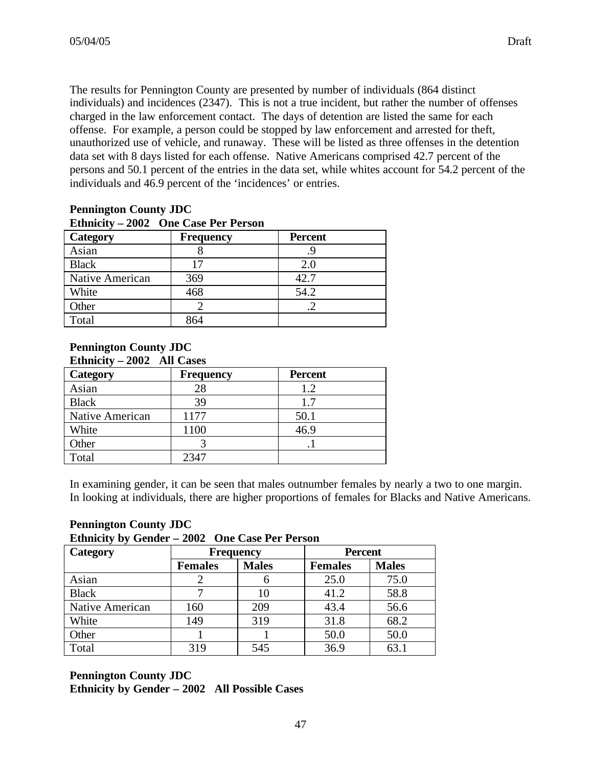The results for Pennington County are presented by number of individuals (864 distinct individuals) and incidences (2347). This is not a true incident, but rather the number of offenses charged in the law enforcement contact. The days of detention are listed the same for each offense. For example, a person could be stopped by law enforcement and arrested for theft, unauthorized use of vehicle, and runaway. These will be listed as three offenses in the detention data set with 8 days listed for each offense. Native Americans comprised 42.7 percent of the persons and 50.1 percent of the entries in the data set, while whites account for 54.2 percent of the individuals and 46.9 percent of the 'incidences' or entries.

| Ethnicity – 2002 One Case Per Person |                  |                |  |  |  |
|--------------------------------------|------------------|----------------|--|--|--|
| Category                             | <b>Frequency</b> | <b>Percent</b> |  |  |  |
| Asian                                |                  | .9             |  |  |  |
| <b>Black</b>                         | 17               | 2.0            |  |  |  |
| Native American                      | 369              | 42.7           |  |  |  |
| White                                | 468              | 54.2           |  |  |  |
| Other                                |                  |                |  |  |  |
| Total                                | 864              |                |  |  |  |

# **Pennington County JDC**

#### **Pennington County JDC Ethnicity – 2002 All Cases**

| <b>LIGILIA</b> CIVY<br>$\sim$ |                  |                |  |  |
|-------------------------------|------------------|----------------|--|--|
| <b>Category</b>               | <b>Frequency</b> | <b>Percent</b> |  |  |
| Asian                         | 28               | 1.2            |  |  |
| <b>Black</b>                  | 39               | 1.7            |  |  |
| Native American               | 1177             | 50.1           |  |  |
| White                         | 1100             | 46.9           |  |  |
| Other                         |                  |                |  |  |
| Total                         | 2347             |                |  |  |

In examining gender, it can be seen that males outnumber females by nearly a two to one margin. In looking at individuals, there are higher proportions of females for Blacks and Native Americans.

# **Pennington County JDC**

**Ethnicity by Gender – 2002 One Case Per Person**

| Category        | <b>Frequency</b> |              | <b>Percent</b> |              |
|-----------------|------------------|--------------|----------------|--------------|
|                 | <b>Females</b>   | <b>Males</b> | <b>Females</b> | <b>Males</b> |
| Asian           |                  |              | 25.0           | 75.0         |
| <b>Black</b>    |                  | 10           | 41.2           | 58.8         |
| Native American | 160              | 209          | 43.4           | 56.6         |
| White           | 149              | 319          | 31.8           | 68.2         |
| Other           |                  |              | 50.0           | 50.0         |
| Total           | 319              | 545          | 36.9           | 63.1         |

#### **Pennington County JDC Ethnicity by Gender – 2002 All Possible Cases**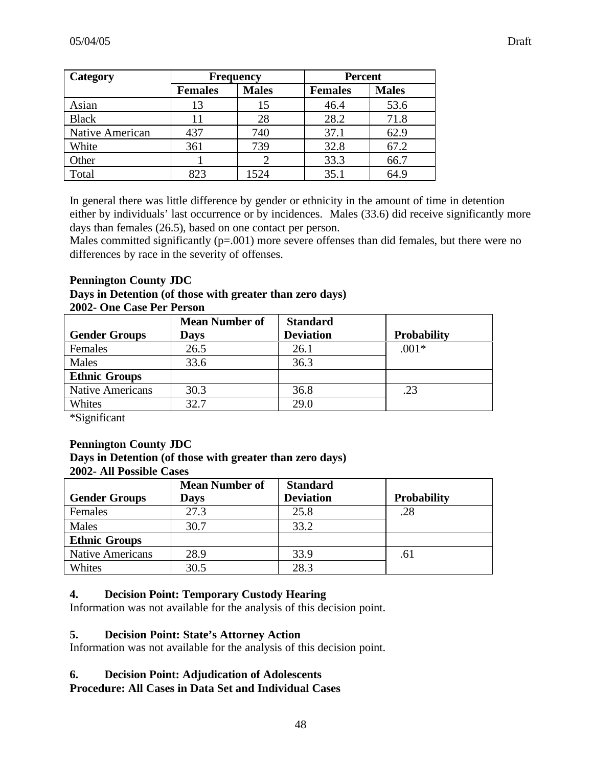| Category        | <b>Frequency</b> |              | <b>Percent</b> |              |
|-----------------|------------------|--------------|----------------|--------------|
|                 | <b>Females</b>   | <b>Males</b> | <b>Females</b> | <b>Males</b> |
| Asian           | 13               | 15           | 46.4           | 53.6         |
| <b>Black</b>    | 11               | 28           | 28.2           | 71.8         |
| Native American | 437              | 740          | 37.1           | 62.9         |
| White           | 361              | 739          | 32.8           | 67.2         |
| Other           |                  |              | 33.3           | 66.7         |
| Total           | 823              | 1524         | 35.1           | 64.9         |

In general there was little difference by gender or ethnicity in the amount of time in detention either by individuals' last occurrence or by incidences. Males (33.6) did receive significantly more days than females (26.5), based on one contact per person.

Males committed significantly  $(p=.001)$  more severe offenses than did females, but there were no differences by race in the severity of offenses.

#### **Pennington County JDC**

#### **Days in Detention (of those with greater than zero days) 2002- One Case Per Person**

|                         | <b>Mean Number of</b> | <b>Standard</b>  |                    |
|-------------------------|-----------------------|------------------|--------------------|
| <b>Gender Groups</b>    | <b>Days</b>           | <b>Deviation</b> | <b>Probability</b> |
| Females                 | 26.5                  | 26.1             | $.001*$            |
| Males                   | 33.6                  | 36.3             |                    |
| <b>Ethnic Groups</b>    |                       |                  |                    |
| <b>Native Americans</b> | 30.3                  | 36.8             | .23                |
| Whites                  | 32.7                  | 29.0             |                    |

\*Significant

#### **Pennington County JDC**

**Days in Detention (of those with greater than zero days)**

#### **2002- All Possible Cases**

|                         | <b>Mean Number of</b> | <b>Standard</b>  |                    |
|-------------------------|-----------------------|------------------|--------------------|
| <b>Gender Groups</b>    | <b>Days</b>           | <b>Deviation</b> | <b>Probability</b> |
| Females                 | 27.3                  | 25.8             | .28                |
| Males                   | 30.7                  | 33.2             |                    |
| <b>Ethnic Groups</b>    |                       |                  |                    |
| <b>Native Americans</b> | 28.9                  | 33.9             | .61                |
| Whites                  | 30.5                  | 28.3             |                    |

#### **4. Decision Point: Temporary Custody Hearing**

Information was not available for the analysis of this decision point.

#### **5. Decision Point: State's Attorney Action**

Information was not available for the analysis of this decision point.

#### **6. Decision Point: Adjudication of Adolescents**

# **Procedure: All Cases in Data Set and Individual Cases**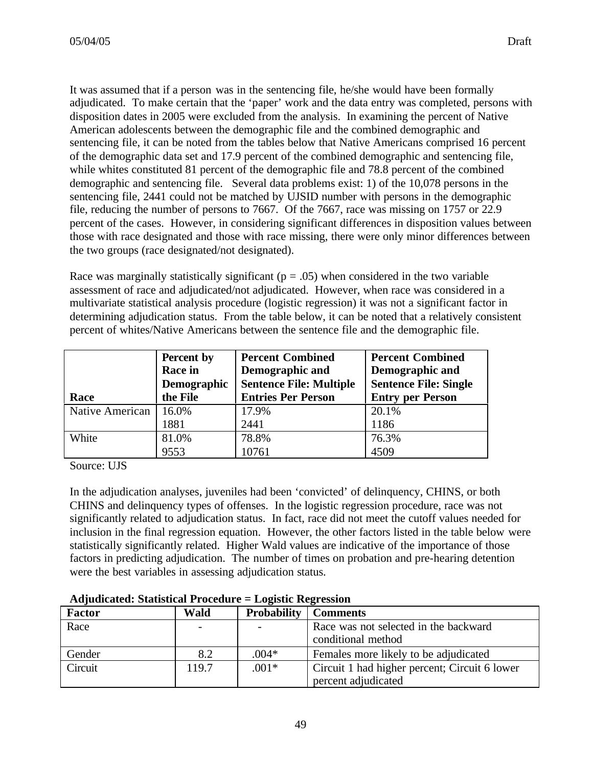It was assumed that if a person was in the sentencing file, he/she would have been formally adjudicated. To make certain that the 'paper' work and the data entry was completed, persons with disposition dates in 2005 were excluded from the analysis. In examining the percent of Native American adolescents between the demographic file and the combined demographic and sentencing file, it can be noted from the tables below that Native Americans comprised 16 percent of the demographic data set and 17.9 percent of the combined demographic and sentencing file, while whites constituted 81 percent of the demographic file and 78.8 percent of the combined demographic and sentencing file. Several data problems exist: 1) of the 10,078 persons in the sentencing file, 2441 could not be matched by UJSID number with persons in the demographic file, reducing the number of persons to 7667. Of the 7667, race was missing on 1757 or 22.9 percent of the cases. However, in considering significant differences in disposition values between those with race designated and those with race missing, there were only minor differences between the two groups (race designated/not designated).

Race was marginally statistically significant ( $p = .05$ ) when considered in the two variable assessment of race and adjudicated/not adjudicated. However, when race was considered in a multivariate statistical analysis procedure (logistic regression) it was not a significant factor in determining adjudication status. From the table below, it can be noted that a relatively consistent percent of whites/Native Americans between the sentence file and the demographic file.

| Race            | Percent by<br><b>Race in</b><br>Demographic<br>the File | <b>Percent Combined</b><br>Demographic and<br><b>Sentence File: Multiple</b><br><b>Entries Per Person</b> | <b>Percent Combined</b><br>Demographic and<br><b>Sentence File: Single</b><br><b>Entry per Person</b> |
|-----------------|---------------------------------------------------------|-----------------------------------------------------------------------------------------------------------|-------------------------------------------------------------------------------------------------------|
| Native American | 16.0%                                                   | 17.9%                                                                                                     | 20.1%                                                                                                 |
|                 | 1881                                                    | 2441                                                                                                      | 1186                                                                                                  |
| White           | 81.0%                                                   | 78.8%                                                                                                     | 76.3%                                                                                                 |
|                 | 9553                                                    | 10761                                                                                                     | 4509                                                                                                  |

Source: UJS

In the adjudication analyses, juveniles had been 'convicted' of delinquency, CHINS, or both CHINS and delinquency types of offenses. In the logistic regression procedure, race was not significantly related to adjudication status. In fact, race did not meet the cutoff values needed for inclusion in the final regression equation. However, the other factors listed in the table below were statistically significantly related. Higher Wald values are indicative of the importance of those factors in predicting adjudication. The number of times on probation and pre-hearing detention were the best variables in assessing adjudication status.

#### **Adjudicated: Statistical Procedure = Logistic Regression**

| <b>Factor</b> | Wald  | Probability | <b>Comments</b>                               |
|---------------|-------|-------------|-----------------------------------------------|
| Race          |       |             | Race was not selected in the backward         |
|               |       |             | conditional method                            |
| Gender        | 8.2   | $.004*$     | Females more likely to be adjudicated         |
| Circuit       | 119.7 | $.001*$     | Circuit 1 had higher percent; Circuit 6 lower |
|               |       |             | percent adjudicated                           |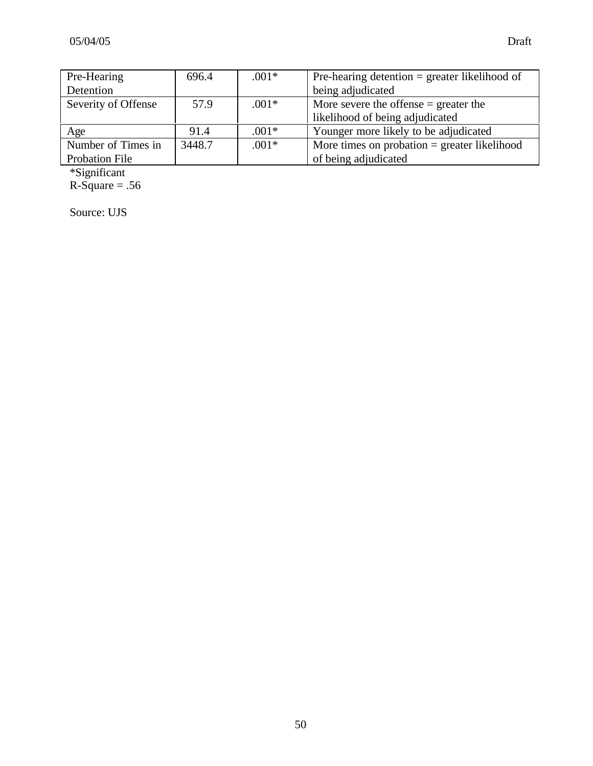| Pre-Hearing           | 696.4  | $.001*$ | Pre-hearing detention $=$ greater likelihood of |  |
|-----------------------|--------|---------|-------------------------------------------------|--|
| Detention             |        |         | being adjudicated                               |  |
| Severity of Offense   | 57.9   | $.001*$ | More severe the offense $=$ greater the         |  |
|                       |        |         | likelihood of being adjudicated                 |  |
| Age                   | 91.4   | $.001*$ | Younger more likely to be adjudicated           |  |
| Number of Times in    | 3448.7 | $.001*$ | More times on probation $=$ greater likelihood  |  |
| <b>Probation File</b> |        |         | of being adjudicated                            |  |

\*Significant  $R-Square = .56$ 

Source: UJS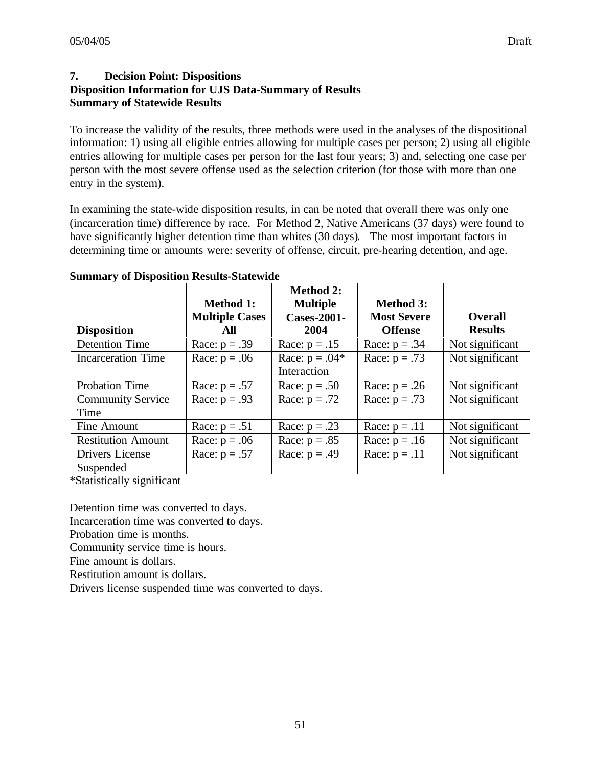# **7. Decision Point: Dispositions Disposition Information for UJS Data-Summary of Results Summary of Statewide Results**

To increase the validity of the results, three methods were used in the analyses of the dispositional information: 1) using all eligible entries allowing for multiple cases per person; 2) using all eligible entries allowing for multiple cases per person for the last four years; 3) and, selecting one case per person with the most severe offense used as the selection criterion (for those with more than one entry in the system).

In examining the state-wide disposition results, in can be noted that overall there was only one (incarceration time) difference by race. For Method 2, Native Americans (37 days) were found to have significantly higher detention time than whites (30 days). The most important factors in determining time or amounts were: severity of offense, circuit, pre-hearing detention, and age.

| <b>Disposition</b>        | <b>Method 1:</b><br><b>Multiple Cases</b><br>All | <b>Method 2:</b><br><b>Multiple</b><br><b>Cases-2001-</b><br>2004 | <b>Method 3:</b><br><b>Most Severe</b><br><b>Offense</b> | <b>Overall</b><br><b>Results</b> |
|---------------------------|--------------------------------------------------|-------------------------------------------------------------------|----------------------------------------------------------|----------------------------------|
|                           |                                                  |                                                                   |                                                          |                                  |
| <b>Detention Time</b>     | Race: $p = .39$                                  | Race: $p = .15$                                                   | Race: $p = .34$                                          | Not significant                  |
| <b>Incarceration Time</b> | Race: $p = .06$                                  | Race: $p = .04*$<br>Interaction                                   | Race: $p = .73$                                          | Not significant                  |
| Probation Time            | Race: $p = .57$                                  | Race: $p = .50$                                                   | Race: $p = .26$                                          | Not significant                  |
| <b>Community Service</b>  | Race: $p = .93$                                  | Race: $p = .72$                                                   | Race: $p = .73$                                          | Not significant                  |
| Time                      |                                                  |                                                                   |                                                          |                                  |
| Fine Amount               | Race: $p = .51$                                  | Race: $p = .23$                                                   | Race: $p = .11$                                          | Not significant                  |
| <b>Restitution Amount</b> | Race: $p = .06$                                  | Race: $p = .85$                                                   | Race: $p = .16$                                          | Not significant                  |
| Drivers License           | Race: $p = .57$                                  | Race: $p = .49$                                                   | Race: $p = .11$                                          | Not significant                  |
| Suspended                 |                                                  |                                                                   |                                                          |                                  |

#### **Summary of Disposition Results-Statewide**

\*Statistically significant

Detention time was converted to days.

Incarceration time was converted to days.

Probation time is months.

Community service time is hours.

Fine amount is dollars.

Restitution amount is dollars.

Drivers license suspended time was converted to days.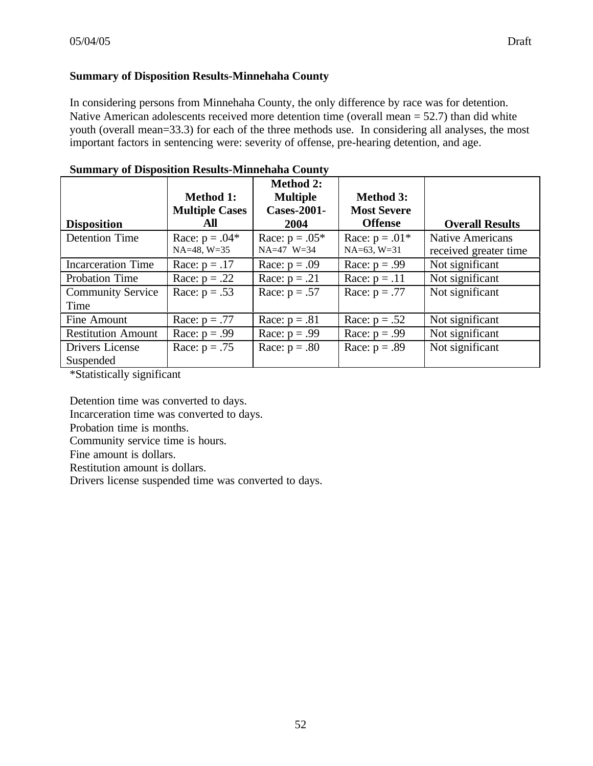#### **Summary of Disposition Results-Minnehaha County**

In considering persons from Minnehaha County, the only difference by race was for detention. Native American adolescents received more detention time (overall mean = 52.7) than did white youth (overall mean=33.3) for each of the three methods use. In considering all analyses, the most important factors in sentencing were: severity of offense, pre-hearing detention, and age.

|                                                                                                                                      | <b>Method 1:</b>      | <b>Method 2:</b><br><b>Multiple</b> | <b>Method 3:</b>   |                         |
|--------------------------------------------------------------------------------------------------------------------------------------|-----------------------|-------------------------------------|--------------------|-------------------------|
|                                                                                                                                      | <b>Multiple Cases</b> | <b>Cases-2001-</b>                  | <b>Most Severe</b> |                         |
| <b>Disposition</b>                                                                                                                   | All                   | 2004                                | <b>Offense</b>     | <b>Overall Results</b>  |
| <b>Detention Time</b>                                                                                                                | Race: $p = .04*$      | Race: $p = .05*$                    | Race: $p = .01*$   | <b>Native Americans</b> |
|                                                                                                                                      | $NA=48$ , $W=35$      | NA=47 W=34                          | $NA=63$ , $W=31$   | received greater time   |
| <b>Incarceration Time</b>                                                                                                            | Race: $p = .17$       | Race: $p = .09$                     | Race: $p = .99$    | Not significant         |
| <b>Probation Time</b>                                                                                                                | Race: $p = .22$       | Race: $p = .21$                     | Race: $p = .11$    | Not significant         |
| <b>Community Service</b>                                                                                                             | Race: $p = .53$       | Race: $p = .57$                     | Race: $p = .77$    | Not significant         |
| Time                                                                                                                                 |                       |                                     |                    |                         |
| Fine Amount                                                                                                                          | Race: $p = .77$       | Race: $p = .81$                     | Race: $p = .52$    | Not significant         |
| <b>Restitution Amount</b>                                                                                                            | Race: $p = .99$       | Race: $p = .99$                     | Race: $p = .99$    | Not significant         |
| Drivers License                                                                                                                      | Race: $p = .75$       | Race: $p = .80$                     | Race: $p = .89$    | Not significant         |
| Suspended<br>$\mathbf{a} \cdot \mathbf{a}$ , and a set of $\mathbf{a} \cdot \mathbf{a}$ , and a set of $\mathbf{a} \cdot \mathbf{a}$ |                       |                                     |                    |                         |

#### **Summary of Disposition Results-Minnehaha County**

\*Statistically significant

Detention time was converted to days.

Incarceration time was converted to days.

Probation time is months.

Community service time is hours.

Fine amount is dollars.

Restitution amount is dollars.

Drivers license suspended time was converted to days.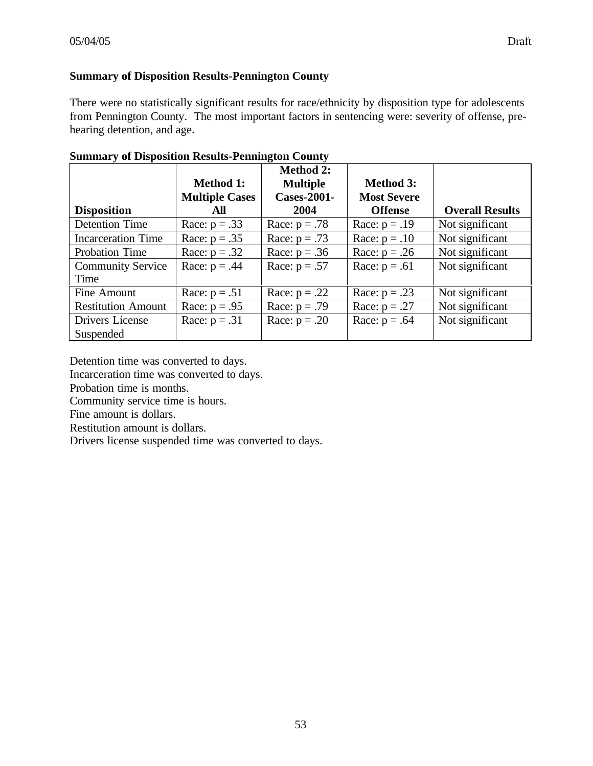# **Summary of Disposition Results-Pennington County**

There were no statistically significant results for race/ethnicity by disposition type for adolescents from Pennington County. The most important factors in sentencing were: severity of offense, prehearing detention, and age.

|                           | <b>Method 1:</b>      | <b>Method 2:</b><br><b>Multiple</b> | <b>Method 3:</b>   |                        |
|---------------------------|-----------------------|-------------------------------------|--------------------|------------------------|
|                           | <b>Multiple Cases</b> | <b>Cases-2001-</b>                  | <b>Most Severe</b> |                        |
| <b>Disposition</b>        | All                   | 2004                                | <b>Offense</b>     | <b>Overall Results</b> |
| <b>Detention Time</b>     | Race: $p = .33$       | Race: $p = .78$                     | Race: $p = .19$    | Not significant        |
| <b>Incarceration Time</b> | Race: $p = .35$       | Race: $p = .73$                     | Race: $p = .10$    | Not significant        |
| <b>Probation Time</b>     | Race: $p = .32$       | Race: $p = .36$                     | Race: $p = .26$    | Not significant        |
| <b>Community Service</b>  | Race: $p = .44$       | Race: $p = .57$                     | Race: $p = .61$    | Not significant        |
| Time                      |                       |                                     |                    |                        |
| Fine Amount               | Race: $p = .51$       | Race: $p = .22$                     | Race: $p = .23$    | Not significant        |
| <b>Restitution Amount</b> | Race: $p = .95$       | Race: $p = .79$                     | Race: $p = .27$    | Not significant        |
| Drivers License           | Race: $p = .31$       | Race: $p = .20$                     | Race: $p = .64$    | Not significant        |
| Suspended                 |                       |                                     |                    |                        |

|  | <b>Summary of Disposition Results-Pennington County</b> |  |
|--|---------------------------------------------------------|--|
|--|---------------------------------------------------------|--|

Detention time was converted to days.

Incarceration time was converted to days.

Probation time is months.

Community service time is hours.

Fine amount is dollars.

Restitution amount is dollars.

Drivers license suspended time was converted to days.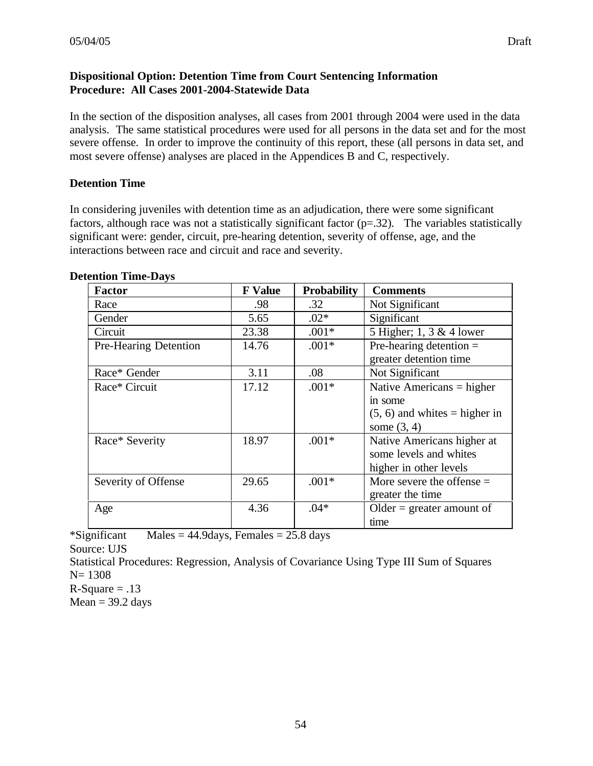# **Dispositional Option: Detention Time from Court Sentencing Information Procedure: All Cases 2001-2004-Statewide Data**

In the section of the disposition analyses, all cases from 2001 through 2004 were used in the data analysis. The same statistical procedures were used for all persons in the data set and for the most severe offense. In order to improve the continuity of this report, these (all persons in data set, and most severe offense) analyses are placed in the Appendices B and C, respectively.

# **Detention Time**

In considering juveniles with detention time as an adjudication, there were some significant factors, although race was not a statistically significant factor  $(p=.32)$ . The variables statistically significant were: gender, circuit, pre-hearing detention, severity of offense, age, and the interactions between race and circuit and race and severity.

| <b>Factor</b>         | <b>F</b> Value | <b>Probability</b> | <b>Comments</b>                 |
|-----------------------|----------------|--------------------|---------------------------------|
| Race                  | .98            | .32                | Not Significant                 |
| Gender                | 5.65           | $.02*$             | Significant                     |
| Circuit               | 23.38          | $.001*$            | 5 Higher; 1, 3 & 4 lower        |
| Pre-Hearing Detention | 14.76          | $.001*$            | Pre-hearing detention $=$       |
|                       |                |                    | greater detention time          |
| Race* Gender          | 3.11           | .08                | Not Significant                 |
| Race* Circuit         | 17.12          | $.001*$            | Native Americans $=$ higher     |
|                       |                |                    | in some                         |
|                       |                |                    | $(5, 6)$ and whites = higher in |
|                       |                |                    | some $(3, 4)$                   |
| Race* Severity        | 18.97          | $.001*$            | Native Americans higher at      |
|                       |                |                    | some levels and whites          |
|                       |                |                    | higher in other levels          |
| Severity of Offense   | 29.65          | $.001*$            | More severe the offense $=$     |
|                       |                |                    | greater the time                |
| Age                   | 4.36           | $.04*$             | Older = greater amount of       |
|                       |                |                    | time                            |

#### **Detention Time-Days**

\*Significant Males =  $44.9 \text{days}$ , Females =  $25.8 \text{ days}$ 

Source: UJS

Statistical Procedures: Regression, Analysis of Covariance Using Type III Sum of Squares N= 1308

 $R-Square = .13$  $Mean = 39.2 \text{ days}$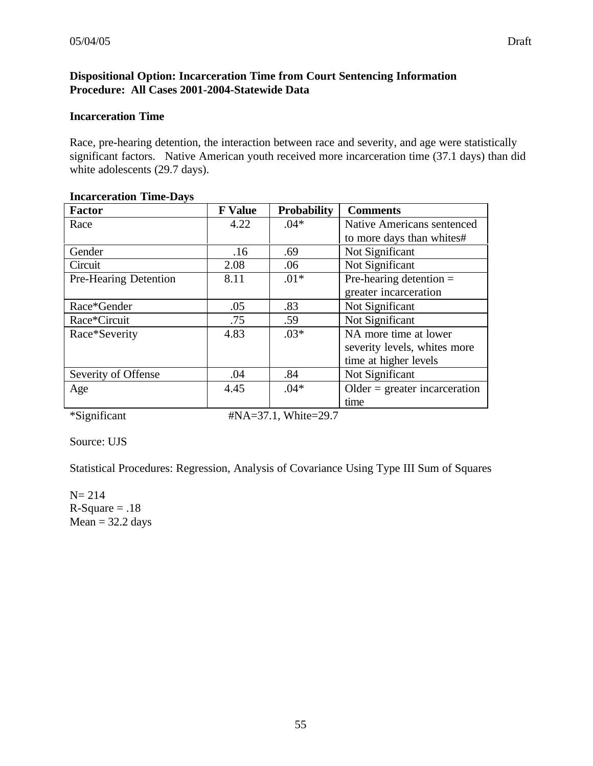## **Dispositional Option: Incarceration Time from Court Sentencing Information Procedure: All Cases 2001-2004-Statewide Data**

#### **Incarceration Time**

Race, pre-hearing detention, the interaction between race and severity, and age were statistically significant factors. Native American youth received more incarceration time (37.1 days) than did white adolescents (29.7 days).

| <b>F</b> Value | <b>Probability</b> | <b>Comments</b>                  |
|----------------|--------------------|----------------------------------|
| 4.22           | $.04*$             | Native Americans sentenced       |
|                |                    | to more days than whites#        |
| .16            | .69                | Not Significant                  |
| 2.08           | .06                | Not Significant                  |
| 8.11           | $.01*$             | Pre-hearing detention $=$        |
|                |                    | greater incarceration            |
| .05            | .83                | Not Significant                  |
| .75            | .59                | Not Significant                  |
| 4.83           | $.03*$             | NA more time at lower            |
|                |                    | severity levels, whites more     |
|                |                    | time at higher levels            |
| .04            | .84                | Not Significant                  |
| 4.45           | $.04*$             | $Older = greater inacarceration$ |
|                |                    | time                             |
|                |                    |                                  |

#### **Incarceration Time-Days**

\*Significant #NA=37.1, White=29.7

Source: UJS

Statistical Procedures: Regression, Analysis of Covariance Using Type III Sum of Squares

 $N= 214$  $R-Square = .18$  $Mean = 32.2 \text{ days}$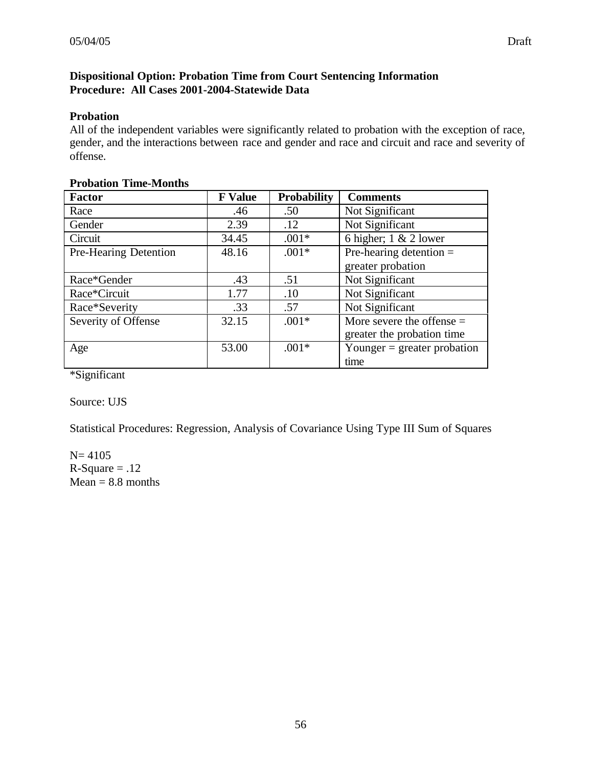# **Dispositional Option: Probation Time from Court Sentencing Information Procedure: All Cases 2001-2004-Statewide Data**

# **Probation**

All of the independent variables were significantly related to probation with the exception of race, gender, and the interactions between race and gender and race and circuit and race and severity of offense.

| <b>Factor</b>         | <b>F</b> Value | <b>Probability</b> | <b>Comments</b>               |
|-----------------------|----------------|--------------------|-------------------------------|
| Race                  | .46            | .50                | Not Significant               |
| Gender                | 2.39           | .12                | Not Significant               |
| Circuit               | 34.45          | $.001*$            | 6 higher; $1 & 2$ lower       |
| Pre-Hearing Detention | 48.16          | $.001*$            | Pre-hearing detention $=$     |
|                       |                |                    | greater probation             |
| Race*Gender           | .43            | .51                | Not Significant               |
| Race*Circuit          | 1.77           | .10                | Not Significant               |
| Race*Severity         | .33            | .57                | Not Significant               |
| Severity of Offense   | 32.15          | $.001*$            | More severe the offense $=$   |
|                       |                |                    | greater the probation time    |
| Age                   | 53.00          | $.001*$            | Younger $=$ greater probation |
|                       |                |                    | time                          |

# **Probation Time-Months**

\*Significant

Source: UJS

Statistical Procedures: Regression, Analysis of Covariance Using Type III Sum of Squares

 $N= 4105$  $R-Square = .12$  $Mean = 8.8$  months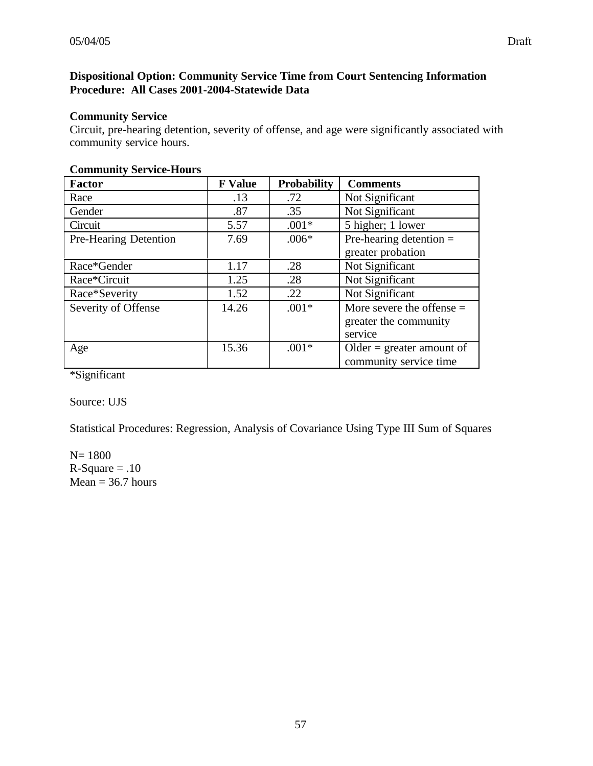# **Dispositional Option: Community Service Time from Court Sentencing Information Procedure: All Cases 2001-2004-Statewide Data**

# **Community Service**

Circuit, pre-hearing detention, severity of offense, and age were significantly associated with community service hours.

| <b>Factor</b>         | <b>F</b> Value | <b>Probability</b> | <b>Comments</b>             |
|-----------------------|----------------|--------------------|-----------------------------|
| Race                  | .13            | .72                | Not Significant             |
| Gender                | .87            | .35                | Not Significant             |
| Circuit               | 5.57           | $.001*$            | 5 higher; 1 lower           |
| Pre-Hearing Detention | 7.69           | $.006*$            | Pre-hearing detention $=$   |
|                       |                |                    | greater probation           |
| Race*Gender           | 1.17           | .28                | Not Significant             |
| Race*Circuit          | 1.25           | .28                | Not Significant             |
| Race*Severity         | 1.52           | .22                | Not Significant             |
| Severity of Offense   | 14.26          | $.001*$            | More severe the offense $=$ |
|                       |                |                    | greater the community       |
|                       |                |                    | service                     |
| Age                   | 15.36          | $.001*$            | Older = greater amount of   |
|                       |                |                    | community service time      |

# **Community Service-Hours**

\*Significant

Source: UJS

Statistical Procedures: Regression, Analysis of Covariance Using Type III Sum of Squares

N= 1800  $R-Square = .10$  $Mean = 36.7 hours$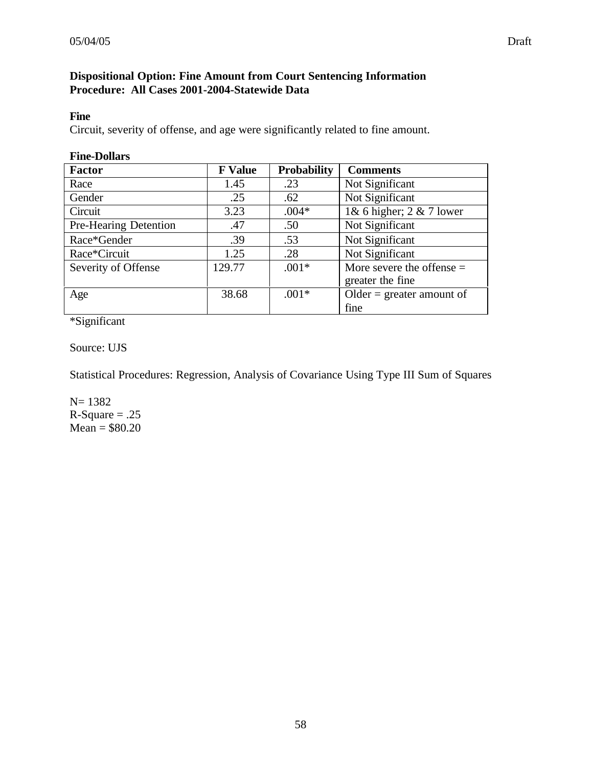# **Dispositional Option: Fine Amount from Court Sentencing Information Procedure: All Cases 2001-2004-Statewide Data**

#### **Fine**

Circuit, severity of offense, and age were significantly related to fine amount.

| <b>Fine-Dollars</b>   |                |                    |                             |
|-----------------------|----------------|--------------------|-----------------------------|
| <b>Factor</b>         | <b>F</b> Value | <b>Probability</b> | <b>Comments</b>             |
| Race                  | 1.45           | .23                | Not Significant             |
| Gender                | .25            | .62                | Not Significant             |
| Circuit               | 3.23           | $.004*$            | 1& 6 higher; $2 \& 7$ lower |
| Pre-Hearing Detention | .47            | .50                | Not Significant             |
| Race*Gender           | .39            | .53                | Not Significant             |
| Race*Circuit          | 1.25           | .28                | Not Significant             |
| Severity of Offense   | 129.77         | $.001*$            | More severe the offense $=$ |
|                       |                |                    | greater the fine            |
| Age                   | 38.68          | $.001*$            | Older = greater amount of   |
|                       |                |                    | fine                        |

\*Significant

Source: UJS

Statistical Procedures: Regression, Analysis of Covariance Using Type III Sum of Squares

N= 1382  $R-Square = .25$  $Mean = $80.20$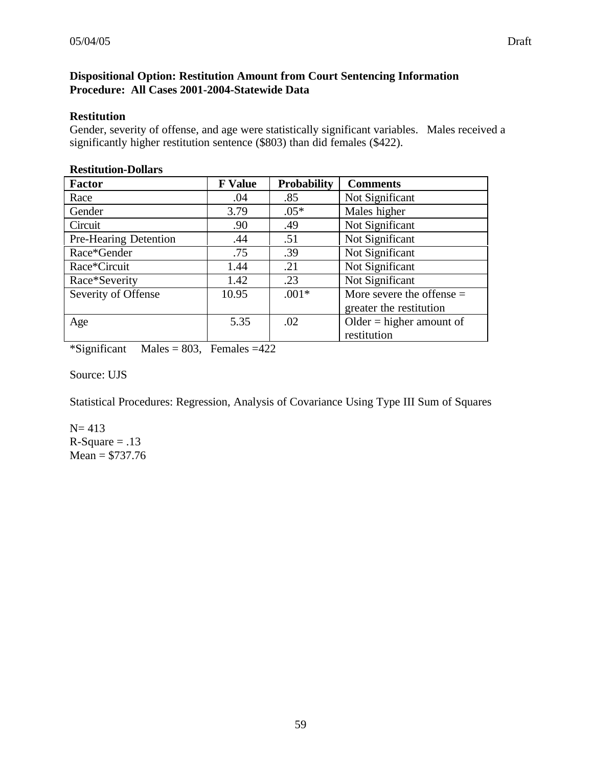## **Dispositional Option: Restitution Amount from Court Sentencing Information Procedure: All Cases 2001-2004-Statewide Data**

#### **Restitution**

Gender, severity of offense, and age were statistically significant variables. Males received a significantly higher restitution sentence (\$803) than did females (\$422).

| <b>Factor</b>         | <b>F</b> Value | <b>Probability</b> | <b>Comments</b>             |
|-----------------------|----------------|--------------------|-----------------------------|
| Race                  | .04            | .85                | Not Significant             |
| Gender                | 3.79           | $.05*$             | Males higher                |
| Circuit               | .90            | .49                | Not Significant             |
| Pre-Hearing Detention | .44            | .51                | Not Significant             |
| Race*Gender           | .75            | .39                | Not Significant             |
| Race*Circuit          | 1.44           | .21                | Not Significant             |
| Race*Severity         | 1.42           | .23                | Not Significant             |
| Severity of Offense   | 10.95          | $.001*$            | More severe the offense $=$ |
|                       |                |                    | greater the restitution     |
| Age                   | 5.35           | .02                | Older $=$ higher amount of  |
|                       |                |                    | restitution                 |

#### **Restitution-Dollars**

 $*Significant$  Males = 803, Females = 422

Source: UJS

Statistical Procedures: Regression, Analysis of Covariance Using Type III Sum of Squares

 $N= 413$  $R-Square = .13$  $Mean = $737.76$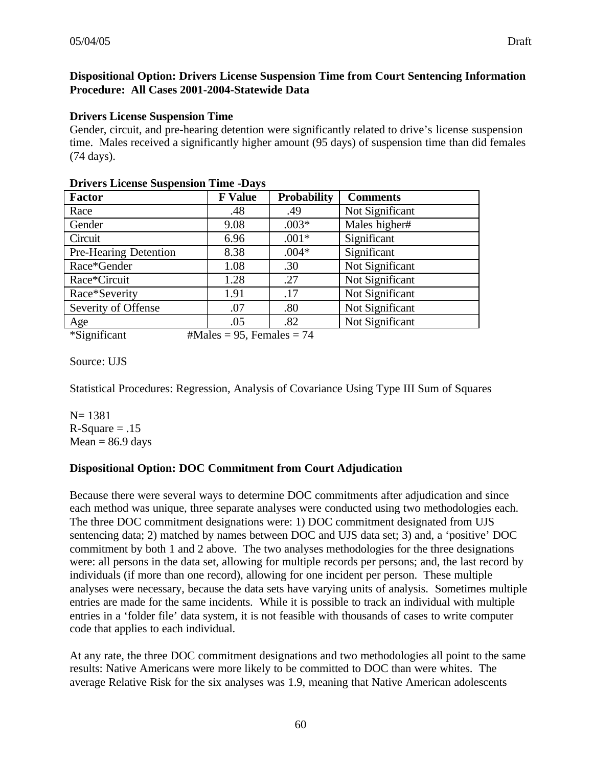#### **Dispositional Option: Drivers License Suspension Time from Court Sentencing Information Procedure: All Cases 2001-2004-Statewide Data**

#### **Drivers License Suspension Time**

Gender, circuit, and pre-hearing detention were significantly related to drive's license suspension time. Males received a significantly higher amount (95 days) of suspension time than did females (74 days).

| <b>Factor</b>         | <b>F</b> Value | <b>Probability</b> | <b>Comments</b> |
|-----------------------|----------------|--------------------|-----------------|
| Race                  | .48            | .49                | Not Significant |
| Gender                | 9.08           | $.003*$            | Males higher#   |
| Circuit               | 6.96           | $.001*$            | Significant     |
| Pre-Hearing Detention | 8.38           | $.004*$            | Significant     |
| Race*Gender           | 1.08           | .30                | Not Significant |
| Race*Circuit          | 1.28           | .27                | Not Significant |
| Race*Severity         | 1.91           | .17                | Not Significant |
| Severity of Offense   | .07            | .80                | Not Significant |
| Age                   | .05            | .82                | Not Significant |

#### **Drivers License Suspension Time -Days**

```
*Significant \#Males = 95, Females = 74
```
Source: UJS

Statistical Procedures: Regression, Analysis of Covariance Using Type III Sum of Squares

N= 1381  $R-Square = .15$  $Mean = 86.9$  days

# **Dispositional Option: DOC Commitment from Court Adjudication**

Because there were several ways to determine DOC commitments after adjudication and since each method was unique, three separate analyses were conducted using two methodologies each. The three DOC commitment designations were: 1) DOC commitment designated from UJS sentencing data; 2) matched by names between DOC and UJS data set; 3) and, a 'positive' DOC commitment by both 1 and 2 above. The two analyses methodologies for the three designations were: all persons in the data set, allowing for multiple records per persons; and, the last record by individuals (if more than one record), allowing for one incident per person. These multiple analyses were necessary, because the data sets have varying units of analysis. Sometimes multiple entries are made for the same incidents. While it is possible to track an individual with multiple entries in a 'folder file' data system, it is not feasible with thousands of cases to write computer code that applies to each individual.

At any rate, the three DOC commitment designations and two methodologies all point to the same results: Native Americans were more likely to be committed to DOC than were whites. The average Relative Risk for the six analyses was 1.9, meaning that Native American adolescents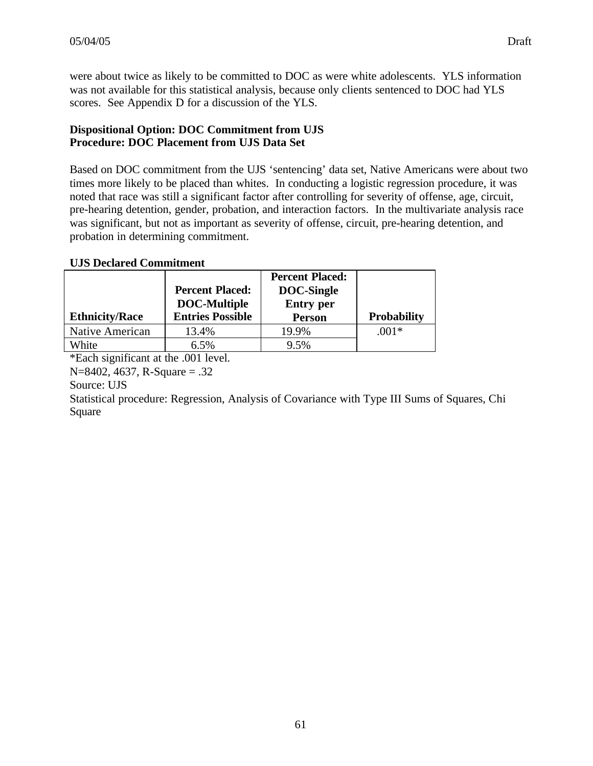were about twice as likely to be committed to DOC as were white adolescents. YLS information was not available for this statistical analysis, because only clients sentenced to DOC had YLS scores. See Appendix D for a discussion of the YLS.

# **Dispositional Option: DOC Commitment from UJS Procedure: DOC Placement from UJS Data Set**

Based on DOC commitment from the UJS 'sentencing' data set, Native Americans were about two times more likely to be placed than whites. In conducting a logistic regression procedure, it was noted that race was still a significant factor after controlling for severity of offense, age, circuit, pre-hearing detention, gender, probation, and interaction factors. In the multivariate analysis race was significant, but not as important as severity of offense, circuit, pre-hearing detention, and probation in determining commitment.

# **UJS Declared Commitment**

|                       |                         | <b>Percent Placed:</b> |                    |
|-----------------------|-------------------------|------------------------|--------------------|
|                       | <b>Percent Placed:</b>  | <b>DOC-Single</b>      |                    |
|                       | <b>DOC-Multiple</b>     | <b>Entry</b> per       |                    |
| <b>Ethnicity/Race</b> | <b>Entries Possible</b> | <b>Person</b>          | <b>Probability</b> |
| Native American       | 13.4%                   | 19.9%                  | $.001*$            |
| White                 | 6.5%                    | 9.5%                   |                    |

\*Each significant at the .001 level.

N=8402, 4637, R-Square = .32

Source: UJS

Statistical procedure: Regression, Analysis of Covariance with Type III Sums of Squares, Chi Square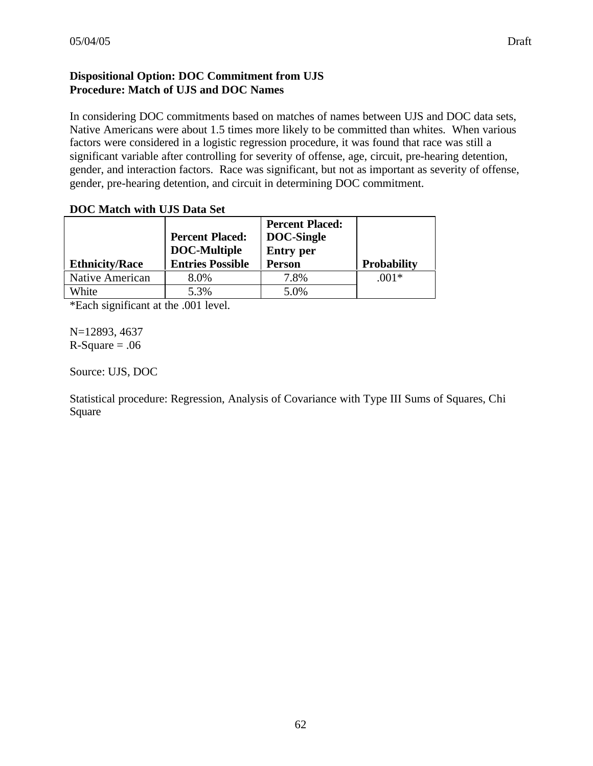# **Dispositional Option: DOC Commitment from UJS Procedure: Match of UJS and DOC Names**

In considering DOC commitments based on matches of names between UJS and DOC data sets, Native Americans were about 1.5 times more likely to be committed than whites. When various factors were considered in a logistic regression procedure, it was found that race was still a significant variable after controlling for severity of offense, age, circuit, pre-hearing detention, gender, and interaction factors. Race was significant, but not as important as severity of offense, gender, pre-hearing detention, and circuit in determining DOC commitment.

| <b>DOC Match with UJS Data Set</b> |  |  |  |  |
|------------------------------------|--|--|--|--|
|------------------------------------|--|--|--|--|

|                       | <b>Percent Placed:</b><br><b>DOC-Multiple</b> | <b>Percent Placed:</b><br><b>DOC-Single</b><br><b>Entry</b> per |                    |
|-----------------------|-----------------------------------------------|-----------------------------------------------------------------|--------------------|
| <b>Ethnicity/Race</b> | <b>Entries Possible</b>                       | <b>Person</b>                                                   | <b>Probability</b> |
| Native American       | 8.0%                                          | 7.8%                                                            | $.001*$            |
| White                 | 5.3%                                          | 5.0%                                                            |                    |

\*Each significant at the .001 level.

N=12893, 4637  $R-Square = .06$ 

Source: UJS, DOC

Statistical procedure: Regression, Analysis of Covariance with Type III Sums of Squares, Chi Square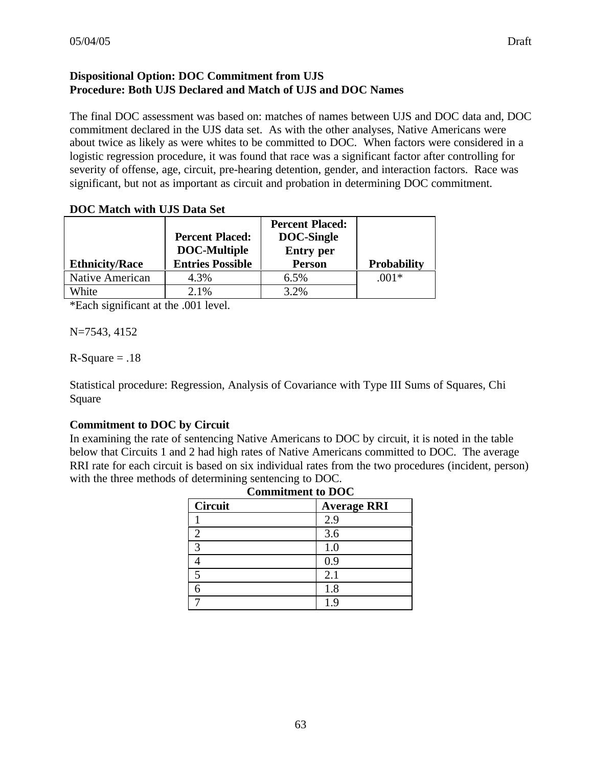# **Dispositional Option: DOC Commitment from UJS Procedure: Both UJS Declared and Match of UJS and DOC Names**

The final DOC assessment was based on: matches of names between UJS and DOC data and, DOC commitment declared in the UJS data set. As with the other analyses, Native Americans were about twice as likely as were whites to be committed to DOC. When factors were considered in a logistic regression procedure, it was found that race was a significant factor after controlling for severity of offense, age, circuit, pre-hearing detention, gender, and interaction factors. Race was significant, but not as important as circuit and probation in determining DOC commitment.

#### **DOC Match with UJS Data Set**

|                       |                         | <b>Percent Placed:</b> |                    |
|-----------------------|-------------------------|------------------------|--------------------|
|                       | <b>Percent Placed:</b>  | DOC-Single             |                    |
|                       | <b>DOC-Multiple</b>     | <b>Entry</b> per       |                    |
| <b>Ethnicity/Race</b> | <b>Entries Possible</b> | <b>Person</b>          | <b>Probability</b> |
| Native American       | 4.3%                    | 6.5%                   | $.001*$            |
| White                 | 2.1%                    | 3.2%                   |                    |

\*Each significant at the .001 level.

N=7543, 4152

 $R-Square = .18$ 

Statistical procedure: Regression, Analysis of Covariance with Type III Sums of Squares, Chi Square

# **Commitment to DOC by Circuit**

In examining the rate of sentencing Native Americans to DOC by circuit, it is noted in the table below that Circuits 1 and 2 had high rates of Native Americans committed to DOC. The average RRI rate for each circuit is based on six individual rates from the two procedures (incident, person) with the three methods of determining sentencing to DOC.

| <b>Commitment to DOC</b> |                    |  |  |  |  |
|--------------------------|--------------------|--|--|--|--|
| <b>Circuit</b>           | <b>Average RRI</b> |  |  |  |  |
|                          | 2.9                |  |  |  |  |
|                          | 3.6                |  |  |  |  |
| 3                        | 1.0                |  |  |  |  |
|                          | 0.9                |  |  |  |  |
| 5                        | 2.1                |  |  |  |  |
|                          | 1.8                |  |  |  |  |
|                          | 1.9                |  |  |  |  |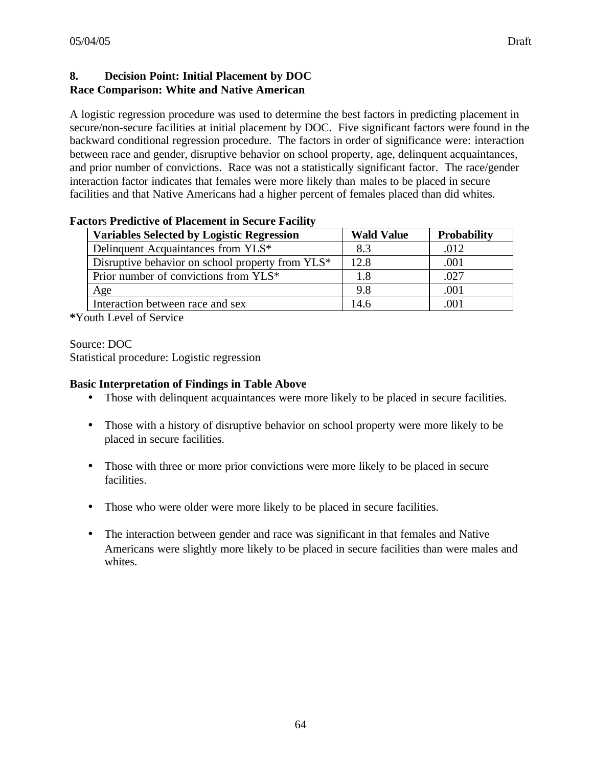## **8. Decision Point: Initial Placement by DOC Race Comparison: White and Native American**

A logistic regression procedure was used to determine the best factors in predicting placement in secure/non-secure facilities at initial placement by DOC. Five significant factors were found in the backward conditional regression procedure. The factors in order of significance were: interaction between race and gender, disruptive behavior on school property, age, delinquent acquaintances, and prior number of convictions. Race was not a statistically significant factor. The race/gender interaction factor indicates that females were more likely than males to be placed in secure facilities and that Native Americans had a higher percent of females placed than did whites.

| <b>Variables Selected by Logistic Regression</b> | <b>Wald Value</b> | <b>Probability</b> |
|--------------------------------------------------|-------------------|--------------------|
| Delinquent Acquaintances from YLS*               | 8.3               | .012               |
| Disruptive behavior on school property from YLS* | 12.8              | .001               |
| Prior number of convictions from YLS*            | 1.8               | .027               |
| Age                                              | 9.8               | .001               |
| Interaction between race and sex                 | 14.6              | .001               |

#### **Factor**s **Predictive of Placement in Secure Facility**

**\***Youth Level of Service

Source: DOC

Statistical procedure: Logistic regression

# **Basic Interpretation of Findings in Table Above**

- Those with delinquent acquaintances were more likely to be placed in secure facilities.
- Those with a history of disruptive behavior on school property were more likely to be placed in secure facilities.
- Those with three or more prior convictions were more likely to be placed in secure facilities.
- Those who were older were more likely to be placed in secure facilities.
- The interaction between gender and race was significant in that females and Native Americans were slightly more likely to be placed in secure facilities than were males and whites.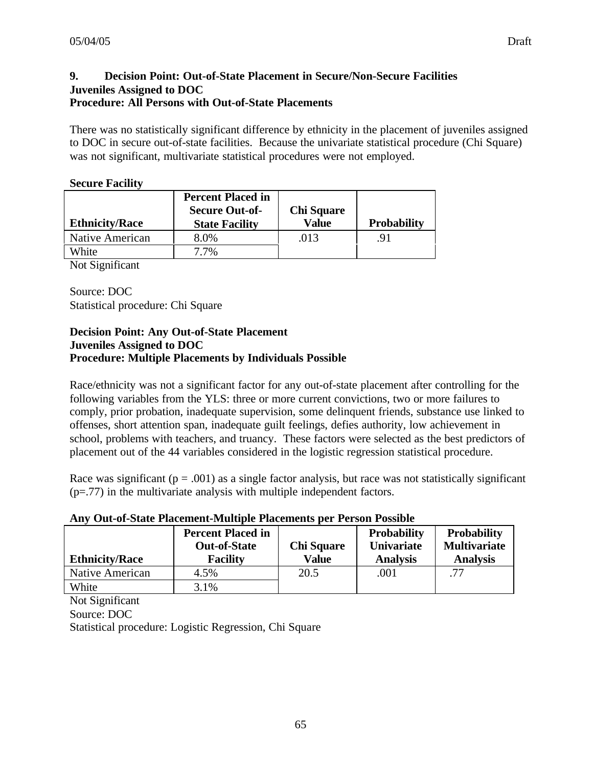There was no statistically significant difference by ethnicity in the placement of juveniles assigned to DOC in secure out-of-state facilities. Because the univariate statistical procedure (Chi Square) was not significant, multivariate statistical procedures were not employed.

#### **Secure Facility**

| <b>Ethnicity/Race</b> | <b>Percent Placed in</b><br><b>Secure Out-of-</b><br><b>State Facility</b> | <b>Chi Square</b><br><b>Value</b> | <b>Probability</b> |
|-----------------------|----------------------------------------------------------------------------|-----------------------------------|--------------------|
| Native American       | 8.0%                                                                       | .013                              | .91                |
| White                 | 7 7%                                                                       |                                   |                    |
| $\sim$<br>--          |                                                                            |                                   |                    |

Not Significant

Source: DOC Statistical procedure: Chi Square

#### **Decision Point: Any Out-of-State Placement Juveniles Assigned to DOC Procedure: Multiple Placements by Individuals Possible**

Race/ethnicity was not a significant factor for any out-of-state placement after controlling for the following variables from the YLS: three or more current convictions, two or more failures to comply, prior probation, inadequate supervision, some delinquent friends, substance use linked to offenses, short attention span, inadequate guilt feelings, defies authority, low achievement in school, problems with teachers, and truancy. These factors were selected as the best predictors of placement out of the 44 variables considered in the logistic regression statistical procedure.

Race was significant ( $p = .001$ ) as a single factor analysis, but race was not statistically significant (p=.77) in the multivariate analysis with multiple independent factors.

|  |  | Any Out-of-State Placement-Multiple Placements per Person Possible |  |  |  |  |
|--|--|--------------------------------------------------------------------|--|--|--|--|
|--|--|--------------------------------------------------------------------|--|--|--|--|

| <b>Ethnicity/Race</b> | <b>Percent Placed in</b><br><b>Out-of-State</b><br><b>Facility</b> | <b>Chi Square</b><br><b>Value</b> | <b>Probability</b><br><b>Univariate</b><br><b>Analysis</b> | <b>Probability</b><br><b>Multivariate</b><br><b>Analysis</b> |
|-----------------------|--------------------------------------------------------------------|-----------------------------------|------------------------------------------------------------|--------------------------------------------------------------|
| Native American       | 4.5%                                                               | 20.5                              | .001                                                       |                                                              |
| White                 | 3.1%                                                               |                                   |                                                            |                                                              |

Not Significant

Source: DOC

Statistical procedure: Logistic Regression, Chi Square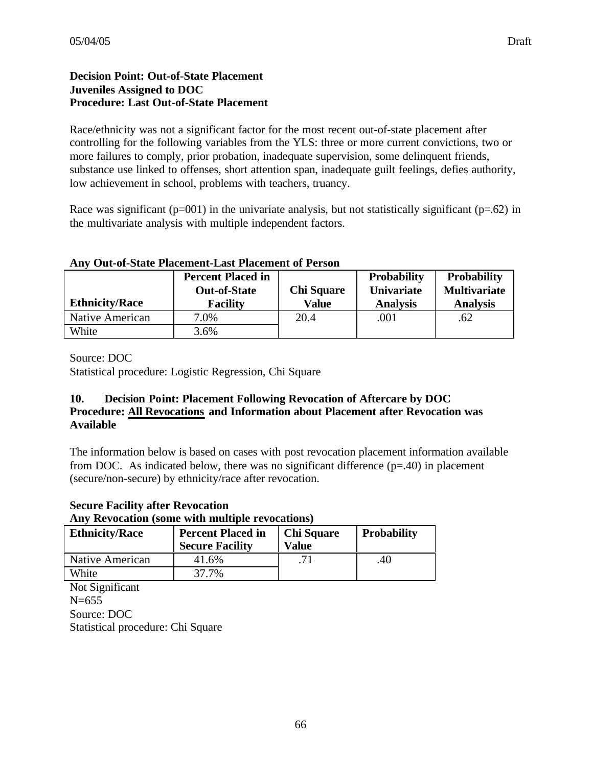# **Decision Point: Out-of-State Placement Juveniles Assigned to DOC Procedure: Last Out-of-State Placement**

Race/ethnicity was not a significant factor for the most recent out-of-state placement after controlling for the following variables from the YLS: three or more current convictions, two or more failures to comply, prior probation, inadequate supervision, some delinquent friends, substance use linked to offenses, short attention span, inadequate guilt feelings, defies authority, low achievement in school, problems with teachers, truancy.

Race was significant ( $p=001$ ) in the univariate analysis, but not statistically significant ( $p=.62$ ) in the multivariate analysis with multiple independent factors.

| <b>Ethnicity/Race</b> | <b>Percent Placed in</b><br><b>Out-of-State</b><br><b>Facility</b> | <b>Chi Square</b><br><b>Value</b> | <b>Probability</b><br><b>Univariate</b><br><b>Analysis</b> | <b>Probability</b><br><b>Multivariate</b><br><b>Analysis</b> |
|-----------------------|--------------------------------------------------------------------|-----------------------------------|------------------------------------------------------------|--------------------------------------------------------------|
| Native American       | 7.0%                                                               | 20.4                              | .001                                                       | .62                                                          |
| White                 | 3.6%                                                               |                                   |                                                            |                                                              |

# **Any Out-of-State Placement-Last Placement of Person**

Source: DOC

Statistical procedure: Logistic Regression, Chi Square

# **10. Decision Point: Placement Following Revocation of Aftercare by DOC Procedure: All Revocations and Information about Placement after Revocation was Available**

The information below is based on cases with post revocation placement information available from DOC. As indicated below, there was no significant difference  $(p=40)$  in placement (secure/non-secure) by ethnicity/race after revocation.

# **Secure Facility after Revocation**

#### **Any Revocation (some with multiple revocations)**

| <b>Ethnicity/Race</b> | <b>Percent Placed in</b><br><b>Secure Facility</b> | <b>Chi Square</b><br>Value | <b>Probability</b> |
|-----------------------|----------------------------------------------------|----------------------------|--------------------|
| Native American       | 41.6%                                              |                            | .40                |
| White                 | 37.7%                                              |                            |                    |

Not Significant N=655 Source: DOC Statistical procedure: Chi Square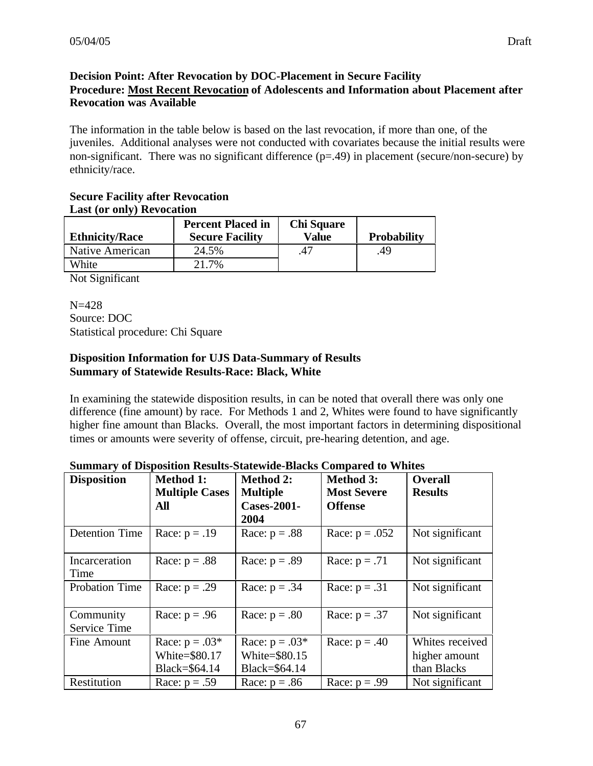# **Decision Point: After Revocation by DOC-Placement in Secure Facility Procedure: Most Recent Revocation of Adolescents and Information about Placement after Revocation was Available**

The information in the table below is based on the last revocation, if more than one, of the juveniles. Additional analyses were not conducted with covariates because the initial results were non-significant. There was no significant difference  $(p=0.49)$  in placement (secure/non-secure) by ethnicity/race.

#### **Secure Facility after Revocation Last (or only) Revocation**

| <b>Ethnicity/Race</b> | <b>Percent Placed in</b><br><b>Secure Facility</b> | <b>Chi Square</b><br><b>Value</b> | <b>Probability</b> |
|-----------------------|----------------------------------------------------|-----------------------------------|--------------------|
| Native American       | 24.5%                                              | .47                               | .49                |
| White                 | 21.7%                                              |                                   |                    |

Not Significant

N=428 Source: DOC Statistical procedure: Chi Square

# **Disposition Information for UJS Data-Summary of Results Summary of Statewide Results-Race: Black, White**

In examining the statewide disposition results, in can be noted that overall there was only one difference (fine amount) by race. For Methods 1 and 2, Whites were found to have significantly higher fine amount than Blacks. Overall, the most important factors in determining dispositional times or amounts were severity of offense, circuit, pre-hearing detention, and age.

| <b>Disposition</b>        | <b>Method 1:</b><br><b>Multiple Cases</b><br>All   | <b>Method 2:</b><br><b>Multiple</b><br><b>Cases-2001-</b><br>2004 | <b>Method 3:</b><br><b>Most Severe</b><br><b>Offense</b> | <b>Overall</b><br><b>Results</b>                |
|---------------------------|----------------------------------------------------|-------------------------------------------------------------------|----------------------------------------------------------|-------------------------------------------------|
| <b>Detention Time</b>     | Race: $p = .19$                                    | Race: $p = .88$                                                   | Race: $p = .052$                                         | Not significant                                 |
| Incarceration<br>Time     | Race: $p = .88$                                    | Race: $p = .89$                                                   | Race: $p = .71$                                          | Not significant                                 |
| Probation Time            | Race: $p = .29$                                    | Race: $p = .34$                                                   | Race: $p = .31$                                          | Not significant                                 |
| Community<br>Service Time | Race: $p = .96$                                    | Race: $p = .80$                                                   | Race: $p = .37$                                          | Not significant                                 |
| Fine Amount               | Race: $p = .03*$<br>White=\$80.17<br>Black=\$64.14 | Race: $p = .03*$<br>White=\$80.15<br>Black=\$64.14                | Race: $p = .40$                                          | Whites received<br>higher amount<br>than Blacks |
| Restitution               | Race: $p = .59$                                    | Race: $p = .86$                                                   | Race: $p = .99$                                          | Not significant                                 |

# **Summary of Disposition Results-Statewide-Blacks Compared to Whites**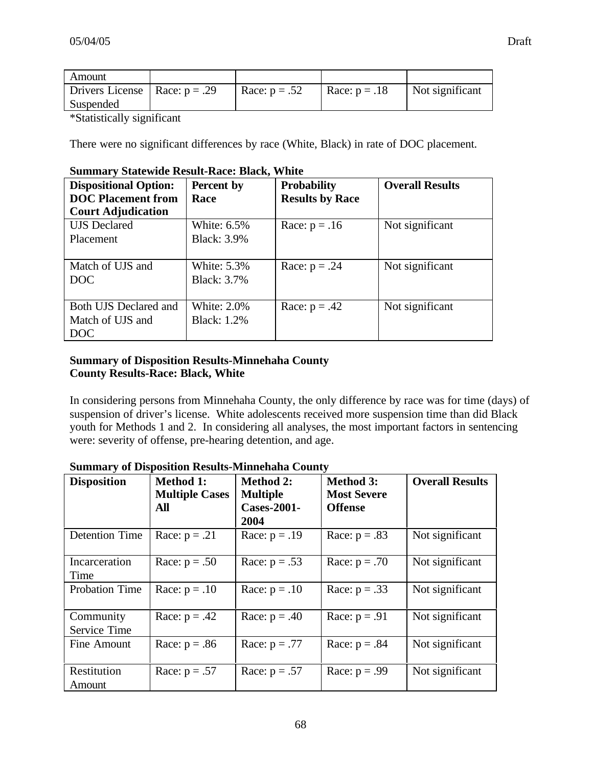| Amount                            |                 |                 |                 |
|-----------------------------------|-----------------|-----------------|-----------------|
| Drivers License   Race: $p = .29$ | Race: $p = .52$ | Race: $p = .18$ | Not significant |
| Suspended                         |                 |                 |                 |
|                                   |                 |                 |                 |

\*Statistically significant

There were no significant differences by race (White, Black) in rate of DOC placement.

| <b>Dispositional Option:</b> | Percent by         | <b>Probability</b>     | <b>Overall Results</b> |
|------------------------------|--------------------|------------------------|------------------------|
| <b>DOC</b> Placement from    | Race               | <b>Results by Race</b> |                        |
| <b>Court Adjudication</b>    |                    |                        |                        |
| <b>UJS</b> Declared          | White: 6.5%        | Race: $p = .16$        | Not significant        |
| Placement                    | <b>Black: 3.9%</b> |                        |                        |
|                              |                    |                        |                        |
| Match of UJS and             | <b>White: 5.3%</b> | Race: $p = .24$        | Not significant        |
| DOC                          | <b>Black: 3.7%</b> |                        |                        |
|                              |                    |                        |                        |
| Both UJS Declared and        | <b>White: 2.0%</b> | Race: $p = .42$        | Not significant        |
| Match of UJS and             | <b>Black: 1.2%</b> |                        |                        |
| <b>DOC</b>                   |                    |                        |                        |

#### **Summary Statewide Result-Race: Black, White**

# **Summary of Disposition Results-Minnehaha County County Results-Race: Black, White**

In considering persons from Minnehaha County, the only difference by race was for time (days) of suspension of driver's license. White adolescents received more suspension time than did Black youth for Methods 1 and 2. In considering all analyses, the most important factors in sentencing were: severity of offense, pre-hearing detention, and age.

| <b>Disposition</b>        | <b>Method 1:</b><br><b>Multiple Cases</b><br>All | <b>Method 2:</b><br><b>Multiple</b><br><b>Cases-2001-</b><br>2004 | <b>Method 3:</b><br><b>Most Severe</b><br><b>Offense</b> | <b>Overall Results</b> |
|---------------------------|--------------------------------------------------|-------------------------------------------------------------------|----------------------------------------------------------|------------------------|
| <b>Detention Time</b>     | Race: $p = .21$                                  | Race: $p = .19$                                                   | Race: $p = .83$                                          | Not significant        |
| Incarceration<br>Time     | Race: $p = .50$                                  | Race: $p = .53$                                                   | Race: $p = .70$                                          | Not significant        |
| Probation Time            | Race: $p = .10$                                  | Race: $p = .10$                                                   | Race: $p = .33$                                          | Not significant        |
| Community<br>Service Time | Race: $p = .42$                                  | Race: $p = .40$                                                   | Race: $p = .91$                                          | Not significant        |
| Fine Amount               | Race: $p = .86$                                  | Race: $p = .77$                                                   | Race: $p = .84$                                          | Not significant        |
| Restitution<br>Amount     | Race: $p = .57$                                  | Race: $p = .57$                                                   | Race: $p = .99$                                          | Not significant        |

# **Summary of Disposition Results-Minnehaha County**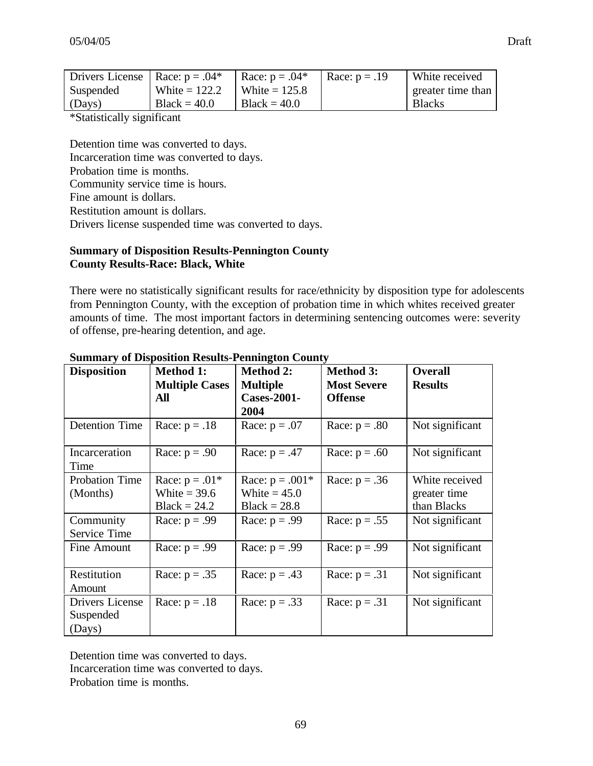| Drivers License   Race: $p = .04*$ |                 | Race: $p = .04*$ | Race: $p = .19$ | White received    |
|------------------------------------|-----------------|------------------|-----------------|-------------------|
| Suspended                          | White $= 122.2$ | White $= 125.8$  |                 | greater time than |
| (Days)                             | $Black = 40.0$  | $Black = 40.0$   |                 | <b>Blacks</b>     |

\*Statistically significant

Detention time was converted to days. Incarceration time was converted to days. Probation time is months. Community service time is hours. Fine amount is dollars. Restitution amount is dollars. Drivers license suspended time was converted to days.

#### **Summary of Disposition Results-Pennington County County Results-Race: Black, White**

There were no statistically significant results for race/ethnicity by disposition type for adolescents from Pennington County, with the exception of probation time in which whites received greater amounts of time. The most important factors in determining sentencing outcomes were: severity of offense, pre-hearing detention, and age.

| <b>Disposition</b>     | <b>Method 1:</b>      | <b>Method 2:</b>   | <b>Method 3:</b>   | <b>Overall</b>  |
|------------------------|-----------------------|--------------------|--------------------|-----------------|
|                        | <b>Multiple Cases</b> | <b>Multiple</b>    | <b>Most Severe</b> | <b>Results</b>  |
|                        | All                   | <b>Cases-2001-</b> | <b>Offense</b>     |                 |
|                        |                       | 2004               |                    |                 |
| <b>Detention Time</b>  | Race: $p = .18$       | Race: $p = .07$    | Race: $p = .80$    | Not significant |
| Incarceration<br>Time  | Race: $p = .90$       | Race: $p = .47$    | Race: $p = .60$    | Not significant |
| <b>Probation Time</b>  | Race: $p = .01*$      | Race: $p = .001*$  | Race: $p = .36$    | White received  |
| (Months)               | White $=$ 39.6        | White $= 45.0$     |                    | greater time    |
|                        | $Black = 24.2$        | $Black = 28.8$     |                    | than Blacks     |
| Community              | Race: $p = .99$       | Race: $p = .99$    | Race: $p = .55$    | Not significant |
| Service Time           |                       |                    |                    |                 |
| Fine Amount            | Race: $p = .99$       | Race: $p = .99$    | Race: $p = .99$    | Not significant |
| Restitution            | Race: $p = .35$       | Race: $p = .43$    | Race: $p = .31$    | Not significant |
| Amount                 |                       |                    |                    |                 |
| <b>Drivers License</b> | Race: $p = .18$       | Race: $p = .33$    | Race: $p = .31$    | Not significant |
| Suspended              |                       |                    |                    |                 |
| (Days)                 |                       |                    |                    |                 |

#### **Summary of Disposition Results-Pennington County**

Detention time was converted to days. Incarceration time was converted to days.

Probation time is months.

69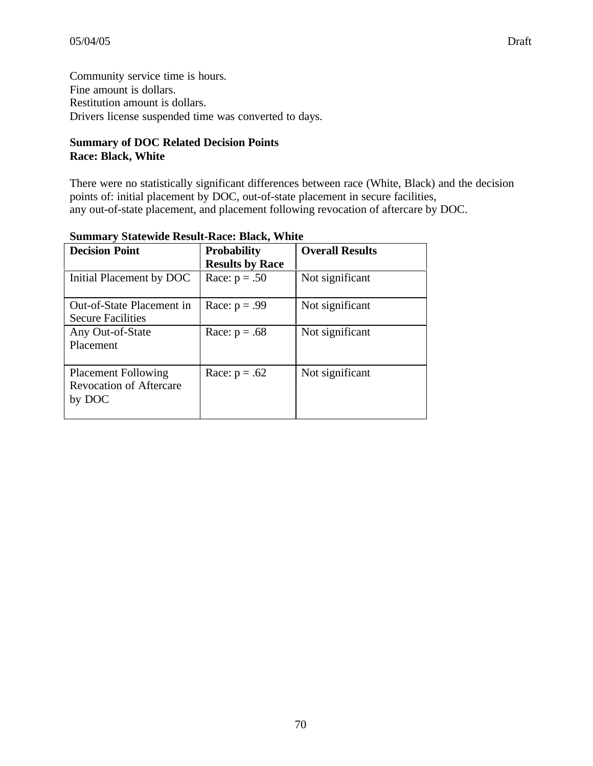Community service time is hours. Fine amount is dollars. Restitution amount is dollars. Drivers license suspended time was converted to days.

# **Summary of DOC Related Decision Points Race: Black, White**

There were no statistically significant differences between race (White, Black) and the decision points of: initial placement by DOC, out-of-state placement in secure facilities, any out-of-state placement, and placement following revocation of aftercare by DOC.

| <b>Decision Point</b>                                                  | <b>Probability</b><br><b>Results by Race</b> | <b>Overall Results</b> |
|------------------------------------------------------------------------|----------------------------------------------|------------------------|
| Initial Placement by DOC                                               | Race: $p = .50$                              | Not significant        |
| Out-of-State Placement in<br><b>Secure Facilities</b>                  | Race: $p = .99$                              | Not significant        |
| Any Out-of-State<br>Placement                                          | Race: $p = .68$                              | Not significant        |
| <b>Placement Following</b><br><b>Revocation of Aftercare</b><br>by DOC | Race: $p = .62$                              | Not significant        |

#### **Summary Statewide Result-Race: Black, White**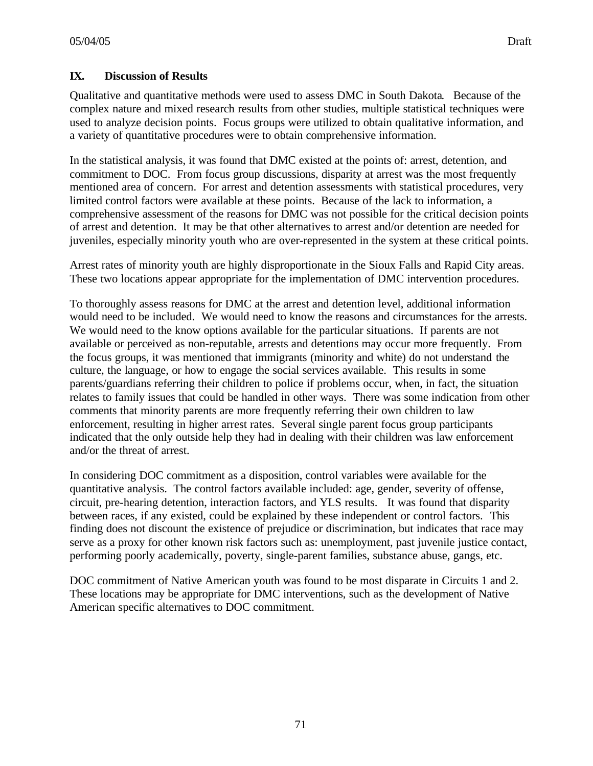# **IX. Discussion of Results**

Qualitative and quantitative methods were used to assess DMC in South Dakota. Because of the complex nature and mixed research results from other studies, multiple statistical techniques were used to analyze decision points. Focus groups were utilized to obtain qualitative information, and a variety of quantitative procedures were to obtain comprehensive information.

In the statistical analysis, it was found that DMC existed at the points of: arrest, detention, and commitment to DOC. From focus group discussions, disparity at arrest was the most frequently mentioned area of concern. For arrest and detention assessments with statistical procedures, very limited control factors were available at these points. Because of the lack to information, a comprehensive assessment of the reasons for DMC was not possible for the critical decision points of arrest and detention. It may be that other alternatives to arrest and/or detention are needed for juveniles, especially minority youth who are over-represented in the system at these critical points.

Arrest rates of minority youth are highly disproportionate in the Sioux Falls and Rapid City areas. These two locations appear appropriate for the implementation of DMC intervention procedures.

To thoroughly assess reasons for DMC at the arrest and detention level, additional information would need to be included. We would need to know the reasons and circumstances for the arrests. We would need to the know options available for the particular situations. If parents are not available or perceived as non-reputable, arrests and detentions may occur more frequently. From the focus groups, it was mentioned that immigrants (minority and white) do not understand the culture, the language, or how to engage the social services available. This results in some parents/guardians referring their children to police if problems occur, when, in fact, the situation relates to family issues that could be handled in other ways. There was some indication from other comments that minority parents are more frequently referring their own children to law enforcement, resulting in higher arrest rates. Several single parent focus group participants indicated that the only outside help they had in dealing with their children was law enforcement and/or the threat of arrest.

In considering DOC commitment as a disposition, control variables were available for the quantitative analysis. The control factors available included: age, gender, severity of offense, circuit, pre-hearing detention, interaction factors, and YLS results. It was found that disparity between races, if any existed, could be explained by these independent or control factors. This finding does not discount the existence of prejudice or discrimination, but indicates that race may serve as a proxy for other known risk factors such as: unemployment, past juvenile justice contact, performing poorly academically, poverty, single-parent families, substance abuse, gangs, etc.

DOC commitment of Native American youth was found to be most disparate in Circuits 1 and 2. These locations may be appropriate for DMC interventions, such as the development of Native American specific alternatives to DOC commitment.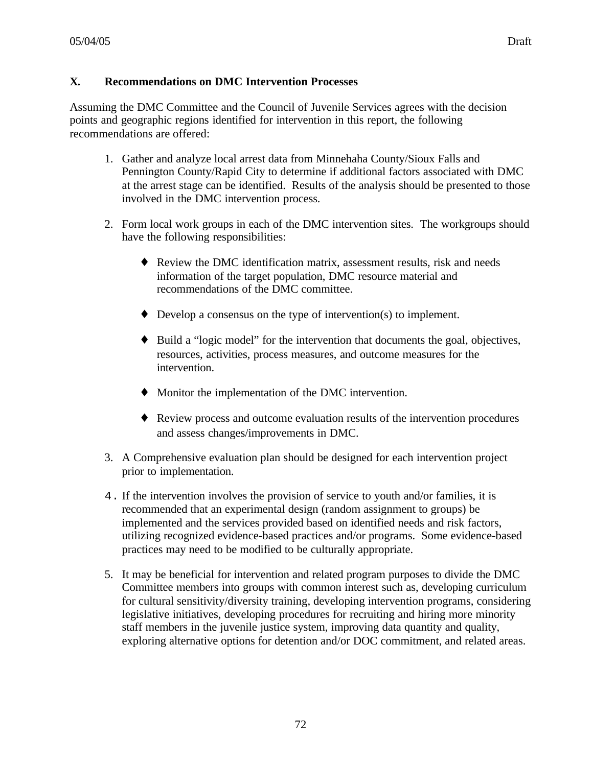Assuming the DMC Committee and the Council of Juvenile Services agrees with the decision points and geographic regions identified for intervention in this report, the following recommendations are offered:

- 1. Gather and analyze local arrest data from Minnehaha County/Sioux Falls and Pennington County/Rapid City to determine if additional factors associated with DMC at the arrest stage can be identified. Results of the analysis should be presented to those involved in the DMC intervention process.
- 2. Form local work groups in each of the DMC intervention sites. The workgroups should have the following responsibilities:
	- ♦ Review the DMC identification matrix, assessment results, risk and needs information of the target population, DMC resource material and recommendations of the DMC committee.
	- $\blacklozenge$  Develop a consensus on the type of intervention(s) to implement.
	- ♦ Build a "logic model" for the intervention that documents the goal, objectives, resources, activities, process measures, and outcome measures for the intervention.
	- ♦ Monitor the implementation of the DMC intervention.
	- ♦ Review process and outcome evaluation results of the intervention procedures and assess changes/improvements in DMC.
- 3. A Comprehensive evaluation plan should be designed for each intervention project prior to implementation.
- 4. If the intervention involves the provision of service to youth and/or families, it is recommended that an experimental design (random assignment to groups) be implemented and the services provided based on identified needs and risk factors, utilizing recognized evidence-based practices and/or programs. Some evidence-based practices may need to be modified to be culturally appropriate.
- 5. It may be beneficial for intervention and related program purposes to divide the DMC Committee members into groups with common interest such as, developing curriculum for cultural sensitivity/diversity training, developing intervention programs, considering legislative initiatives, developing procedures for recruiting and hiring more minority staff members in the juvenile justice system, improving data quantity and quality, exploring alternative options for detention and/or DOC commitment, and related areas.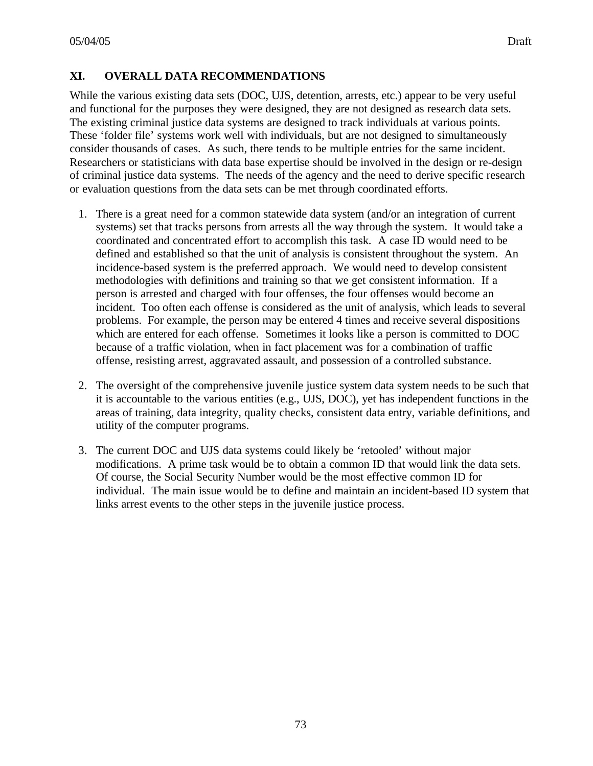#### **XI. OVERALL DATA RECOMMENDATIONS**

While the various existing data sets (DOC, UJS, detention, arrests, etc.) appear to be very useful and functional for the purposes they were designed, they are not designed as research data sets. The existing criminal justice data systems are designed to track individuals at various points. These 'folder file' systems work well with individuals, but are not designed to simultaneously consider thousands of cases. As such, there tends to be multiple entries for the same incident. Researchers or statisticians with data base expertise should be involved in the design or re-design of criminal justice data systems. The needs of the agency and the need to derive specific research or evaluation questions from the data sets can be met through coordinated efforts.

- 1. There is a great need for a common statewide data system (and/or an integration of current systems) set that tracks persons from arrests all the way through the system. It would take a coordinated and concentrated effort to accomplish this task. A case ID would need to be defined and established so that the unit of analysis is consistent throughout the system. An incidence-based system is the preferred approach. We would need to develop consistent methodologies with definitions and training so that we get consistent information. If a person is arrested and charged with four offenses, the four offenses would become an incident. Too often each offense is considered as the unit of analysis, which leads to several problems. For example, the person may be entered 4 times and receive several dispositions which are entered for each offense. Sometimes it looks like a person is committed to DOC because of a traffic violation, when in fact placement was for a combination of traffic offense, resisting arrest, aggravated assault, and possession of a controlled substance.
- 2. The oversight of the comprehensive juvenile justice system data system needs to be such that it is accountable to the various entities (e.g., UJS, DOC), yet has independent functions in the areas of training, data integrity, quality checks, consistent data entry, variable definitions, and utility of the computer programs.
- 3. The current DOC and UJS data systems could likely be 'retooled' without major modifications. A prime task would be to obtain a common ID that would link the data sets. Of course, the Social Security Number would be the most effective common ID for individual. The main issue would be to define and maintain an incident-based ID system that links arrest events to the other steps in the juvenile justice process.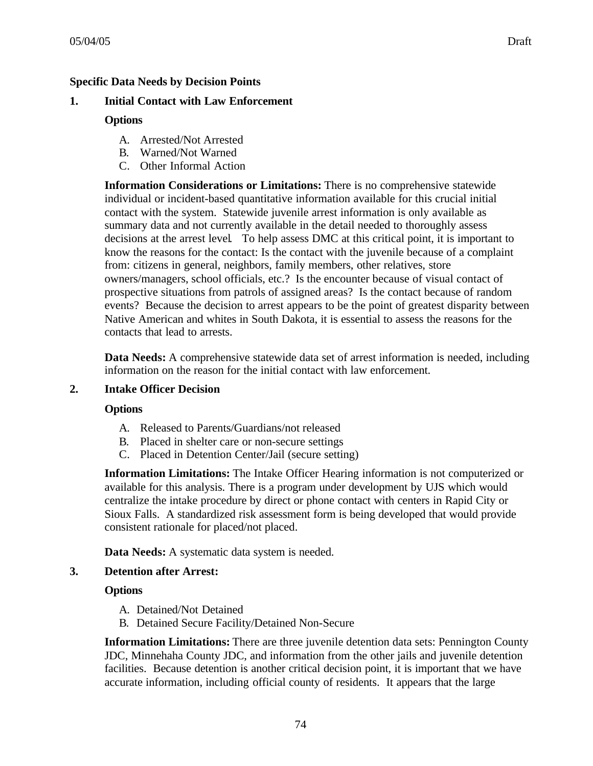## **Specific Data Needs by Decision Points**

### **1. Initial Contact with Law Enforcement**

## **Options**

- A. Arrested/Not Arrested
- B. Warned/Not Warned
- C. Other Informal Action

**Information Considerations or Limitations:** There is no comprehensive statewide individual or incident-based quantitative information available for this crucial initial contact with the system. Statewide juvenile arrest information is only available as summary data and not currently available in the detail needed to thoroughly assess decisions at the arrest level. To help assess DMC at this critical point, it is important to know the reasons for the contact: Is the contact with the juvenile because of a complaint from: citizens in general, neighbors, family members, other relatives, store owners/managers, school officials, etc.? Is the encounter because of visual contact of prospective situations from patrols of assigned areas? Is the contact because of random events? Because the decision to arrest appears to be the point of greatest disparity between Native American and whites in South Dakota, it is essential to assess the reasons for the contacts that lead to arrests.

**Data Needs:** A comprehensive statewide data set of arrest information is needed, including information on the reason for the initial contact with law enforcement.

### **2. Intake Officer Decision**

### **Options**

- A. Released to Parents/Guardians/not released
- B. Placed in shelter care or non-secure settings
- C. Placed in Detention Center/Jail (secure setting)

**Information Limitations:** The Intake Officer Hearing information is not computerized or available for this analysis. There is a program under development by UJS which would centralize the intake procedure by direct or phone contact with centers in Rapid City or Sioux Falls. A standardized risk assessment form is being developed that would provide consistent rationale for placed/not placed.

**Data Needs:** A systematic data system is needed.

### **3. Detention after Arrest:**

### **Options**

- A. Detained/Not Detained
- B. Detained Secure Facility/Detained Non-Secure

**Information Limitations:** There are three juvenile detention data sets: Pennington County JDC, Minnehaha County JDC, and information from the other jails and juvenile detention facilities. Because detention is another critical decision point, it is important that we have accurate information, including official county of residents. It appears that the large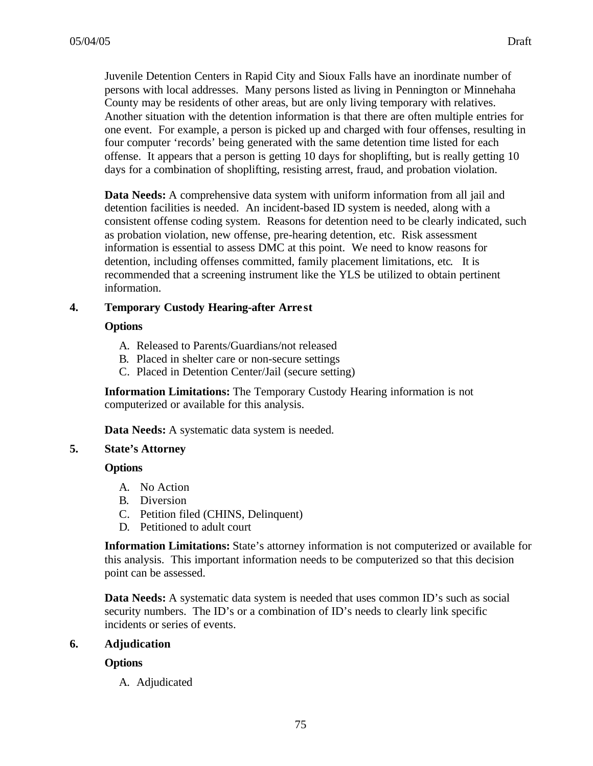05/04/05 Draft

Juvenile Detention Centers in Rapid City and Sioux Falls have an inordinate number of persons with local addresses. Many persons listed as living in Pennington or Minnehaha County may be residents of other areas, but are only living temporary with relatives. Another situation with the detention information is that there are often multiple entries for one event. For example, a person is picked up and charged with four offenses, resulting in four computer 'records' being generated with the same detention time listed for each offense. It appears that a person is getting 10 days for shoplifting, but is really getting 10 days for a combination of shoplifting, resisting arrest, fraud, and probation violation.

**Data Needs:** A comprehensive data system with uniform information from all jail and detention facilities is needed. An incident-based ID system is needed, along with a consistent offense coding system. Reasons for detention need to be clearly indicated, such as probation violation, new offense, pre-hearing detention, etc. Risk assessment information is essential to assess DMC at this point. We need to know reasons for detention, including offenses committed, family placement limitations, etc. It is recommended that a screening instrument like the YLS be utilized to obtain pertinent information.

#### **4. Temporary Custody Hearing-after Arre st**

#### **Options**

- A. Released to Parents/Guardians/not released
- B. Placed in shelter care or non-secure settings
- C. Placed in Detention Center/Jail (secure setting)

**Information Limitations:** The Temporary Custody Hearing information is not computerized or available for this analysis.

**Data Needs:** A systematic data system is needed.

#### **5. State's Attorney**

#### **Options**

- A. No Action
- B. Diversion
- C. Petition filed (CHINS, Delinquent)
- D. Petitioned to adult court

**Information Limitations:** State's attorney information is not computerized or available for this analysis. This important information needs to be computerized so that this decision point can be assessed.

**Data Needs:** A systematic data system is needed that uses common ID's such as social security numbers. The ID's or a combination of ID's needs to clearly link specific incidents or series of events.

### **6. Adjudication**

### **Options**

A. Adjudicated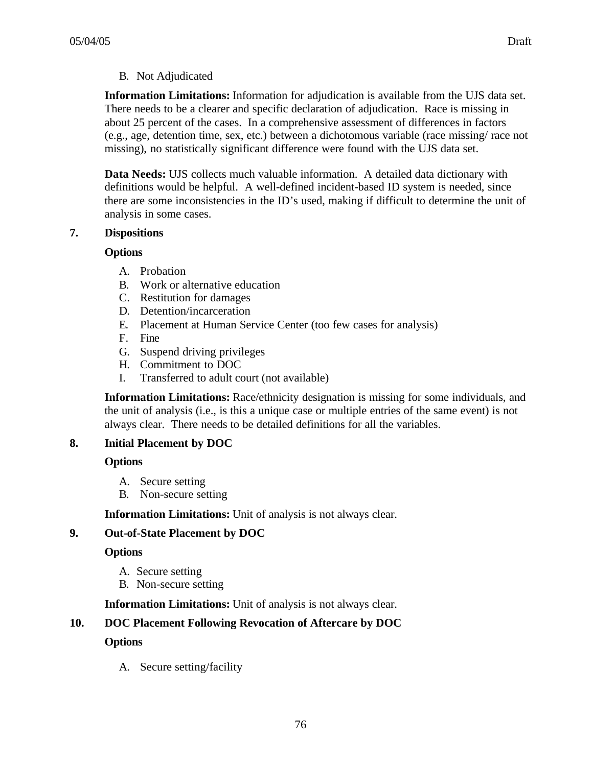# B. Not Adjudicated

**Information Limitations:** Information for adjudication is available from the UJS data set. There needs to be a clearer and specific declaration of adjudication. Race is missing in about 25 percent of the cases. In a comprehensive assessment of differences in factors (e.g., age, detention time, sex, etc.) between a dichotomous variable (race missing/ race not missing), no statistically significant difference were found with the UJS data set.

**Data Needs:** UJS collects much valuable information. A detailed data dictionary with definitions would be helpful. A well-defined incident-based ID system is needed, since there are some inconsistencies in the ID's used, making if difficult to determine the unit of analysis in some cases.

### **7. Dispositions**

### **Options**

- A. Probation
- B. Work or alternative education
- C. Restitution for damages
- D. Detention/incarceration
- E. Placement at Human Service Center (too few cases for analysis)
- F. Fine
- G. Suspend driving privileges
- H. Commitment to DOC
- I. Transferred to adult court (not available)

**Information Limitations:** Race/ethnicity designation is missing for some individuals, and the unit of analysis (i.e., is this a unique case or multiple entries of the same event) is not always clear. There needs to be detailed definitions for all the variables.

# **8. Initial Placement by DOC**

### **Options**

- A. Secure setting
- B. Non-secure setting

**Information Limitations:** Unit of analysis is not always clear.

# **9. Out-of-State Placement by DOC**

### **Options**

- A. Secure setting
- B. Non-secure setting

**Information Limitations:** Unit of analysis is not always clear.

# **10. DOC Placement Following Revocation of Aftercare by DOC**

### **Options**

A. Secure setting/facility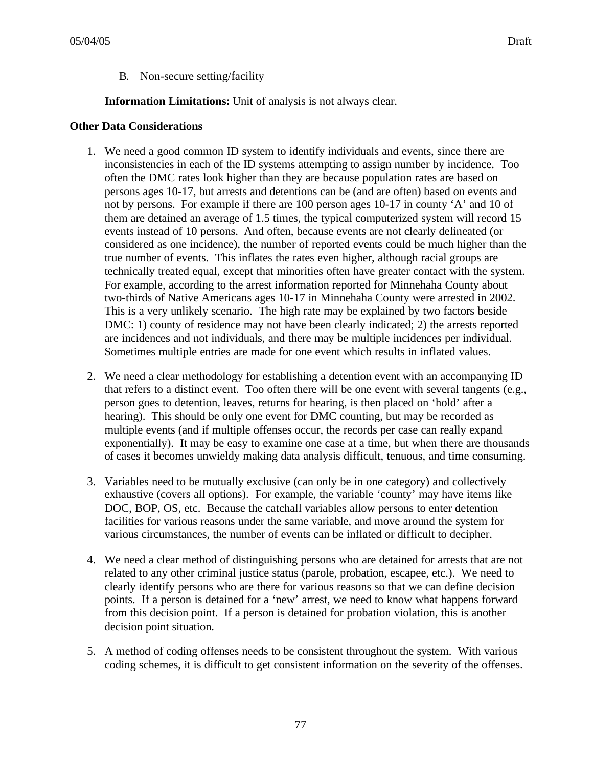B. Non-secure setting/facility

**Information Limitations:** Unit of analysis is not always clear.

#### **Other Data Considerations**

- 1. We need a good common ID system to identify individuals and events, since there are inconsistencies in each of the ID systems attempting to assign number by incidence. Too often the DMC rates look higher than they are because population rates are based on persons ages 10-17, but arrests and detentions can be (and are often) based on events and not by persons. For example if there are 100 person ages 10-17 in county 'A' and 10 of them are detained an average of 1.5 times, the typical computerized system will record 15 events instead of 10 persons. And often, because events are not clearly delineated (or considered as one incidence), the number of reported events could be much higher than the true number of events. This inflates the rates even higher, although racial groups are technically treated equal, except that minorities often have greater contact with the system. For example, according to the arrest information reported for Minnehaha County about two-thirds of Native Americans ages 10-17 in Minnehaha County were arrested in 2002. This is a very unlikely scenario. The high rate may be explained by two factors beside DMC: 1) county of residence may not have been clearly indicated; 2) the arrests reported are incidences and not individuals, and there may be multiple incidences per individual. Sometimes multiple entries are made for one event which results in inflated values.
- 2. We need a clear methodology for establishing a detention event with an accompanying ID that refers to a distinct event. Too often there will be one event with several tangents (e.g., person goes to detention, leaves, returns for hearing, is then placed on 'hold' after a hearing). This should be only one event for DMC counting, but may be recorded as multiple events (and if multiple offenses occur, the records per case can really expand exponentially). It may be easy to examine one case at a time, but when there are thousands of cases it becomes unwieldy making data analysis difficult, tenuous, and time consuming.
- 3. Variables need to be mutually exclusive (can only be in one category) and collectively exhaustive (covers all options). For example, the variable 'county' may have items like DOC, BOP, OS, etc. Because the catchall variables allow persons to enter detention facilities for various reasons under the same variable, and move around the system for various circumstances, the number of events can be inflated or difficult to decipher.
- 4. We need a clear method of distinguishing persons who are detained for arrests that are not related to any other criminal justice status (parole, probation, escapee, etc.). We need to clearly identify persons who are there for various reasons so that we can define decision points. If a person is detained for a 'new' arrest, we need to know what happens forward from this decision point. If a person is detained for probation violation, this is another decision point situation.
- 5. A method of coding offenses needs to be consistent throughout the system. With various coding schemes, it is difficult to get consistent information on the severity of the offenses.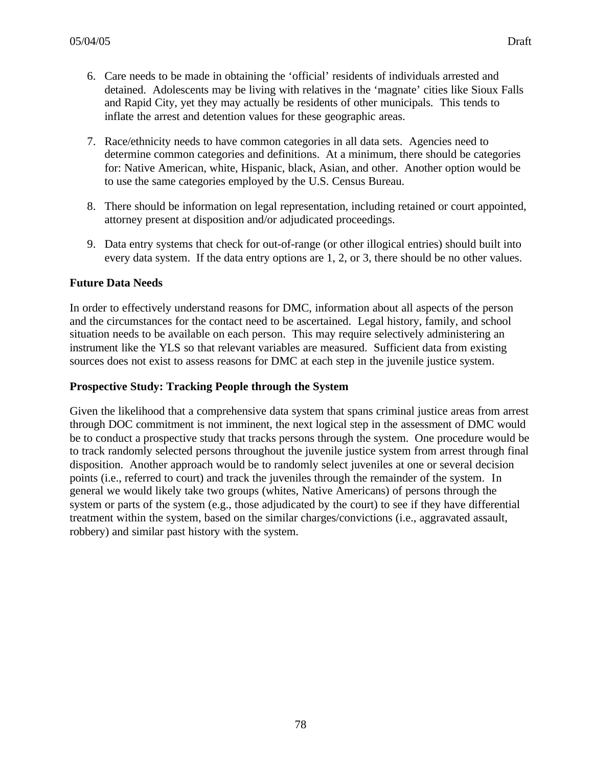- 6. Care needs to be made in obtaining the 'official' residents of individuals arrested and detained. Adolescents may be living with relatives in the 'magnate' cities like Sioux Falls and Rapid City, yet they may actually be residents of other municipals. This tends to inflate the arrest and detention values for these geographic areas.
- 7. Race/ethnicity needs to have common categories in all data sets. Agencies need to determine common categories and definitions. At a minimum, there should be categories for: Native American, white, Hispanic, black, Asian, and other. Another option would be to use the same categories employed by the U.S. Census Bureau.
- 8. There should be information on legal representation, including retained or court appointed, attorney present at disposition and/or adjudicated proceedings.
- 9. Data entry systems that check for out-of-range (or other illogical entries) should built into every data system. If the data entry options are 1, 2, or 3, there should be no other values.

## **Future Data Needs**

In order to effectively understand reasons for DMC, information about all aspects of the person and the circumstances for the contact need to be ascertained. Legal history, family, and school situation needs to be available on each person. This may require selectively administering an instrument like the YLS so that relevant variables are measured. Sufficient data from existing sources does not exist to assess reasons for DMC at each step in the juvenile justice system.

## **Prospective Study: Tracking People through the System**

Given the likelihood that a comprehensive data system that spans criminal justice areas from arrest through DOC commitment is not imminent, the next logical step in the assessment of DMC would be to conduct a prospective study that tracks persons through the system. One procedure would be to track randomly selected persons throughout the juvenile justice system from arrest through final disposition. Another approach would be to randomly select juveniles at one or several decision points (i.e., referred to court) and track the juveniles through the remainder of the system. In general we would likely take two groups (whites, Native Americans) of persons through the system or parts of the system (e.g., those adjudicated by the court) to see if they have differential treatment within the system, based on the similar charges/convictions (i.e., aggravated assault, robbery) and similar past history with the system.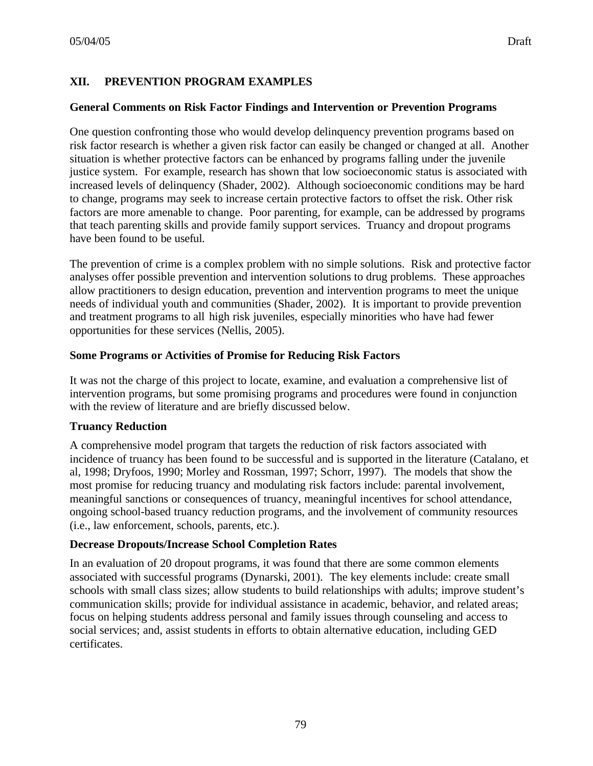# **XII. PREVENTION PROGRAM EXAMPLES**

### **General Comments on Risk Factor Findings and Intervention or Prevention Programs**

One question confronting those who would develop delinquency prevention programs based on risk factor research is whether a given risk factor can easily be changed or changed at all. Another situation is whether protective factors can be enhanced by programs falling under the juvenile justice system. For example, research has shown that low socioeconomic status is associated with increased levels of delinquency (Shader, 2002). Although socioeconomic conditions may be hard to change, programs may seek to increase certain protective factors to offset the risk. Other risk factors are more amenable to change. Poor parenting, for example, can be addressed by programs that teach parenting skills and provide family support services. Truancy and dropout programs have been found to be useful.

The prevention of crime is a complex problem with no simple solutions. Risk and protective factor analyses offer possible prevention and intervention solutions to drug problems. These approaches allow practitioners to design education, prevention and intervention programs to meet the unique needs of individual youth and communities (Shader, 2002). It is important to provide prevention and treatment programs to all high risk juveniles, especially minorities who have had fewer opportunities for these services (Nellis, 2005).

### **Some Programs or Activities of Promise for Reducing Risk Factors**

It was not the charge of this project to locate, examine, and evaluation a comprehensive list of intervention programs, but some promising programs and procedures were found in conjunction with the review of literature and are briefly discussed below.

### **Truancy Reduction**

A comprehensive model program that targets the reduction of risk factors associated with incidence of truancy has been found to be successful and is supported in the literature (Catalano, et al, 1998; Dryfoos, 1990; Morley and Rossman, 1997; Schorr, 1997). The models that show the most promise for reducing truancy and modulating risk factors include: parental involvement, meaningful sanctions or consequences of truancy, meaningful incentives for school attendance, ongoing school-based truancy reduction programs, and the involvement of community resources (i.e., law enforcement, schools, parents, etc.).

# **Decrease Dropouts/Increase School Completion Rates**

In an evaluation of 20 dropout programs, it was found that there are some common elements associated with successful programs (Dynarski, 2001). The key elements include: create small schools with small class sizes; allow students to build relationships with adults; improve student's communication skills; provide for individual assistance in academic, behavior, and related areas; focus on helping students address personal and family issues through counseling and access to social services; and, assist students in efforts to obtain alternative education, including GED certificates.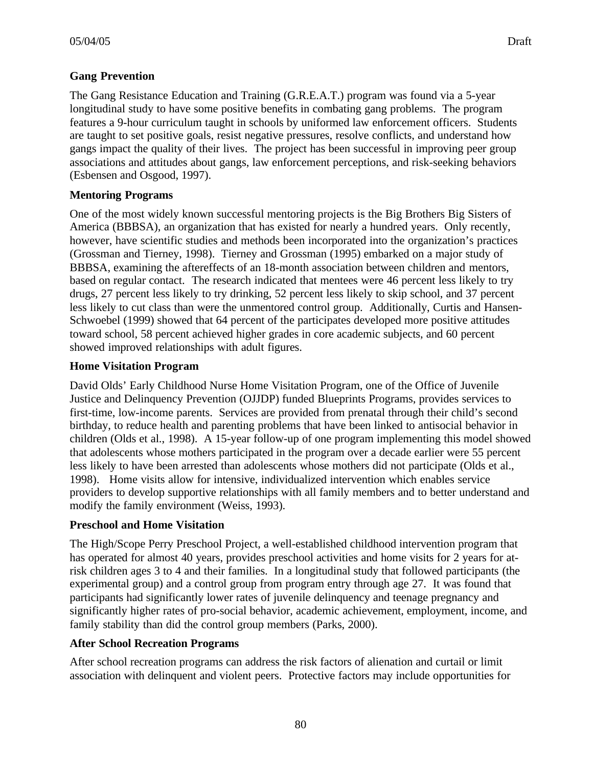The Gang Resistance Education and Training (G.R.E.A.T.) program was found via a 5-year longitudinal study to have some positive benefits in combating gang problems. The program features a 9-hour curriculum taught in schools by uniformed law enforcement officers. Students are taught to set positive goals, resist negative pressures, resolve conflicts, and understand how gangs impact the quality of their lives. The project has been successful in improving peer group associations and attitudes about gangs, law enforcement perceptions, and risk-seeking behaviors (Esbensen and Osgood, 1997).

## **Mentoring Programs**

One of the most widely known successful mentoring projects is the Big Brothers Big Sisters of America (BBBSA), an organization that has existed for nearly a hundred years. Only recently, however, have scientific studies and methods been incorporated into the organization's practices (Grossman and Tierney, 1998). Tierney and Grossman (1995) embarked on a major study of BBBSA, examining the aftereffects of an 18-month association between children and mentors, based on regular contact. The research indicated that mentees were 46 percent less likely to try drugs, 27 percent less likely to try drinking, 52 percent less likely to skip school, and 37 percent less likely to cut class than were the unmentored control group. Additionally, Curtis and Hansen-Schwoebel (1999) showed that 64 percent of the participates developed more positive attitudes toward school, 58 percent achieved higher grades in core academic subjects, and 60 percent showed improved relationships with adult figures.

### **Home Visitation Program**

David Olds' Early Childhood Nurse Home Visitation Program, one of the Office of Juvenile Justice and Delinquency Prevention (OJJDP) funded Blueprints Programs, provides services to first-time, low-income parents. Services are provided from prenatal through their child's second birthday, to reduce health and parenting problems that have been linked to antisocial behavior in children (Olds et al., 1998). A 15-year follow-up of one program implementing this model showed that adolescents whose mothers participated in the program over a decade earlier were 55 percent less likely to have been arrested than adolescents whose mothers did not participate (Olds et al., 1998). Home visits allow for intensive, individualized intervention which enables service providers to develop supportive relationships with all family members and to better understand and modify the family environment (Weiss, 1993).

# **Preschool and Home Visitation**

The High/Scope Perry Preschool Project, a well-established childhood intervention program that has operated for almost 40 years, provides preschool activities and home visits for 2 years for atrisk children ages 3 to 4 and their families. In a longitudinal study that followed participants (the experimental group) and a control group from program entry through age 27. It was found that participants had significantly lower rates of juvenile delinquency and teenage pregnancy and significantly higher rates of pro-social behavior, academic achievement, employment, income, and family stability than did the control group members (Parks, 2000).

# **After School Recreation Programs**

After school recreation programs can address the risk factors of alienation and curtail or limit association with delinquent and violent peers. Protective factors may include opportunities for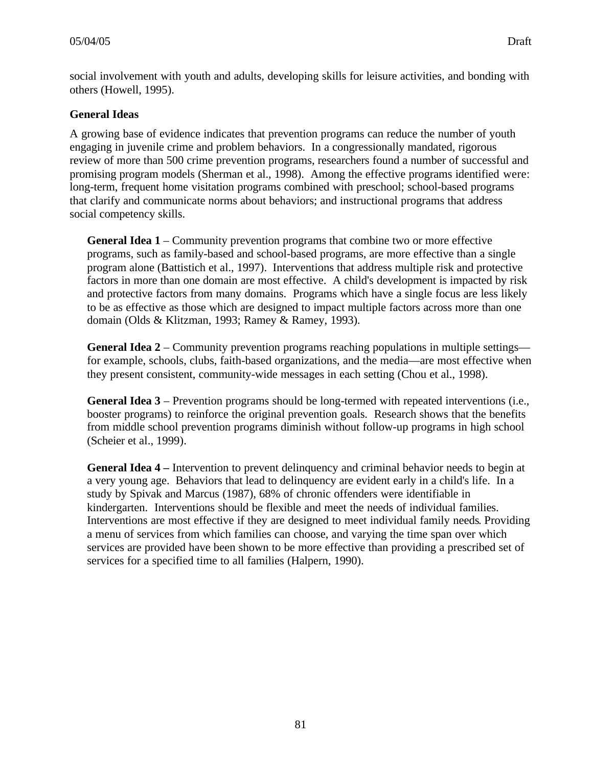social involvement with youth and adults, developing skills for leisure activities, and bonding with others (Howell, 1995).

## **General Ideas**

A growing base of evidence indicates that prevention programs can reduce the number of youth engaging in juvenile crime and problem behaviors. In a congressionally mandated, rigorous review of more than 500 crime prevention programs, researchers found a number of successful and promising program models (Sherman et al., 1998). Among the effective programs identified were: long-term, frequent home visitation programs combined with preschool; school-based programs that clarify and communicate norms about behaviors; and instructional programs that address social competency skills.

**General Idea 1** – Community prevention programs that combine two or more effective programs, such as family-based and school-based programs, are more effective than a single program alone (Battistich et al., 1997). Interventions that address multiple risk and protective factors in more than one domain are most effective. A child's development is impacted by risk and protective factors from many domains. Programs which have a single focus are less likely to be as effective as those which are designed to impact multiple factors across more than one domain (Olds & Klitzman, 1993; Ramey & Ramey, 1993).

**General Idea 2** – Community prevention programs reaching populations in multiple settings for example, schools, clubs, faith-based organizations, and the media—are most effective when they present consistent, community-wide messages in each setting (Chou et al., 1998).

**General Idea 3** – Prevention programs should be long-termed with repeated interventions (i.e., booster programs) to reinforce the original prevention goals. Research shows that the benefits from middle school prevention programs diminish without follow-up programs in high school (Scheier et al., 1999).

**General Idea 4 –** Intervention to prevent delinquency and criminal behavior needs to begin at a very young age. Behaviors that lead to delinquency are evident early in a child's life. In a study by Spivak and Marcus (1987), 68% of chronic offenders were identifiable in kindergarten. Interventions should be flexible and meet the needs of individual families. Interventions are most effective if they are designed to meet individual family needs. Providing a menu of services from which families can choose, and varying the time span over which services are provided have been shown to be more effective than providing a prescribed set of services for a specified time to all families (Halpern, 1990).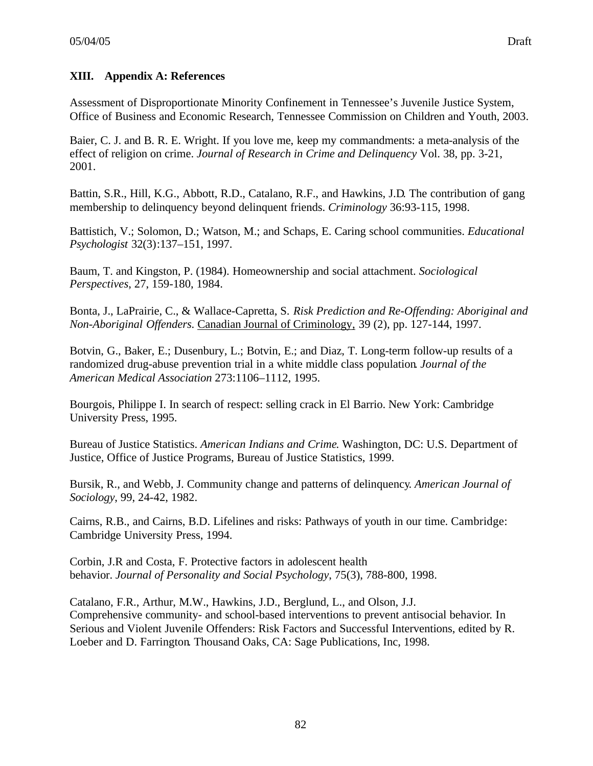## **XIII. Appendix A: References**

Assessment of Disproportionate Minority Confinement in Tennessee's Juvenile Justice System, Office of Business and Economic Research, Tennessee Commission on Children and Youth, 2003.

Baier, C. J. and B. R. E. Wright. If you love me, keep my commandments: a meta-analysis of the effect of religion on crime. *Journal of Research in Crime and Delinquency* Vol. 38, pp. 3-21, 2001.

Battin, S.R., Hill, K.G., Abbott, R.D., Catalano, R.F., and Hawkins, J.D. The contribution of gang membership to delinquency beyond delinquent friends. *Criminology* 36:93-115, 1998.

Battistich, V.; Solomon, D.; Watson, M.; and Schaps, E. Caring school communities. *Educational Psychologist* 32(3):137–151, 1997.

Baum, T. and Kingston, P. (1984). Homeownership and social attachment. *Sociological Perspectives*, 27, 159-180, 1984.

Bonta, J., LaPrairie, C., & Wallace-Capretta, S. *Risk Prediction and Re-Offending: Aboriginal and Non-Aboriginal Offenders.* Canadian Journal of Criminology, 39 (2), pp. 127-144, 1997.

Botvin, G., Baker, E.; Dusenbury, L.; Botvin, E.; and Diaz, T. Long-term follow-up results of a randomized drug-abuse prevention trial in a white middle class population. *Journal of the American Medical Association* 273:1106–1112, 1995.

Bourgois, Philippe I. In search of respect: selling crack in El Barrio. New York: Cambridge University Press, 1995.

Bureau of Justice Statistics. *American Indians and Crime*. Washington, DC: U.S. Department of Justice, Office of Justice Programs, Bureau of Justice Statistics, 1999.

Bursik, R., and Webb, J. Community change and patterns of delinquency. *American Journal of Sociology*, 99, 24-42, 1982.

Cairns, R.B., and Cairns, B.D. Lifelines and risks: Pathways of youth in our time. Cambridge: Cambridge University Press, 1994.

Corbin, J.R and Costa, F. Protective factors in adolescent health behavior. *Journal of Personality and Social Psychology*, 75(3), 788-800, 1998.

Catalano, F.R., Arthur, M.W., Hawkins, J.D., Berglund, L., and Olson, J.J. Comprehensive community- and school-based interventions to prevent antisocial behavior. In Serious and Violent Juvenile Offenders: Risk Factors and Successful Interventions, edited by R. Loeber and D. Farrington. Thousand Oaks, CA: Sage Publications, Inc, 1998.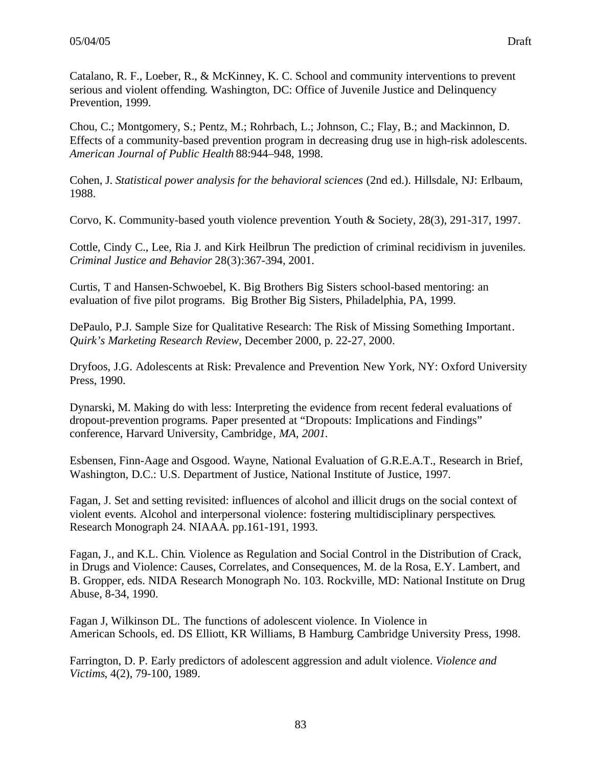Catalano, R. F., Loeber, R., & McKinney, K. C. School and community interventions to prevent serious and violent offending. Washington, DC: Office of Juvenile Justice and Delinquency Prevention, 1999.

Chou, C.; Montgomery, S.; Pentz, M.; Rohrbach, L.; Johnson, C.; Flay, B.; and Mackinnon, D. Effects of a community-based prevention program in decreasing drug use in high-risk adolescents. *American Journal of Public Health* 88:944–948, 1998.

Cohen, J. *Statistical power analysis for the behavioral sciences* (2nd ed.). Hillsdale, NJ: Erlbaum, 1988.

Corvo, K. Community-based youth violence prevention. Youth & Society, 28(3), 291-317, 1997.

Cottle, Cindy C., Lee, Ria J. and Kirk Heilbrun The prediction of criminal recidivism in juveniles. *Criminal Justice and Behavior* 28(3):367-394, 2001.

Curtis, T and Hansen-Schwoebel, K. Big Brothers Big Sisters school-based mentoring: an evaluation of five pilot programs. Big Brother Big Sisters, Philadelphia, PA, 1999.

DePaulo, P.J. Sample Size for Qualitative Research: The Risk of Missing Something Important. *Quirk's Marketing Research Review*, December 2000, p. 22-27, 2000.

Dryfoos, J.G. Adolescents at Risk: Prevalence and Prevention New York, NY: Oxford University Press, 1990.

Dynarski, M. Making do with less: Interpreting the evidence from recent federal evaluations of dropout-prevention programs*.* Paper presented at "Dropouts: Implications and Findings" conference, Harvard University, Cambridge*, MA, 2001.*

Esbensen, Finn-Aage and Osgood. Wayne, National Evaluation of G.R.E.A.T., Research in Brief, Washington, D.C.: U.S. Department of Justice, National Institute of Justice, 1997.

Fagan, J. Set and setting revisited: influences of alcohol and illicit drugs on the social context of violent events. Alcohol and interpersonal violence: fostering multidisciplinary perspectives. Research Monograph 24. NIAAA. pp.161-191, 1993.

Fagan, J., and K.L. Chin. Violence as Regulation and Social Control in the Distribution of Crack, in Drugs and Violence: Causes, Correlates, and Consequences, M. de la Rosa, E.Y. Lambert, and B. Gropper, eds. NIDA Research Monograph No. 103. Rockville, MD: National Institute on Drug Abuse, 8-34, 1990.

Fagan J, Wilkinson DL. The functions of adolescent violence. In Violence in American Schools, ed. DS Elliott, KR Williams, B Hamburg. Cambridge University Press, 1998.

Farrington, D. P. Early predictors of adolescent aggression and adult violence. *Violence and Victims*, 4(2), 79-100, 1989.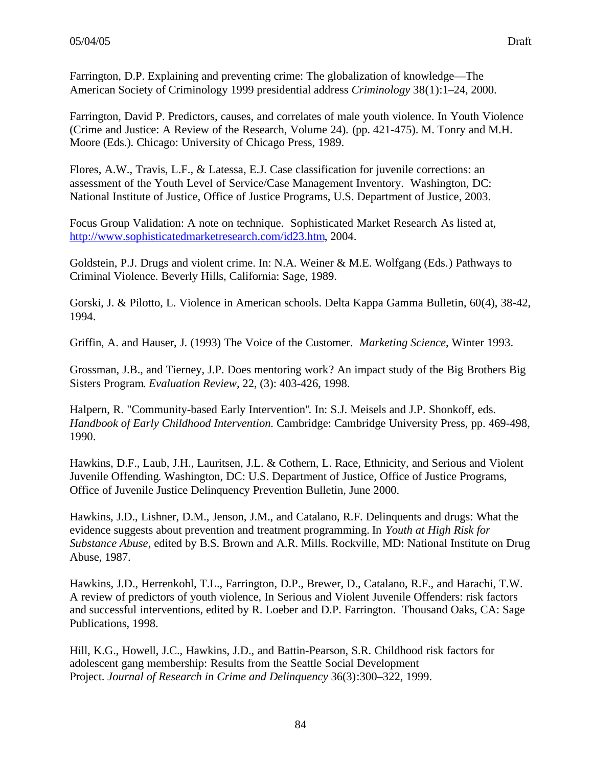Farrington, D.P. Explaining and preventing crime: The globalization of knowledge—The American Society of Criminology 1999 presidential address *Criminology* 38(1):1–24, 2000.

Farrington, David P. Predictors, causes, and correlates of male youth violence. In Youth Violence (Crime and Justice: A Review of the Research, Volume 24). (pp. 421-475). M. Tonry and M.H. Moore (Eds.). Chicago: University of Chicago Press, 1989.

Flores, A.W., Travis, L.F., & Latessa, E.J. Case classification for juvenile corrections: an assessment of the Youth Level of Service/Case Management Inventory. Washington, DC: National Institute of Justice, Office of Justice Programs, U.S. Department of Justice, 2003.

Focus Group Validation: A note on technique. Sophisticated Market Research. As listed at, http://www.sophisticatedmarketresearch.com/id23.htm, 2004.

Goldstein, P.J. Drugs and violent crime. In: N.A. Weiner & M.E. Wolfgang (Eds.) Pathways to Criminal Violence. Beverly Hills, California: Sage, 1989.

Gorski, J. & Pilotto, L. Violence in American schools. Delta Kappa Gamma Bulletin, 60(4), 38-42, 1994.

Griffin, A. and Hauser, J. (1993) The Voice of the Customer. *Marketing Science*, Winter 1993.

Grossman, J.B., and Tierney, J.P. Does mentoring work? An impact study of the Big Brothers Big Sisters Program. *Evaluation Review,* 22, (3): 403-426, 1998.

Halpern, R. "Community-based Early Intervention". In: S.J. Meisels and J.P. Shonkoff, eds. *Handbook of Early Childhood Intervention.* Cambridge: Cambridge University Press, pp. 469-498, 1990.

Hawkins, D.F., Laub, J.H., Lauritsen, J.L. & Cothern, L. Race, Ethnicity, and Serious and Violent Juvenile Offending. Washington, DC: U.S. Department of Justice, Office of Justice Programs, Office of Juvenile Justice Delinquency Prevention Bulletin, June 2000.

Hawkins, J.D., Lishner, D.M., Jenson, J.M., and Catalano, R.F. Delinquents and drugs: What the evidence suggests about prevention and treatment programming. In *Youth at High Risk for Substance Abuse*, edited by B.S. Brown and A.R. Mills. Rockville, MD: National Institute on Drug Abuse, 1987.

Hawkins, J.D., Herrenkohl, T.L., Farrington, D.P., Brewer, D., Catalano, R.F., and Harachi, T.W. A review of predictors of youth violence, In Serious and Violent Juvenile Offenders: risk factors and successful interventions, edited by R. Loeber and D.P. Farrington. Thousand Oaks, CA: Sage Publications, 1998.

Hill, K.G., Howell, J.C., Hawkins, J.D., and Battin-Pearson, S.R. Childhood risk factors for adolescent gang membership: Results from the Seattle Social Development Project. *Journal of Research in Crime and Delinquency* 36(3):300–322, 1999.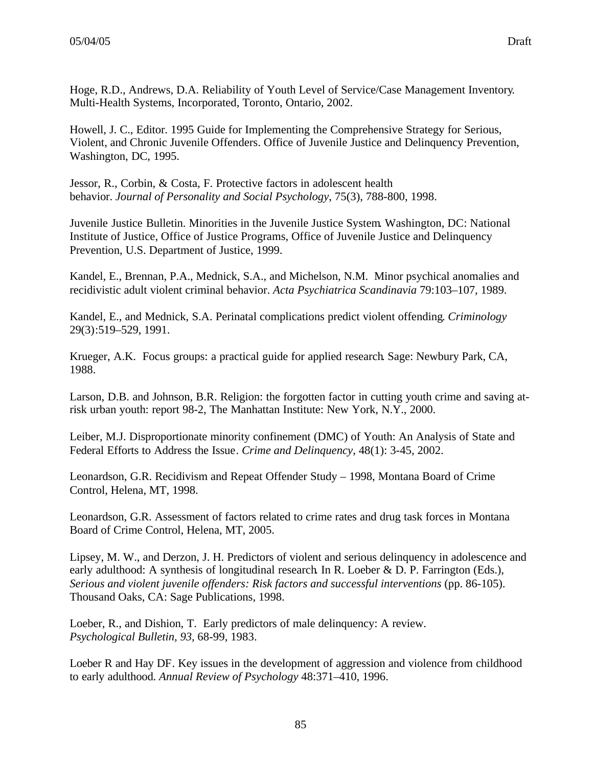Hoge, R.D., Andrews, D.A. Reliability of Youth Level of Service/Case Management Inventory. Multi-Health Systems, Incorporated, Toronto, Ontario, 2002.

Howell, J. C., Editor. 1995 Guide for Implementing the Comprehensive Strategy for Serious, Violent, and Chronic Juvenile Offenders. Office of Juvenile Justice and Delinquency Prevention, Washington, DC, 1995.

Jessor, R., Corbin, & Costa, F. Protective factors in adolescent health behavior. *Journal of Personality and Social Psychology*, 75(3), 788-800, 1998.

Juvenile Justice Bulletin. Minorities in the Juvenile Justice System. Washington, DC: National Institute of Justice, Office of Justice Programs, Office of Juvenile Justice and Delinquency Prevention, U.S. Department of Justice, 1999.

Kandel, E., Brennan, P.A., Mednick, S.A., and Michelson, N.M. Minor psychical anomalies and recidivistic adult violent criminal behavior. *Acta Psychiatrica Scandinavia* 79:103–107, 1989.

Kandel, E., and Mednick, S.A. Perinatal complications predict violent offending. *Criminology* 29(3):519–529, 1991.

Krueger, A.K. Focus groups: a practical guide for applied research. Sage: Newbury Park, CA, 1988.

Larson, D.B. and Johnson, B.R. Religion: the forgotten factor in cutting youth crime and saving atrisk urban youth: report 98-2, The Manhattan Institute: New York, N.Y., 2000.

Leiber, M.J. Disproportionate minority confinement (DMC) of Youth: An Analysis of State and Federal Efforts to Address the Issue. *Crime and Delinquency*, 48(1): 3-45, 2002.

Leonardson, G.R. Recidivism and Repeat Offender Study – 1998, Montana Board of Crime Control, Helena, MT, 1998.

Leonardson, G.R. Assessment of factors related to crime rates and drug task forces in Montana Board of Crime Control, Helena, MT, 2005.

Lipsey, M. W., and Derzon, J. H. Predictors of violent and serious delinquency in adolescence and early adulthood: A synthesis of longitudinal research. In R. Loeber & D. P. Farrington (Eds.), *Serious and violent juvenile offenders: Risk factors and successful interventions* (pp. 86-105). Thousand Oaks, CA: Sage Publications, 1998.

Loeber, R., and Dishion, T. Early predictors of male delinquency: A review. *Psychological Bulletin, 93,* 68-99, 1983.

Loeber R and Hay DF. Key issues in the development of aggression and violence from childhood to early adulthood. *Annual Review of Psychology* 48:371–410, 1996.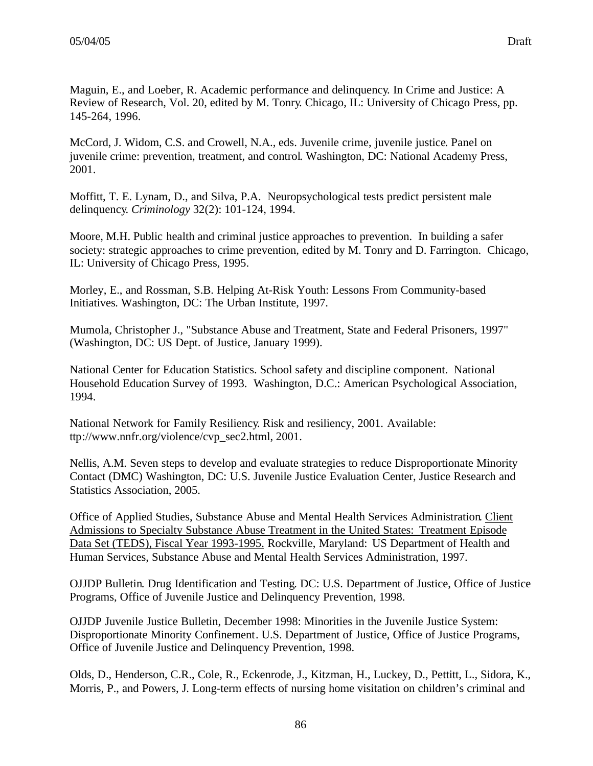Maguin, E., and Loeber, R. Academic performance and delinquency. In Crime and Justice: A Review of Research, Vol. 20, edited by M. Tonry. Chicago, IL: University of Chicago Press, pp. 145-264, 1996.

McCord, J. Widom, C.S. and Crowell, N.A., eds. Juvenile crime, juvenile justice. Panel on juvenile crime: prevention, treatment, and control. Washington, DC: National Academy Press, 2001.

Moffitt, T. E. Lynam, D., and Silva, P.A. Neuropsychological tests predict persistent male delinquency. *Criminology* 32(2): 101-124, 1994.

Moore, M.H. Public health and criminal justice approaches to prevention. In building a safer society: strategic approaches to crime prevention, edited by M. Tonry and D. Farrington. Chicago, IL: University of Chicago Press, 1995.

Morley, E., and Rossman, S.B. Helping At-Risk Youth: Lessons From Community-based Initiatives*.* Washington, DC: The Urban Institute, 1997.

Mumola, Christopher J., "Substance Abuse and Treatment, State and Federal Prisoners, 1997" (Washington, DC: US Dept. of Justice, January 1999).

National Center for Education Statistics. School safety and discipline component. National Household Education Survey of 1993. Washington, D.C.: American Psychological Association, 1994.

National Network for Family Resiliency. Risk and resiliency, 2001. Available: ttp://www.nnfr.org/violence/cvp\_sec2.html, 2001.

Nellis, A.M. Seven steps to develop and evaluate strategies to reduce Disproportionate Minority Contact (DMC) Washington, DC: U.S. Juvenile Justice Evaluation Center, Justice Research and Statistics Association, 2005.

Office of Applied Studies, Substance Abuse and Mental Health Services Administration. Client Admissions to Specialty Substance Abuse Treatment in the United States: Treatment Episode Data Set (TEDS), Fiscal Year 1993-1995. Rockville, Maryland: US Department of Health and Human Services, Substance Abuse and Mental Health Services Administration, 1997.

OJJDP Bulletin. Drug Identification and Testing. DC: U.S. Department of Justice, Office of Justice Programs, Office of Juvenile Justice and Delinquency Prevention, 1998.

OJJDP Juvenile Justice Bulletin, December 1998: Minorities in the Juvenile Justice System: Disproportionate Minority Confinement. U.S. Department of Justice, Office of Justice Programs, Office of Juvenile Justice and Delinquency Prevention, 1998.

Olds, D., Henderson, C.R., Cole, R., Eckenrode, J., Kitzman, H., Luckey, D., Pettitt, L., Sidora, K., Morris, P., and Powers, J. Long-term effects of nursing home visitation on children's criminal and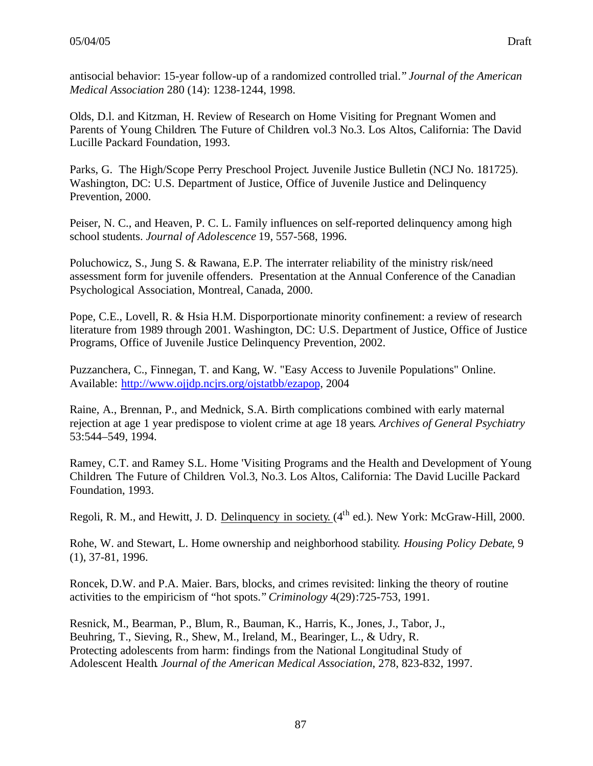antisocial behavior: 15-year follow-up of a randomized controlled trial." *Journal of the American Medical Association* 280 (14): 1238-1244, 1998.

Olds, D.l. and Kitzman, H. Review of Research on Home Visiting for Pregnant Women and Parents of Young Children. The Future of Children. vol.3 No.3. Los Altos, California: The David Lucille Packard Foundation, 1993.

Parks, G. The High/Scope Perry Preschool Project. Juvenile Justice Bulletin (NCJ No. 181725)*.* Washington, DC: U.S. Department of Justice, Office of Juvenile Justice and Delinquency Prevention, 2000.

Peiser, N. C., and Heaven, P. C. L. Family influences on self-reported delinquency among high school students. *Journal of Adolescence* 19, 557-568, 1996.

Poluchowicz, S., Jung S. & Rawana, E.P. The interrater reliability of the ministry risk/need assessment form for juvenile offenders. Presentation at the Annual Conference of the Canadian Psychological Association, Montreal, Canada, 2000.

Pope, C.E., Lovell, R. & Hsia H.M. Disporportionate minority confinement: a review of research literature from 1989 through 2001. Washington, DC: U.S. Department of Justice, Office of Justice Programs, Office of Juvenile Justice Delinquency Prevention, 2002.

Puzzanchera, C., Finnegan, T. and Kang, W. "Easy Access to Juvenile Populations" Online. Available: http://www.ojjdp.ncjrs.org/ojstatbb/ezapop, 2004

Raine, A., Brennan, P., and Mednick, S.A. Birth complications combined with early maternal rejection at age 1 year predispose to violent crime at age 18 years. *Archives of General Psychiatry* 53:544–549, 1994.

Ramey, C.T. and Ramey S.L. Home 'Visiting Programs and the Health and Development of Young Children. The Future of Children. Vol.3, No.3. Los Altos, California: The David Lucille Packard Foundation, 1993.

Regoli, R. M., and Hewitt, J. D. Delinquency in society. (4<sup>th</sup> ed.). New York: McGraw-Hill, 2000.

Rohe, W. and Stewart, L. Home ownership and neighborhood stability. *Housing Policy Debate*, 9 (1), 37-81, 1996.

Roncek, D.W. and P.A. Maier. Bars, blocks, and crimes revisited: linking the theory of routine activities to the empiricism of "hot spots." *Criminology* 4(29):725-753, 1991.

Resnick, M., Bearman, P., Blum, R., Bauman, K., Harris, K., Jones, J., Tabor, J., Beuhring, T., Sieving, R., Shew, M., Ireland, M., Bearinger, L., & Udry, R. Protecting adolescents from harm: findings from the National Longitudinal Study of Adolescent Health. *Journal of the American Medical Association*, 278, 823-832, 1997.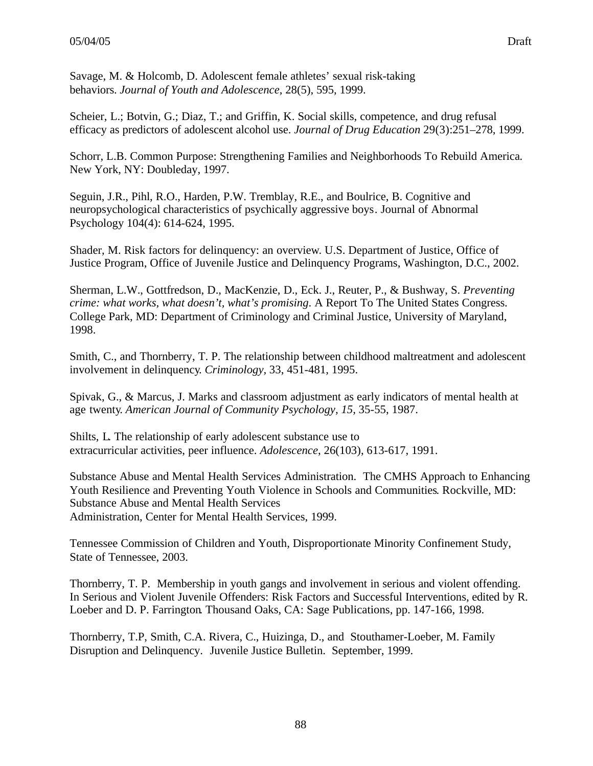Savage, M. & Holcomb, D. Adolescent female athletes' sexual risk-taking behaviors. *Journal of Youth and Adolescence*, 28(5), 595, 1999.

Scheier, L.; Botvin, G.; Diaz, T.; and Griffin, K. Social skills, competence, and drug refusal efficacy as predictors of adolescent alcohol use. *Journal of Drug Education* 29(3):251–278, 1999.

Schorr, L.B. Common Purpose: Strengthening Families and Neighborhoods To Rebuild America*.* New York, NY: Doubleday, 1997.

Seguin, J.R., Pihl, R.O., Harden, P.W. Tremblay, R.E., and Boulrice, B. Cognitive and neuropsychological characteristics of psychically aggressive boys. Journal of Abnormal Psychology 104(4): 614-624, 1995.

Shader, M. Risk factors for delinquency: an overview. U.S. Department of Justice, Office of Justice Program, Office of Juvenile Justice and Delinquency Programs, Washington, D.C., 2002.

Sherman, L.W., Gottfredson, D., MacKenzie, D., Eck. J., Reuter, P., & Bushway, S. *Preventing crime: what works, what doesn't, what's promising*. A Report To The United States Congress. College Park, MD: Department of Criminology and Criminal Justice, University of Maryland, 1998.

Smith, C., and Thornberry, T. P. The relationship between childhood maltreatment and adolescent involvement in delinquency. *Criminology,* 33, 451-481, 1995.

Spivak, G., & Marcus, J. Marks and classroom adjustment as early indicators of mental health at age twenty. *American Journal of Community Psychology, 15,* 35-55, 1987.

Shilts, L. The relationship of early adolescent substance use to extracurricular activities, peer influence. *Adolescence*, 26(103), 613-617, 1991.

Substance Abuse and Mental Health Services Administration. The CMHS Approach to Enhancing Youth Resilience and Preventing Youth Violence in Schools and Communities. Rockville, MD: Substance Abuse and Mental Health Services Administration, Center for Mental Health Services, 1999.

Tennessee Commission of Children and Youth, Disproportionate Minority Confinement Study, State of Tennessee, 2003.

Thornberry, T. P. Membership in youth gangs and involvement in serious and violent offending. In Serious and Violent Juvenile Offenders: Risk Factors and Successful Interventions, edited by R. Loeber and D. P. Farrington. Thousand Oaks, CA: Sage Publications, pp. 147-166, 1998.

Thornberry, T.P, Smith, C.A. Rivera, C., Huizinga, D., and Stouthamer-Loeber, M. Family Disruption and Delinquency. Juvenile Justice Bulletin. September, 1999.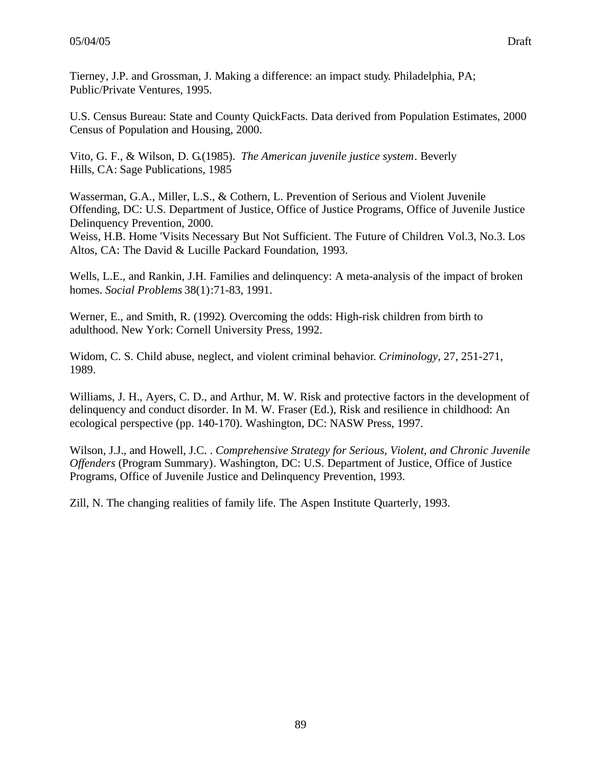Tierney, J.P. and Grossman, J. Making a difference: an impact study. Philadelphia, PA; Public/Private Ventures, 1995.

U.S. Census Bureau: State and County QuickFacts. Data derived from Population Estimates, 2000 Census of Population and Housing, 2000.

Vito, G. F., & Wilson, D. G.(1985). *The American juvenile justice system.* Beverly Hills, CA: Sage Publications, 1985

Wasserman, G.A., Miller, L.S., & Cothern, L. Prevention of Serious and Violent Juvenile Offending, DC: U.S. Department of Justice, Office of Justice Programs, Office of Juvenile Justice Delinquency Prevention, 2000.

Weiss, H.B. Home 'Visits Necessary But Not Sufficient. The Future of Children. Vol.3, No.3. Los Altos, CA: The David & Lucille Packard Foundation, 1993.

Wells, L.E., and Rankin, J.H. Families and delinquency: A meta-analysis of the impact of broken homes. *Social Problems* 38(1):71-83, 1991.

Werner, E., and Smith, R. (1992). Overcoming the odds: High-risk children from birth to adulthood. New York: Cornell University Press, 1992.

Widom, C. S. Child abuse, neglect, and violent criminal behavior. *Criminology,* 27, 251-271, 1989.

Williams, J. H., Ayers, C. D., and Arthur, M. W. Risk and protective factors in the development of delinquency and conduct disorder. In M. W. Fraser (Ed.), Risk and resilience in childhood: An ecological perspective (pp. 140-170). Washington, DC: NASW Press, 1997.

Wilson, J.J., and Howell, J.C. . *Comprehensive Strategy for Serious, Violent, and Chronic Juvenile Offenders* (Program Summary). Washington, DC: U.S. Department of Justice, Office of Justice Programs, Office of Juvenile Justice and Delinquency Prevention, 1993.

Zill, N. The changing realities of family life. The Aspen Institute Quarterly, 1993.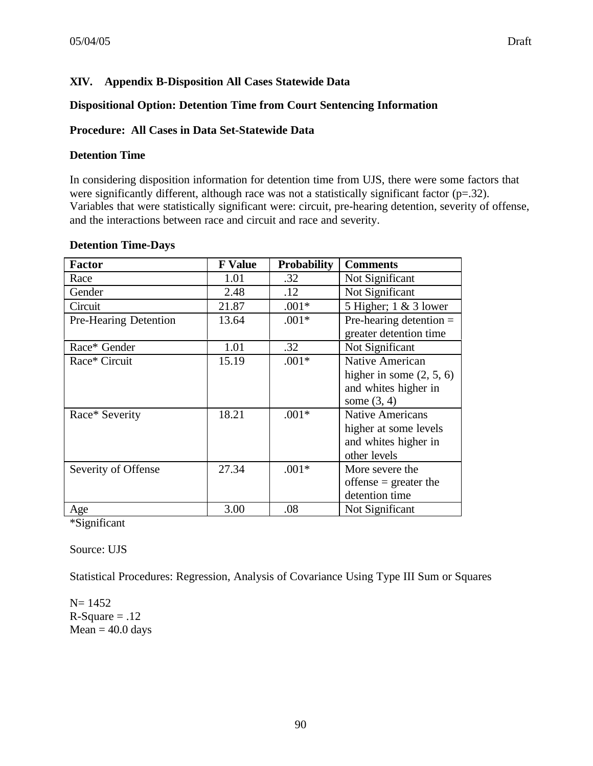## **XIV. Appendix B-Disposition All Cases Statewide Data**

#### **Dispositional Option: Detention Time from Court Sentencing Information**

#### **Procedure: All Cases in Data Set-Statewide Data**

#### **Detention Time**

In considering disposition information for detention time from UJS, there were some factors that were significantly different, although race was not a statistically significant factor  $(p=.32)$ . Variables that were statistically significant were: circuit, pre-hearing detention, severity of offense, and the interactions between race and circuit and race and severity.

#### **Detention Time-Days**

| <b>Factor</b>         | <b>F</b> Value | <b>Probability</b> | <b>Comments</b>            |
|-----------------------|----------------|--------------------|----------------------------|
| Race                  | 1.01           | .32                | Not Significant            |
| Gender                | 2.48           | .12                | Not Significant            |
| Circuit               | 21.87          | $.001*$            | 5 Higher; $1 \& 3$ lower   |
| Pre-Hearing Detention | 13.64          | $.001*$            | Pre-hearing detention $=$  |
|                       |                |                    | greater detention time     |
| Race* Gender          | 1.01           | .32                | Not Significant            |
| Race* Circuit         | 15.19          | $.001*$            | Native American            |
|                       |                |                    | higher in some $(2, 5, 6)$ |
|                       |                |                    | and whites higher in       |
|                       |                |                    | some $(3, 4)$              |
| Race* Severity        | 18.21          | $.001*$            | <b>Native Americans</b>    |
|                       |                |                    | higher at some levels      |
|                       |                |                    | and whites higher in       |
|                       |                |                    | other levels               |
| Severity of Offense   | 27.34          | $.001*$            | More severe the            |
|                       |                |                    | offense $=$ greater the    |
|                       |                |                    | detention time             |
| Age                   | 3.00           | .08                | Not Significant            |

\*Significant

Source: UJS

Statistical Procedures: Regression, Analysis of Covariance Using Type III Sum or Squares

N= 1452  $R-Square = .12$  $Mean = 40.0 \text{ days}$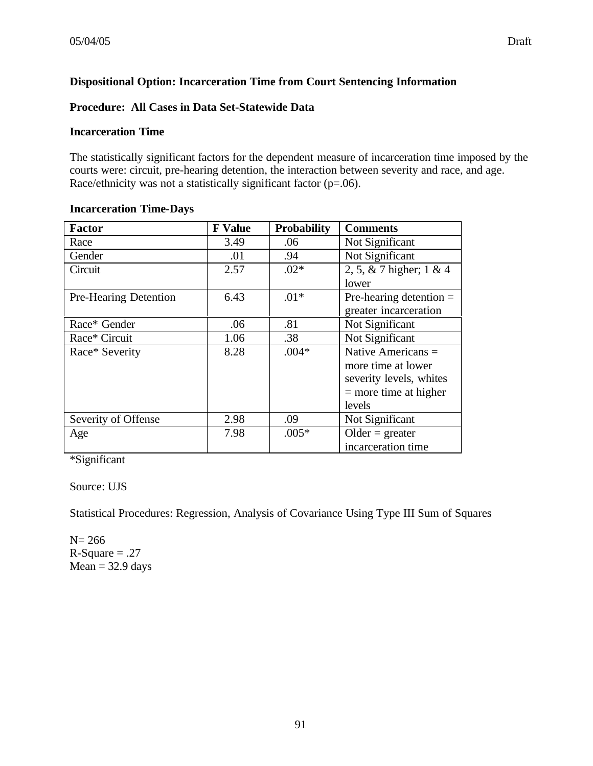# **Dispositional Option: Incarceration Time from Court Sentencing Information**

## **Procedure: All Cases in Data Set-Statewide Data**

#### **Incarceration Time**

The statistically significant factors for the dependent measure of incarceration time imposed by the courts were: circuit, pre-hearing detention, the interaction between severity and race, and age. Race/ethnicity was not a statistically significant factor (p=.06).

| <b>Factor</b>         | <b>F</b> Value | <b>Probability</b> | <b>Comments</b>            |
|-----------------------|----------------|--------------------|----------------------------|
| Race                  | 3.49           | .06                | Not Significant            |
| Gender                | .01            | .94                | Not Significant            |
| Circuit               | 2.57           | $.02*$             | 2, 5, & 7 higher; $1 \& 4$ |
|                       |                |                    | lower                      |
| Pre-Hearing Detention | 6.43           | $.01*$             | Pre-hearing detention $=$  |
|                       |                |                    | greater incarceration      |
| Race* Gender          | .06            | .81                | Not Significant            |
| Race* Circuit         | 1.06           | .38                | Not Significant            |
| Race* Severity        | 8.28           | $.004*$            | Native Americans =         |
|                       |                |                    | more time at lower         |
|                       |                |                    | severity levels, whites    |
|                       |                |                    | $=$ more time at higher    |
|                       |                |                    | levels                     |
| Severity of Offense   | 2.98           | .09                | Not Significant            |
| Age                   | 7.98           | $.005*$            | $Older = greater$          |
|                       |                |                    | incarceration time         |

### **Incarceration Time-Days**

\*Significant

### Source: UJS

Statistical Procedures: Regression, Analysis of Covariance Using Type III Sum of Squares

N= 266  $R-Square = .27$  $Mean = 32.9$  days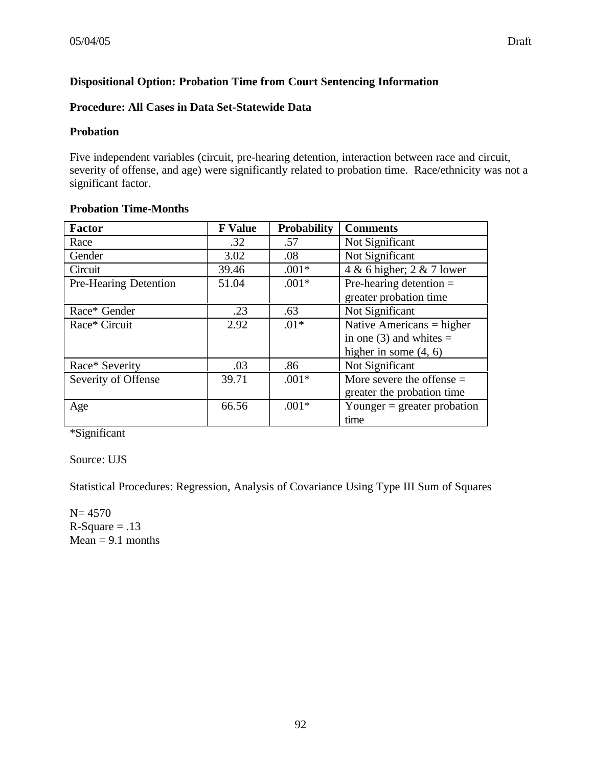# **Dispositional Option: Probation Time from Court Sentencing Information**

## **Procedure: All Cases in Data Set-Statewide Data**

### **Probation**

Five independent variables (circuit, pre-hearing detention, interaction between race and circuit, severity of offense, and age) were significantly related to probation time. Race/ethnicity was not a significant factor.

## **Probation Time-Months**

| <b>Factor</b>         | <b>F</b> Value | <b>Probability</b> | <b>Comments</b>               |
|-----------------------|----------------|--------------------|-------------------------------|
| Race                  | .32            | .57                | Not Significant               |
| Gender                | 3.02           | .08                | Not Significant               |
| Circuit               | 39.46          | $.001*$            | 4 & 6 higher; 2 & 7 lower     |
| Pre-Hearing Detention | 51.04          | $.001*$            | Pre-hearing detention $=$     |
|                       |                |                    | greater probation time        |
| Race* Gender          | .23            | .63                | Not Significant               |
| Race* Circuit         | 2.92           | $.01*$             | Native Americans $=$ higher   |
|                       |                |                    | in one (3) and whites $=$     |
|                       |                |                    | higher in some $(4, 6)$       |
| Race* Severity        | .03            | .86                | Not Significant               |
| Severity of Offense   | 39.71          | $.001*$            | More severe the offense $=$   |
|                       |                |                    | greater the probation time    |
| Age                   | 66.56          | $.001*$            | Younger $=$ greater probation |
|                       |                |                    | time                          |

\*Significant

Source: UJS

Statistical Procedures: Regression, Analysis of Covariance Using Type III Sum of Squares

 $N= 4570$  $R-Square = .13$  $Mean = 9.1$  months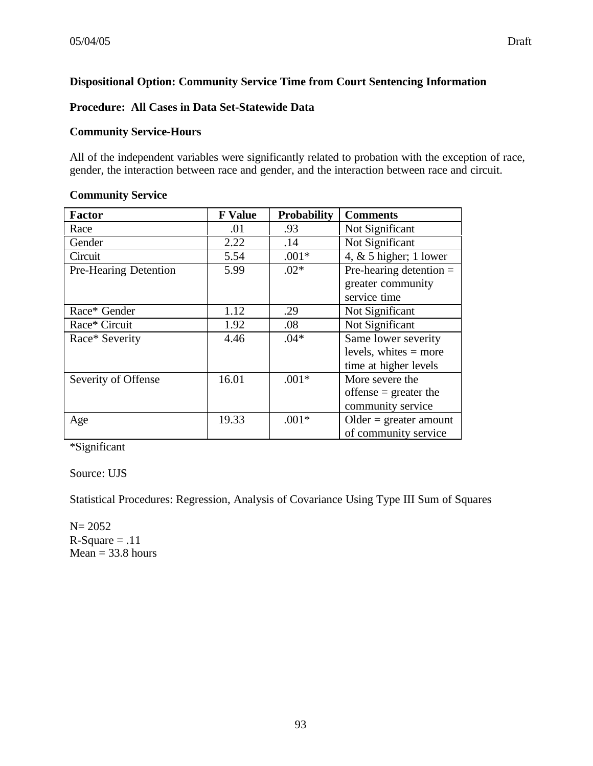# **Dispositional Option: Community Service Time from Court Sentencing Information**

## **Procedure: All Cases in Data Set-Statewide Data**

## **Community Service-Hours**

All of the independent variables were significantly related to probation with the exception of race, gender, the interaction between race and gender, and the interaction between race and circuit.

#### **Community Service**

| <b>Factor</b>         | <b>F</b> Value | <b>Probability</b> | <b>Comments</b>           |
|-----------------------|----------------|--------------------|---------------------------|
| Race                  | .01            | .93                | Not Significant           |
| Gender                | 2.22           | .14                | Not Significant           |
| Circuit               | 5.54           | $.001*$            | 4, $&$ 5 higher; 1 lower  |
| Pre-Hearing Detention | 5.99           | $.02*$             | Pre-hearing detention $=$ |
|                       |                |                    | greater community         |
|                       |                |                    | service time              |
| Race* Gender          | 1.12           | .29                | Not Significant           |
| Race* Circuit         | 1.92           | .08                | Not Significant           |
| Race* Severity        | 4.46           | $.04*$             | Same lower severity       |
|                       |                |                    | levels, white $=$ more    |
|                       |                |                    | time at higher levels     |
| Severity of Offense   | 16.01          | $.001*$            | More severe the           |
|                       |                |                    | offense $=$ greater the   |
|                       |                |                    | community service         |
| Age                   | 19.33          | $.001*$            | $Older = greater amount$  |
|                       |                |                    | of community service      |

\*Significant

Source: UJS

Statistical Procedures: Regression, Analysis of Covariance Using Type III Sum of Squares

N= 2052  $R-Square = .11$  $Mean = 33.8 hours$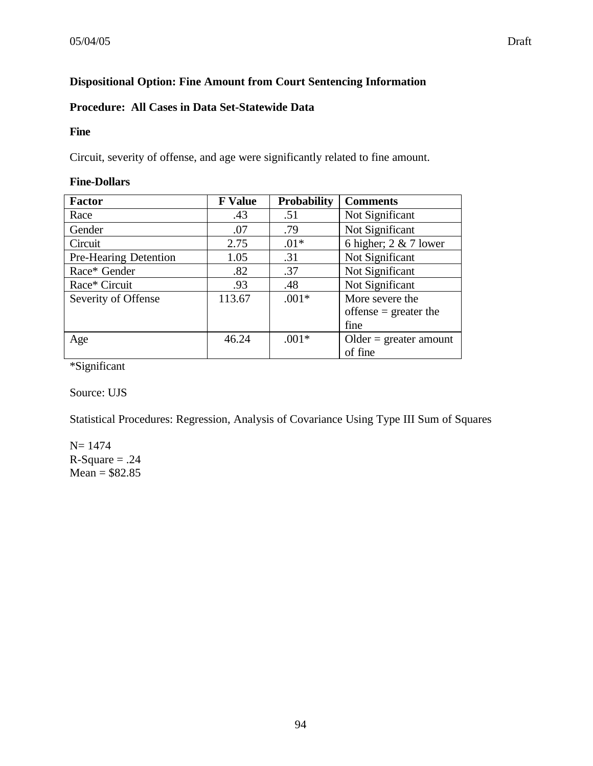# **Dispositional Option: Fine Amount from Court Sentencing Information**

# **Procedure: All Cases in Data Set-Statewide Data**

#### **Fine**

Circuit, severity of offense, and age were significantly related to fine amount.

### **Fine-Dollars**

| <b>Factor</b>                | <b>F</b> Value | <b>Probability</b> | <b>Comments</b>          |
|------------------------------|----------------|--------------------|--------------------------|
| Race                         | .43            | .51                | Not Significant          |
| Gender                       | .07            | .79                | Not Significant          |
| Circuit                      | 2.75           | $.01*$             | 6 higher; $2 \& 7$ lower |
| <b>Pre-Hearing Detention</b> | 1.05           | .31                | Not Significant          |
| Race* Gender                 | .82            | .37                | Not Significant          |
| Race* Circuit                | .93            | .48                | Not Significant          |
| Severity of Offense          | 113.67         | $.001*$            | More severe the          |
|                              |                |                    | offense $=$ greater the  |
|                              |                |                    | fine                     |
| Age                          | 46.24          | $.001*$            | $Older = greater amount$ |
|                              |                |                    | of fine                  |

\*Significant

Source: UJS

Statistical Procedures: Regression, Analysis of Covariance Using Type III Sum of Squares

N= 1474  $R-Square = .24$  $Mean = $82.85$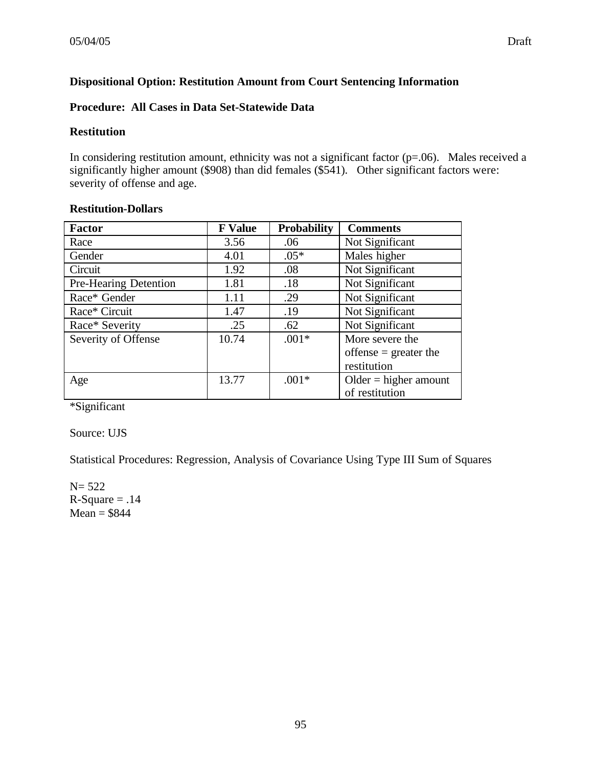# **Dispositional Option: Restitution Amount from Court Sentencing Information**

### **Procedure: All Cases in Data Set-Statewide Data**

#### **Restitution**

In considering restitution amount, ethnicity was not a significant factor (p=.06). Males received a significantly higher amount (\$908) than did females (\$541). Other significant factors were: severity of offense and age.

### **Restitution-Dollars**

| <b>Factor</b>         | <b>F</b> Value | <b>Probability</b> | <b>Comments</b>         |
|-----------------------|----------------|--------------------|-------------------------|
| Race                  | 3.56           | .06                | Not Significant         |
| Gender                | 4.01           | $.05*$             | Males higher            |
| Circuit               | 1.92           | .08                | Not Significant         |
| Pre-Hearing Detention | 1.81           | .18                | Not Significant         |
| Race* Gender          | 1.11           | .29                | Not Significant         |
| Race* Circuit         | 1.47           | .19                | Not Significant         |
| Race* Severity        | .25            | .62                | Not Significant         |
| Severity of Offense   | 10.74          | $.001*$            | More severe the         |
|                       |                |                    | offense $=$ greater the |
|                       |                |                    | restitution             |
| Age                   | 13.77          | $.001*$            | $Older = higher amount$ |
|                       |                |                    | of restitution          |

\*Significant

Source: UJS

Statistical Procedures: Regression, Analysis of Covariance Using Type III Sum of Squares

N= 522  $R-Square = .14$  $Mean = $844$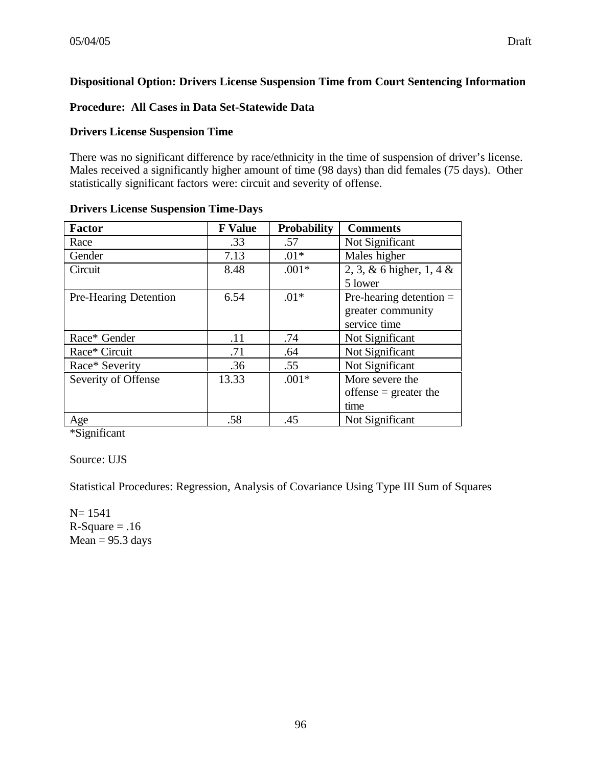# **Dispositional Option: Drivers License Suspension Time from Court Sentencing Information**

## **Procedure: All Cases in Data Set-Statewide Data**

### **Drivers License Suspension Time**

There was no significant difference by race/ethnicity in the time of suspension of driver's license. Males received a significantly higher amount of time (98 days) than did females (75 days). Other statistically significant factors were: circuit and severity of offense.

| <b>Factor</b>         | <b>F</b> Value | <b>Probability</b> | <b>Comments</b>           |
|-----------------------|----------------|--------------------|---------------------------|
| Race                  | .33            | .57                | Not Significant           |
| Gender                | 7.13           | $.01*$             | Males higher              |
| Circuit               | 8.48           | $.001*$            | 2, 3, & 6 higher, 1, 4 &  |
|                       |                |                    | 5 lower                   |
| Pre-Hearing Detention | 6.54           | $.01*$             | Pre-hearing detention $=$ |
|                       |                |                    | greater community         |
|                       |                |                    | service time              |
| Race* Gender          | .11            | .74                | Not Significant           |
| Race* Circuit         | .71            | .64                | Not Significant           |
| Race* Severity        | .36            | .55                | Not Significant           |
| Severity of Offense   | 13.33          | $.001*$            | More severe the           |
|                       |                |                    | offense $=$ greater the   |
|                       |                |                    | time                      |
| Age                   | .58            | .45                | Not Significant           |

#### **Drivers License Suspension Time-Days**

\*Significant

# Source: UJS

Statistical Procedures: Regression, Analysis of Covariance Using Type III Sum of Squares

N= 1541  $R-Square = .16$  $Mean = 95.3 \text{ days}$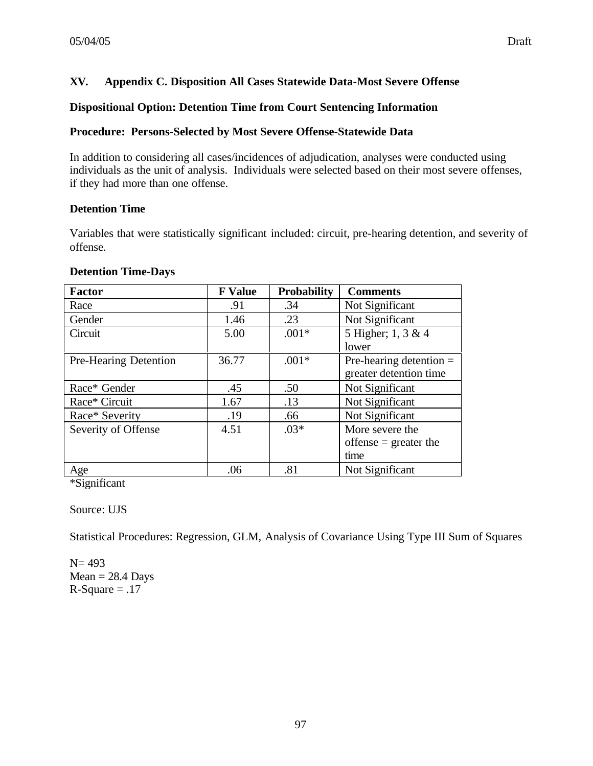## **XV. Appendix C. Disposition All Cases Statewide Data-Most Severe Offense**

#### **Dispositional Option: Detention Time from Court Sentencing Information**

#### **Procedure: Persons-Selected by Most Severe Offense-Statewide Data**

In addition to considering all cases/incidences of adjudication, analyses were conducted using individuals as the unit of analysis. Individuals were selected based on their most severe offenses, if they had more than one offense.

#### **Detention Time**

Variables that were statistically significant included: circuit, pre-hearing detention, and severity of offense.

#### **Detention Time-Days**

| <b>Factor</b>         | <b>F</b> Value | <b>Probability</b> | <b>Comments</b>           |
|-----------------------|----------------|--------------------|---------------------------|
| Race                  | .91            | .34                | Not Significant           |
| Gender                | 1.46           | .23                | Not Significant           |
| Circuit               | 5.00           | $.001*$            | 5 Higher; 1, 3 & 4        |
|                       |                |                    | lower                     |
| Pre-Hearing Detention | 36.77          | $.001*$            | Pre-hearing detention $=$ |
|                       |                |                    | greater detention time    |
| Race* Gender          | .45            | .50                | Not Significant           |
| Race* Circuit         | 1.67           | .13                | Not Significant           |
| Race* Severity        | .19            | .66                | Not Significant           |
| Severity of Offense   | 4.51           | $.03*$             | More severe the           |
|                       |                |                    | offense $=$ greater the   |
|                       |                |                    | time                      |
| Age                   | .06            | .81                | Not Significant           |

\*Significant

Source: UJS

Statistical Procedures: Regression, GLM, Analysis of Covariance Using Type III Sum of Squares

 $N = 493$  $Mean = 28.4$  Days  $R-Square = .17$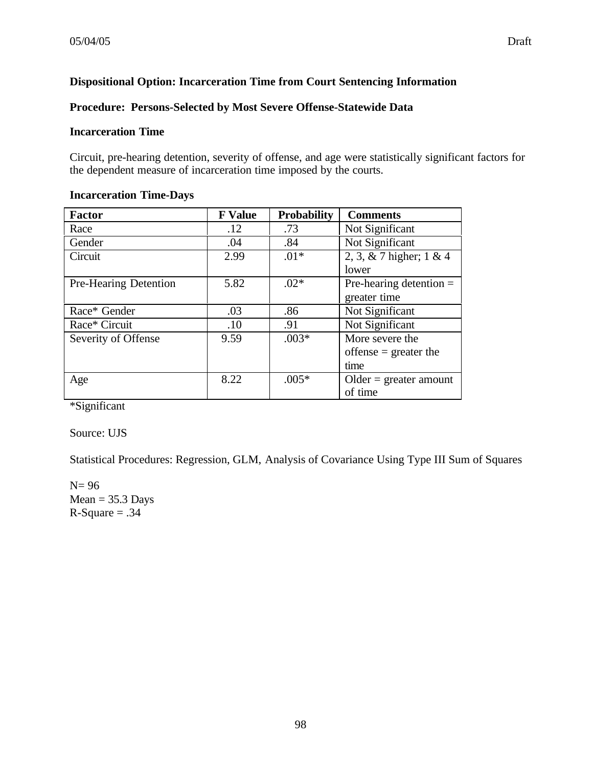# **Dispositional Option: Incarceration Time from Court Sentencing Information**

#### **Procedure: Persons-Selected by Most Severe Offense-Statewide Data**

#### **Incarceration Time**

Circuit, pre-hearing detention, severity of offense, and age were statistically significant factors for the dependent measure of incarceration time imposed by the courts.

#### **Incarceration Time-Days**

| <b>Factor</b>         | <b>F</b> Value | <b>Probability</b> | <b>Comments</b>            |
|-----------------------|----------------|--------------------|----------------------------|
| Race                  | .12            | .73                | Not Significant            |
| Gender                | .04            | .84                | Not Significant            |
| Circuit               | 2.99           | $.01*$             | 2, 3, & 7 higher; $1 \& 4$ |
|                       |                |                    | lower                      |
| Pre-Hearing Detention | 5.82           | $.02*$             | Pre-hearing detention $=$  |
|                       |                |                    | greater time               |
| Race* Gender          | .03            | .86                | Not Significant            |
| Race* Circuit         | .10            | .91                | Not Significant            |
| Severity of Offense   | 9.59           | $.003*$            | More severe the            |
|                       |                |                    | offense $=$ greater the    |
|                       |                |                    | time                       |
| Age                   | 8.22           | $.005*$            | $Older = greater amount$   |
|                       |                |                    | of time                    |

\*Significant

Source: UJS

Statistical Procedures: Regression, GLM, Analysis of Covariance Using Type III Sum of Squares

N= 96  $Mean = 35.3$  Days  $R-Square = .34$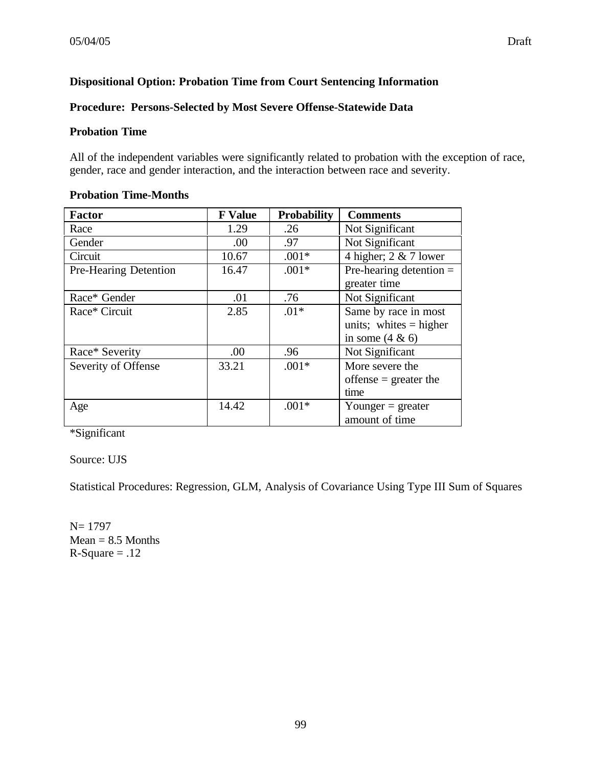# **Dispositional Option: Probation Time from Court Sentencing Information**

## **Procedure: Persons-Selected by Most Severe Offense-Statewide Data**

#### **Probation Time**

All of the independent variables were significantly related to probation with the exception of race, gender, race and gender interaction, and the interaction between race and severity.

| Factor                | <b>F</b> Value | <b>Probability</b> | <b>Comments</b>           |
|-----------------------|----------------|--------------------|---------------------------|
| Race                  | 1.29           | .26                | Not Significant           |
| Gender                | .00            | .97                | Not Significant           |
| Circuit               | 10.67          | $.001*$            | 4 higher; $2 \& 7$ lower  |
| Pre-Hearing Detention | 16.47          | $.001*$            | Pre-hearing detention $=$ |
|                       |                |                    | greater time              |
| Race* Gender          | .01            | .76                | Not Significant           |
| Race* Circuit         | 2.85           | $.01*$             | Same by race in most      |
|                       |                |                    | units; white $=$ higher   |
|                       |                |                    | in some $(4 \& 6)$        |
| Race* Severity        | .00            | .96                | Not Significant           |
| Severity of Offense   | 33.21          | $.001*$            | More severe the           |
|                       |                |                    | offense $=$ greater the   |
|                       |                |                    | time                      |
| Age                   | 14.42          | $.001*$            | Younger $=$ greater       |
|                       |                |                    | amount of time            |

### **Probation Time-Months**

\*Significant

# Source: UJS

Statistical Procedures: Regression, GLM, Analysis of Covariance Using Type III Sum of Squares

N= 1797  $Mean = 8.5$  Months  $R-Square = .12$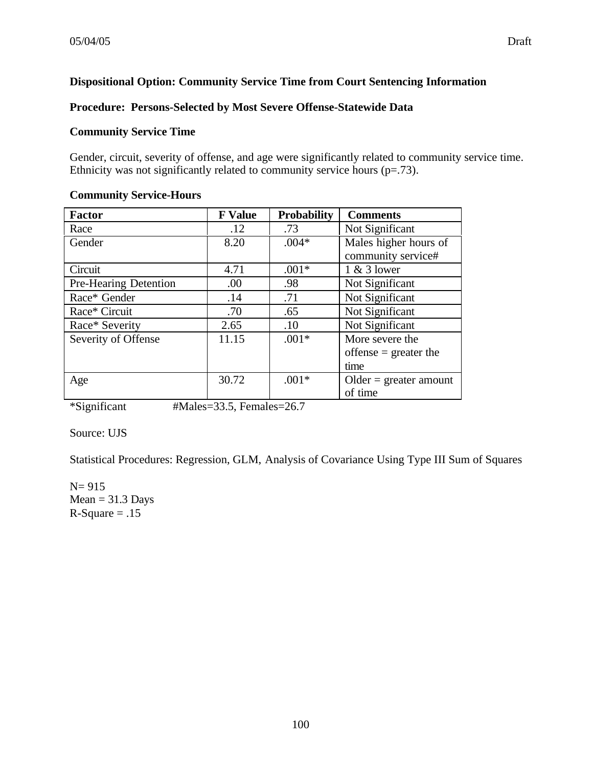## **Dispositional Option: Community Service Time from Court Sentencing Information**

#### **Procedure: Persons-Selected by Most Severe Offense-Statewide Data**

#### **Community Service Time**

Gender, circuit, severity of offense, and age were significantly related to community service time. Ethnicity was not significantly related to community service hours  $(p=73)$ .

#### **Community Service-Hours**

| <b>Factor</b>                | <b>F</b> Value | <b>Probability</b> | <b>Comments</b>          |
|------------------------------|----------------|--------------------|--------------------------|
| Race                         | .12            | .73                | Not Significant          |
| Gender                       | 8.20           | $.004*$            | Males higher hours of    |
|                              |                |                    | community service#       |
| Circuit                      | 4.71           | $.001*$            | $1 & 3$ lower            |
| <b>Pre-Hearing Detention</b> | .00            | .98                | Not Significant          |
| Race* Gender                 | .14            | .71                | Not Significant          |
| Race* Circuit                | .70            | .65                | Not Significant          |
| Race* Severity               | 2.65           | .10                | Not Significant          |
| Severity of Offense          | 11.15          | $.001*$            | More severe the          |
|                              |                |                    | offense $=$ greater the  |
|                              |                |                    | time                     |
| Age                          | 30.72          | $.001*$            | $Older = greater amount$ |
|                              |                |                    | of time                  |

\*Significant #Males=33.5, Females=26.7

### Source: UJS

Statistical Procedures: Regression, GLM, Analysis of Covariance Using Type III Sum of Squares

N= 915  $Mean = 31.3$  Days  $R-Square = .15$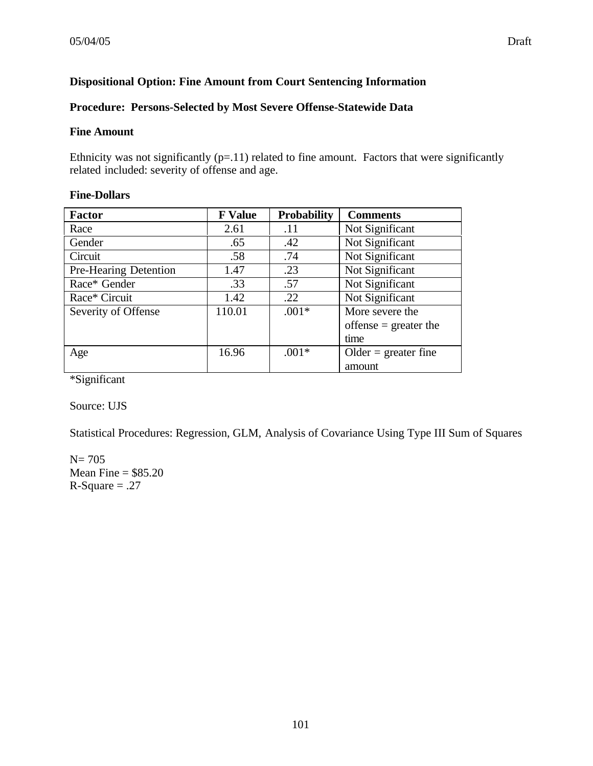# **Dispositional Option: Fine Amount from Court Sentencing Information**

## **Procedure: Persons-Selected by Most Severe Offense-Statewide Data**

#### **Fine Amount**

Ethnicity was not significantly  $(p=11)$  related to fine amount. Factors that were significantly related included: severity of offense and age.

### **Fine-Dollars**

| <b>Factor</b>         | <b>F</b> Value | <b>Probability</b> | <b>Comments</b>         |
|-----------------------|----------------|--------------------|-------------------------|
| Race                  | 2.61           | .11                | Not Significant         |
| Gender                | .65            | .42                | Not Significant         |
| Circuit               | .58            | .74                | Not Significant         |
| Pre-Hearing Detention | 1.47           | .23                | Not Significant         |
| Race* Gender          | .33            | .57                | Not Significant         |
| Race* Circuit         | 1.42           | .22                | Not Significant         |
| Severity of Offense   | 110.01         | $.001*$            | More severe the         |
|                       |                |                    | offense $=$ greater the |
|                       |                |                    | time                    |
| Age                   | 16.96          | $.001*$            | $Older = greater fine$  |
|                       |                |                    | amount                  |

\*Significant

Source: UJS

Statistical Procedures: Regression, GLM, Analysis of Covariance Using Type III Sum of Squares

 $N = 705$ Mean Fine  $= $85.20$  $R-Square = .27$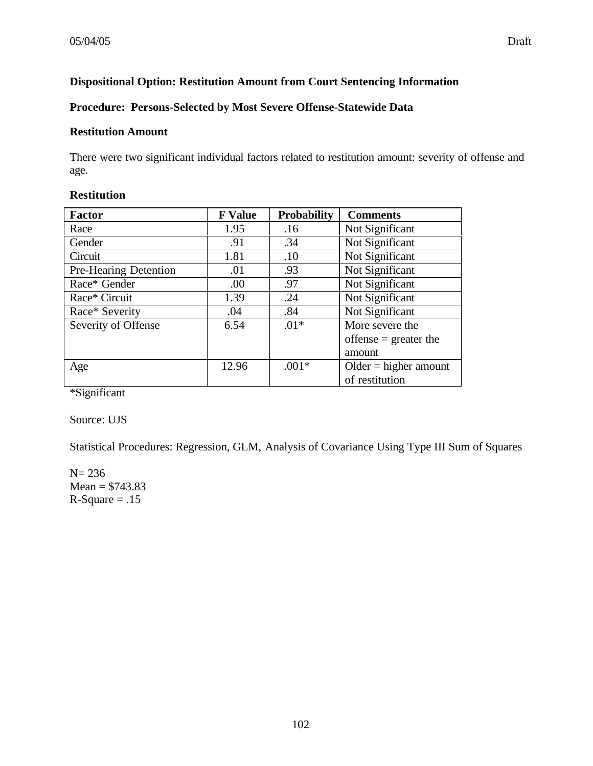# **Dispositional Option: Restitution Amount from Court Sentencing Information**

## **Procedure: Persons-Selected by Most Severe Offense-Statewide Data**

#### **Restitution Amount**

There were two significant individual factors related to restitution amount: severity of offense and age.

| <b>Factor</b>                | <b>F</b> Value | <b>Probability</b> | <b>Comments</b>         |
|------------------------------|----------------|--------------------|-------------------------|
| Race                         | 1.95           | .16                | Not Significant         |
| Gender                       | .91            | .34                | Not Significant         |
| Circuit                      | 1.81           | .10                | Not Significant         |
| <b>Pre-Hearing Detention</b> | .01            | .93                | Not Significant         |
| Race* Gender                 | .00            | .97                | Not Significant         |
| Race* Circuit                | 1.39           | .24                | Not Significant         |
| Race* Severity               | .04            | .84                | Not Significant         |
| Severity of Offense          | 6.54           | $.01*$             | More severe the         |
|                              |                |                    | offense $=$ greater the |
|                              |                |                    | amount                  |
| Age                          | 12.96          | $.001*$            | $Older = higher amount$ |
|                              |                |                    | of restitution          |

# **Restitution**

\*Significant

Source: UJS

Statistical Procedures: Regression, GLM, Analysis of Covariance Using Type III Sum of Squares

N= 236  $Mean = $743.83$  $R-Square = .15$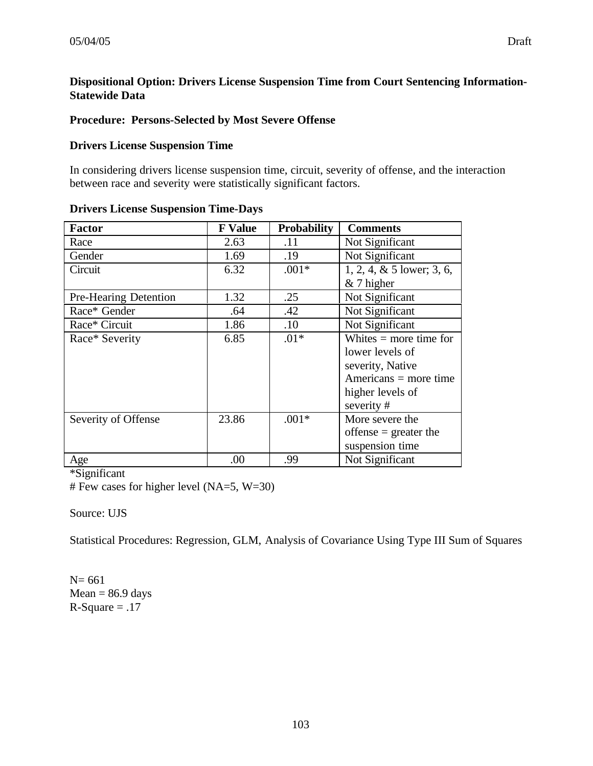### **Dispositional Option: Drivers License Suspension Time from Court Sentencing Information-Statewide Data**

#### **Procedure: Persons-Selected by Most Severe Offense**

#### **Drivers License Suspension Time**

In considering drivers license suspension time, circuit, severity of offense, and the interaction between race and severity were statistically significant factors.

| <b>Factor</b>         | <b>F</b> Value | <b>Probability</b> | <b>Comments</b>              |
|-----------------------|----------------|--------------------|------------------------------|
| Race                  | 2.63           | .11                | Not Significant              |
| Gender                | 1.69           | .19                | Not Significant              |
| Circuit               | 6.32           | $.001*$            | $1, 2, 4, \& 5$ lower; 3, 6, |
|                       |                |                    | $& 7$ higher                 |
| Pre-Hearing Detention | 1.32           | .25                | Not Significant              |
| Race* Gender          | .64            | .42                | Not Significant              |
| Race* Circuit         | 1.86           | .10                | Not Significant              |
| Race* Severity        | 6.85           | $.01*$             | Whites $=$ more time for     |
|                       |                |                    | lower levels of              |
|                       |                |                    | severity, Native             |
|                       |                |                    | $A$ mericans = more time     |
|                       |                |                    | higher levels of             |
|                       |                |                    | severity#                    |
| Severity of Offense   | 23.86          | $.001*$            | More severe the              |
|                       |                |                    | offense $=$ greater the      |
|                       |                |                    | suspension time              |
| Age                   | .00            | .99                | Not Significant              |

#### **Drivers License Suspension Time-Days**

\*Significant

# Few cases for higher level (NA=5, W=30)

### Source: UJS

Statistical Procedures: Regression, GLM, Analysis of Covariance Using Type III Sum of Squares

N= 661  $Mean = 86.9$  days  $R-Square = .17$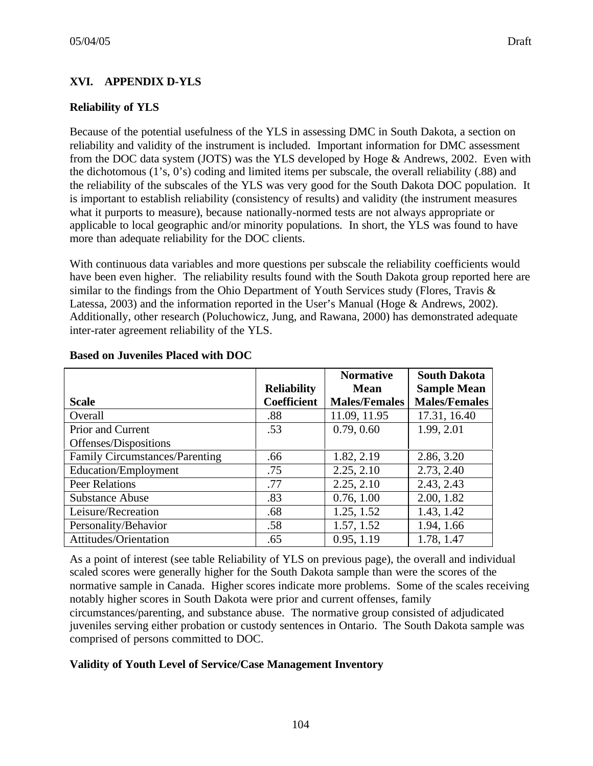# **XVI. APPENDIX D-YLS**

## **Reliability of YLS**

Because of the potential usefulness of the YLS in assessing DMC in South Dakota, a section on reliability and validity of the instrument is included. Important information for DMC assessment from the DOC data system (JOTS) was the YLS developed by Hoge & Andrews, 2002. Even with the dichotomous (1's, 0's) coding and limited items per subscale, the overall reliability (.88) and the reliability of the subscales of the YLS was very good for the South Dakota DOC population. It is important to establish reliability (consistency of results) and validity (the instrument measures what it purports to measure), because nationally-normed tests are not always appropriate or applicable to local geographic and/or minority populations. In short, the YLS was found to have more than adequate reliability for the DOC clients.

With continuous data variables and more questions per subscale the reliability coefficients would have been even higher. The reliability results found with the South Dakota group reported here are similar to the findings from the Ohio Department of Youth Services study (Flores, Travis  $\&$ Latessa, 2003) and the information reported in the User's Manual (Hoge & Andrews, 2002). Additionally, other research (Poluchowicz, Jung, and Rawana, 2000) has demonstrated adequate inter-rater agreement reliability of the YLS.

|                                       |                    | <b>Normative</b>     | <b>South Dakota</b>  |
|---------------------------------------|--------------------|----------------------|----------------------|
|                                       | <b>Reliability</b> | <b>Mean</b>          | <b>Sample Mean</b>   |
| <b>Scale</b>                          | <b>Coefficient</b> | <b>Males/Females</b> | <b>Males/Females</b> |
| Overall                               | .88                | 11.09, 11.95         | 17.31, 16.40         |
| <b>Prior and Current</b>              | .53                | 0.79, 0.60           | 1.99, 2.01           |
| Offenses/Dispositions                 |                    |                      |                      |
| <b>Family Circumstances/Parenting</b> | .66                | 1.82, 2.19           | 2.86, 3.20           |
| <b>Education/Employment</b>           | .75                | 2.25, 2.10           | 2.73, 2.40           |
| <b>Peer Relations</b>                 | .77                | 2.25, 2.10           | 2.43, 2.43           |
| <b>Substance Abuse</b>                | .83                | 0.76, 1.00           | 2.00, 1.82           |
| Leisure/Recreation                    | .68                | 1.25, 1.52           | 1.43, 1.42           |
| Personality/Behavior                  | .58                | 1.57, 1.52           | 1.94, 1.66           |
| Attitudes/Orientation                 | .65                | 0.95, 1.19           | 1.78, 1.47           |

#### **Based on Juveniles Placed with DOC**

As a point of interest (see table Reliability of YLS on previous page), the overall and individual scaled scores were generally higher for the South Dakota sample than were the scores of the normative sample in Canada. Higher scores indicate more problems. Some of the scales receiving notably higher scores in South Dakota were prior and current offenses, family circumstances/parenting, and substance abuse. The normative group consisted of adjudicated juveniles serving either probation or custody sentences in Ontario. The South Dakota sample was comprised of persons committed to DOC.

### **Validity of Youth Level of Service/Case Management Inventory**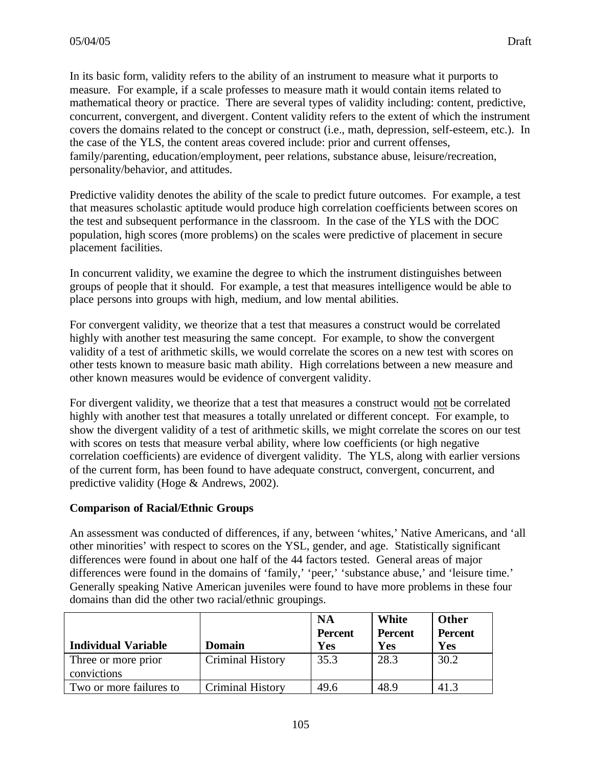In its basic form, validity refers to the ability of an instrument to measure what it purports to measure. For example, if a scale professes to measure math it would contain items related to mathematical theory or practice. There are several types of validity including: content, predictive, concurrent, convergent, and divergent. Content validity refers to the extent of which the instrument covers the domains related to the concept or construct (i.e., math, depression, self-esteem, etc.). In the case of the YLS, the content areas covered include: prior and current offenses, family/parenting, education/employment, peer relations, substance abuse, leisure/recreation, personality/behavior, and attitudes.

Predictive validity denotes the ability of the scale to predict future outcomes. For example, a test that measures scholastic aptitude would produce high correlation coefficients between scores on the test and subsequent performance in the classroom. In the case of the YLS with the DOC population, high scores (more problems) on the scales were predictive of placement in secure placement facilities.

In concurrent validity, we examine the degree to which the instrument distinguishes between groups of people that it should. For example, a test that measures intelligence would be able to place persons into groups with high, medium, and low mental abilities.

For convergent validity, we theorize that a test that measures a construct would be correlated highly with another test measuring the same concept. For example, to show the convergent validity of a test of arithmetic skills, we would correlate the scores on a new test with scores on other tests known to measure basic math ability. High correlations between a new measure and other known measures would be evidence of convergent validity.

For divergent validity, we theorize that a test that measures a construct would not be correlated highly with another test that measures a totally unrelated or different concept. For example, to show the divergent validity of a test of arithmetic skills, we might correlate the scores on our test with scores on tests that measure verbal ability, where low coefficients (or high negative correlation coefficients) are evidence of divergent validity. The YLS, along with earlier versions of the current form, has been found to have adequate construct, convergent, concurrent, and predictive validity (Hoge & Andrews, 2002).

### **Comparison of Racial/Ethnic Groups**

An assessment was conducted of differences, if any, between 'whites,' Native Americans, and 'all other minorities' with respect to scores on the YSL, gender, and age. Statistically significant differences were found in about one half of the 44 factors tested. General areas of major differences were found in the domains of 'family,' 'peer,' 'substance abuse,' and 'leisure time.' Generally speaking Native American juveniles were found to have more problems in these four domains than did the other two racial/ethnic groupings.

|                                    |                         | <b>NA</b><br><b>Percent</b> | White<br><b>Percent</b> | Other<br><b>Percent</b> |
|------------------------------------|-------------------------|-----------------------------|-------------------------|-------------------------|
| <b>Individual Variable</b>         | <b>Domain</b>           | <b>Yes</b>                  | Yes                     | Yes                     |
| Three or more prior<br>convictions | <b>Criminal History</b> | 35.3                        | 28.3                    | 30.2                    |
| Two or more failures to            | <b>Criminal History</b> | 49.6                        | 48.9                    | 41.3                    |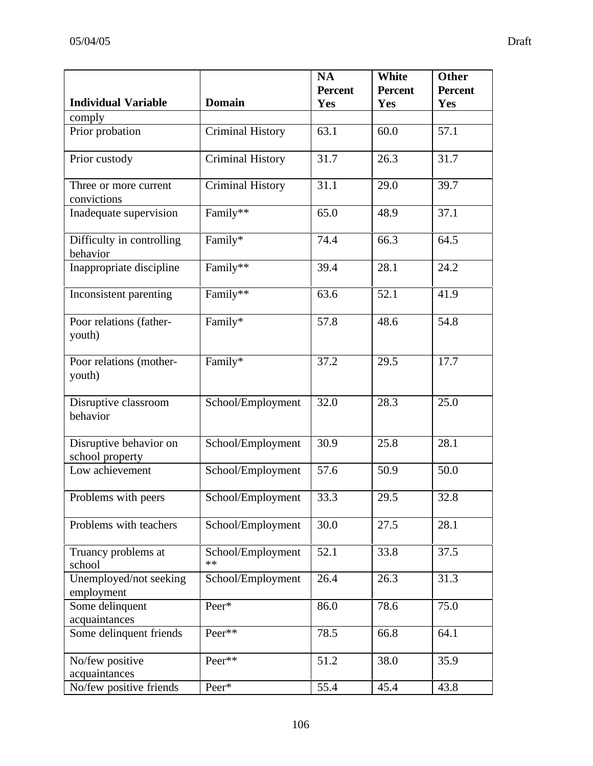|                                           |                         | <b>NA</b>      | White          | <b>Other</b>   |
|-------------------------------------------|-------------------------|----------------|----------------|----------------|
|                                           |                         | <b>Percent</b> | <b>Percent</b> | <b>Percent</b> |
| <b>Individual Variable</b>                | <b>Domain</b>           | Yes            | Yes            | Yes            |
| comply<br>Prior probation                 | <b>Criminal History</b> | 63.1           | 60.0           | 57.1           |
|                                           |                         |                |                |                |
| Prior custody                             | <b>Criminal History</b> | 31.7           | 26.3           | 31.7           |
| Three or more current<br>convictions      | <b>Criminal History</b> | 31.1           | 29.0           | 39.7           |
| Inadequate supervision                    | Family**                | 65.0           | 48.9           | 37.1           |
| Difficulty in controlling<br>behavior     | Family*                 | 74.4           | 66.3           | 64.5           |
| Inappropriate discipline                  | Family**                | 39.4           | 28.1           | 24.2           |
| Inconsistent parenting                    | Family**                | 63.6           | 52.1           | 41.9           |
| Poor relations (father-<br>youth)         | Family*                 | 57.8           | 48.6           | 54.8           |
| Poor relations (mother-<br>youth)         | Family*                 | 37.2           | 29.5           | 17.7           |
| Disruptive classroom<br>behavior          | School/Employment       | 32.0           | 28.3           | 25.0           |
| Disruptive behavior on<br>school property | School/Employment       | 30.9           | 25.8           | 28.1           |
| Low achievement                           | School/Employment       | 57.6           | 50.9           | 50.0           |
| Problems with peers                       | School/Employment       | 33.3           | 29.5           | 32.8           |
| Problems with teachers                    | School/Employment       | 30.0           | 27.5           | 28.1           |
| Truancy problems at<br>school             | School/Employment<br>** | 52.1           | 33.8           | 37.5           |
| Unemployed/not seeking<br>employment      | School/Employment       | 26.4           | 26.3           | 31.3           |
| Some delinquent<br>acquaintances          | Peer*                   | 86.0           | 78.6           | 75.0           |
| Some delinquent friends                   | Peer**                  | 78.5           | 66.8           | 64.1           |
| No/few positive<br>acquaintances          | Peer**                  | 51.2           | 38.0           | 35.9           |
| No/few positive friends                   | Peer*                   | 55.4           | 45.4           | 43.8           |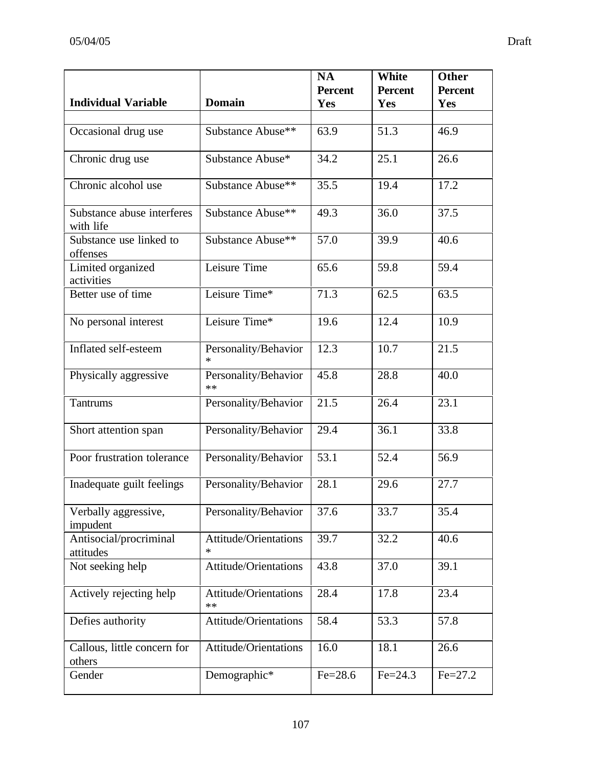|                                         |                                 | <b>NA</b>      | White          | <b>Other</b>   |
|-----------------------------------------|---------------------------------|----------------|----------------|----------------|
|                                         |                                 | <b>Percent</b> | <b>Percent</b> | <b>Percent</b> |
| <b>Individual Variable</b>              | <b>Domain</b>                   | Yes            | Yes            | Yes            |
|                                         | Substance Abuse**               | 63.9           | 51.3           | 46.9           |
| Occasional drug use                     |                                 |                |                |                |
| Chronic drug use                        | Substance Abuse*                | 34.2           | 25.1           | 26.6           |
| Chronic alcohol use                     | Substance Abuse**               | 35.5           | 19.4           | 17.2           |
| Substance abuse interferes<br>with life | Substance Abuse**               | 49.3           | 36.0           | 37.5           |
| Substance use linked to<br>offenses     | Substance Abuse**               | 57.0           | 39.9           | 40.6           |
| Limited organized<br>activities         | Leisure Time                    | 65.6           | 59.8           | 59.4           |
| Better use of time                      | Leisure Time*                   | 71.3           | 62.5           | 63.5           |
| No personal interest                    | Leisure Time*                   | 19.6           | 12.4           | 10.9           |
| Inflated self-esteem                    | Personality/Behavior<br>$\ast$  | 12.3           | 10.7           | 21.5           |
| Physically aggressive                   | Personality/Behavior<br>**      | 45.8           | 28.8           | 40.0           |
| Tantrums                                | Personality/Behavior            | 21.5           | 26.4           | 23.1           |
| Short attention span                    | Personality/Behavior            | 29.4           | 36.1           | 33.8           |
| Poor frustration tolerance              | Personality/Behavior            | 53.1           | 52.4           | 56.9           |
| Inadequate guilt feelings               | Personality/Behavior            | 28.1           | 29.6           | 27.7           |
| Verbally aggressive,<br>impudent        | Personality/Behavior            | 37.6           | 33.7           | 35.4           |
| Antisocial/procriminal<br>attitudes     | Attitude/Orientations<br>$\ast$ | 39.7           | 32.2           | 40.6           |
| Not seeking help                        | Attitude/Orientations           | 43.8           | 37.0           | 39.1           |
| Actively rejecting help                 | Attitude/Orientations<br>**     | 28.4           | 17.8           | 23.4           |
| Defies authority                        | Attitude/Orientations           | 58.4           | 53.3           | 57.8           |
| Callous, little concern for<br>others   | Attitude/Orientations           | 16.0           | 18.1           | 26.6           |
| Gender                                  | Demographic*                    | $Fe = 28.6$    | $Fe = 24.3$    | $Fe = 27.2$    |